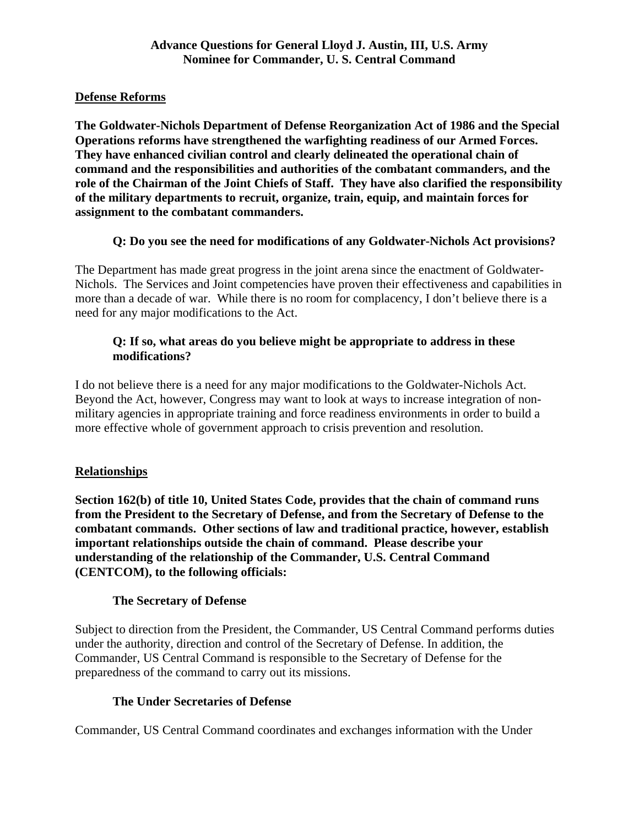## **Defense Reforms**

**The Goldwater-Nichols Department of Defense Reorganization Act of 1986 and the Special Operations reforms have strengthened the warfighting readiness of our Armed Forces. They have enhanced civilian control and clearly delineated the operational chain of command and the responsibilities and authorities of the combatant commanders, and the role of the Chairman of the Joint Chiefs of Staff. They have also clarified the responsibility of the military departments to recruit, organize, train, equip, and maintain forces for assignment to the combatant commanders.** 

# **Q: Do you see the need for modifications of any Goldwater-Nichols Act provisions?**

The Department has made great progress in the joint arena since the enactment of Goldwater-Nichols. The Services and Joint competencies have proven their effectiveness and capabilities in more than a decade of war. While there is no room for complacency, I don't believe there is a need for any major modifications to the Act.

## **Q: If so, what areas do you believe might be appropriate to address in these modifications?**

I do not believe there is a need for any major modifications to the Goldwater-Nichols Act. Beyond the Act, however, Congress may want to look at ways to increase integration of nonmilitary agencies in appropriate training and force readiness environments in order to build a more effective whole of government approach to crisis prevention and resolution.

# **Relationships**

**Section 162(b) of title 10, United States Code, provides that the chain of command runs from the President to the Secretary of Defense, and from the Secretary of Defense to the combatant commands. Other sections of law and traditional practice, however, establish important relationships outside the chain of command. Please describe your understanding of the relationship of the Commander, U.S. Central Command (CENTCOM), to the following officials:** 

## **The Secretary of Defense**

Subject to direction from the President, the Commander, US Central Command performs duties under the authority, direction and control of the Secretary of Defense. In addition, the Commander, US Central Command is responsible to the Secretary of Defense for the preparedness of the command to carry out its missions.

## **The Under Secretaries of Defense**

Commander, US Central Command coordinates and exchanges information with the Under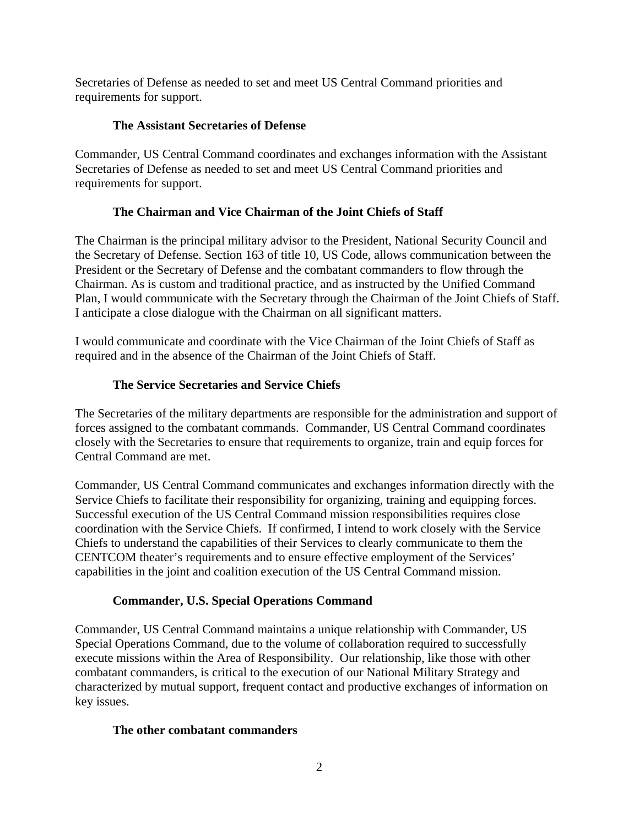Secretaries of Defense as needed to set and meet US Central Command priorities and requirements for support.

## **The Assistant Secretaries of Defense**

Commander, US Central Command coordinates and exchanges information with the Assistant Secretaries of Defense as needed to set and meet US Central Command priorities and requirements for support.

# **The Chairman and Vice Chairman of the Joint Chiefs of Staff**

The Chairman is the principal military advisor to the President, National Security Council and the Secretary of Defense. Section 163 of title 10, US Code, allows communication between the President or the Secretary of Defense and the combatant commanders to flow through the Chairman. As is custom and traditional practice, and as instructed by the Unified Command Plan, I would communicate with the Secretary through the Chairman of the Joint Chiefs of Staff. I anticipate a close dialogue with the Chairman on all significant matters.

I would communicate and coordinate with the Vice Chairman of the Joint Chiefs of Staff as required and in the absence of the Chairman of the Joint Chiefs of Staff.

# **The Service Secretaries and Service Chiefs**

The Secretaries of the military departments are responsible for the administration and support of forces assigned to the combatant commands. Commander, US Central Command coordinates closely with the Secretaries to ensure that requirements to organize, train and equip forces for Central Command are met.

Commander, US Central Command communicates and exchanges information directly with the Service Chiefs to facilitate their responsibility for organizing, training and equipping forces. Successful execution of the US Central Command mission responsibilities requires close coordination with the Service Chiefs. If confirmed, I intend to work closely with the Service Chiefs to understand the capabilities of their Services to clearly communicate to them the CENTCOM theater's requirements and to ensure effective employment of the Services' capabilities in the joint and coalition execution of the US Central Command mission.

# **Commander, U.S. Special Operations Command**

Commander, US Central Command maintains a unique relationship with Commander, US Special Operations Command, due to the volume of collaboration required to successfully execute missions within the Area of Responsibility. Our relationship, like those with other combatant commanders, is critical to the execution of our National Military Strategy and characterized by mutual support, frequent contact and productive exchanges of information on key issues.

## **The other combatant commanders**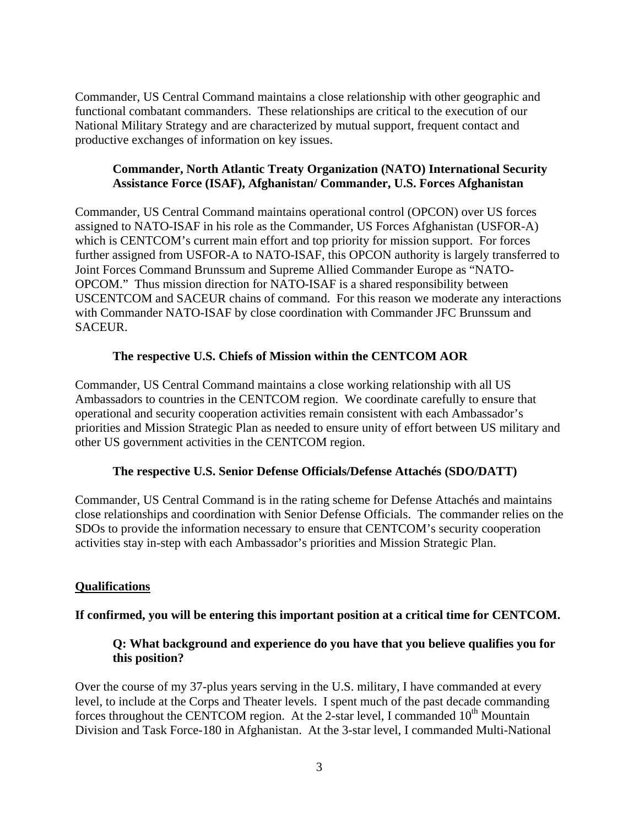Commander, US Central Command maintains a close relationship with other geographic and functional combatant commanders. These relationships are critical to the execution of our National Military Strategy and are characterized by mutual support, frequent contact and productive exchanges of information on key issues.

### **Commander, North Atlantic Treaty Organization (NATO) International Security Assistance Force (ISAF), Afghanistan/ Commander, U.S. Forces Afghanistan**

Commander, US Central Command maintains operational control (OPCON) over US forces assigned to NATO-ISAF in his role as the Commander, US Forces Afghanistan (USFOR-A) which is CENTCOM's current main effort and top priority for mission support. For forces further assigned from USFOR-A to NATO-ISAF, this OPCON authority is largely transferred to Joint Forces Command Brunssum and Supreme Allied Commander Europe as "NATO-OPCOM." Thus mission direction for NATO-ISAF is a shared responsibility between USCENTCOM and SACEUR chains of command. For this reason we moderate any interactions with Commander NATO-ISAF by close coordination with Commander JFC Brunssum and SACEUR.

## **The respective U.S. Chiefs of Mission within the CENTCOM AOR**

Commander, US Central Command maintains a close working relationship with all US Ambassadors to countries in the CENTCOM region. We coordinate carefully to ensure that operational and security cooperation activities remain consistent with each Ambassador's priorities and Mission Strategic Plan as needed to ensure unity of effort between US military and other US government activities in the CENTCOM region.

#### **The respective U.S. Senior Defense Officials/Defense Attachés (SDO/DATT)**

Commander, US Central Command is in the rating scheme for Defense Attachés and maintains close relationships and coordination with Senior Defense Officials. The commander relies on the SDOs to provide the information necessary to ensure that CENTCOM's security cooperation activities stay in-step with each Ambassador's priorities and Mission Strategic Plan.

#### **Qualifications**

## **If confirmed, you will be entering this important position at a critical time for CENTCOM.**

## **Q: What background and experience do you have that you believe qualifies you for this position?**

Over the course of my 37-plus years serving in the U.S. military, I have commanded at every level, to include at the Corps and Theater levels. I spent much of the past decade commanding forces throughout the CENTCOM region. At the 2-star level, I commanded  $10^{th}$  Mountain Division and Task Force-180 in Afghanistan. At the 3-star level, I commanded Multi-National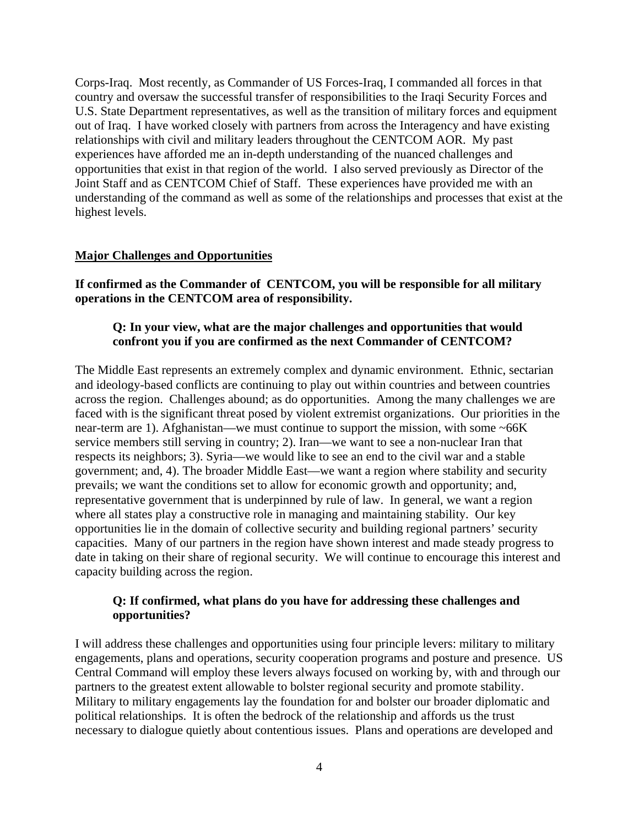Corps-Iraq. Most recently, as Commander of US Forces-Iraq, I commanded all forces in that country and oversaw the successful transfer of responsibilities to the Iraqi Security Forces and U.S. State Department representatives, as well as the transition of military forces and equipment out of Iraq. I have worked closely with partners from across the Interagency and have existing relationships with civil and military leaders throughout the CENTCOM AOR. My past experiences have afforded me an in-depth understanding of the nuanced challenges and opportunities that exist in that region of the world. I also served previously as Director of the Joint Staff and as CENTCOM Chief of Staff. These experiences have provided me with an understanding of the command as well as some of the relationships and processes that exist at the highest levels.

#### **Major Challenges and Opportunities**

**If confirmed as the Commander of CENTCOM, you will be responsible for all military operations in the CENTCOM area of responsibility.** 

### **Q: In your view, what are the major challenges and opportunities that would confront you if you are confirmed as the next Commander of CENTCOM?**

The Middle East represents an extremely complex and dynamic environment. Ethnic, sectarian and ideology-based conflicts are continuing to play out within countries and between countries across the region. Challenges abound; as do opportunities. Among the many challenges we are faced with is the significant threat posed by violent extremist organizations. Our priorities in the near-term are 1). Afghanistan—we must continue to support the mission, with some ~66K service members still serving in country; 2). Iran—we want to see a non-nuclear Iran that respects its neighbors; 3). Syria—we would like to see an end to the civil war and a stable government; and, 4). The broader Middle East—we want a region where stability and security prevails; we want the conditions set to allow for economic growth and opportunity; and, representative government that is underpinned by rule of law. In general, we want a region where all states play a constructive role in managing and maintaining stability. Our key opportunities lie in the domain of collective security and building regional partners' security capacities. Many of our partners in the region have shown interest and made steady progress to date in taking on their share of regional security. We will continue to encourage this interest and capacity building across the region.

### **Q: If confirmed, what plans do you have for addressing these challenges and opportunities?**

I will address these challenges and opportunities using four principle levers: military to military engagements, plans and operations, security cooperation programs and posture and presence. US Central Command will employ these levers always focused on working by, with and through our partners to the greatest extent allowable to bolster regional security and promote stability. Military to military engagements lay the foundation for and bolster our broader diplomatic and political relationships. It is often the bedrock of the relationship and affords us the trust necessary to dialogue quietly about contentious issues. Plans and operations are developed and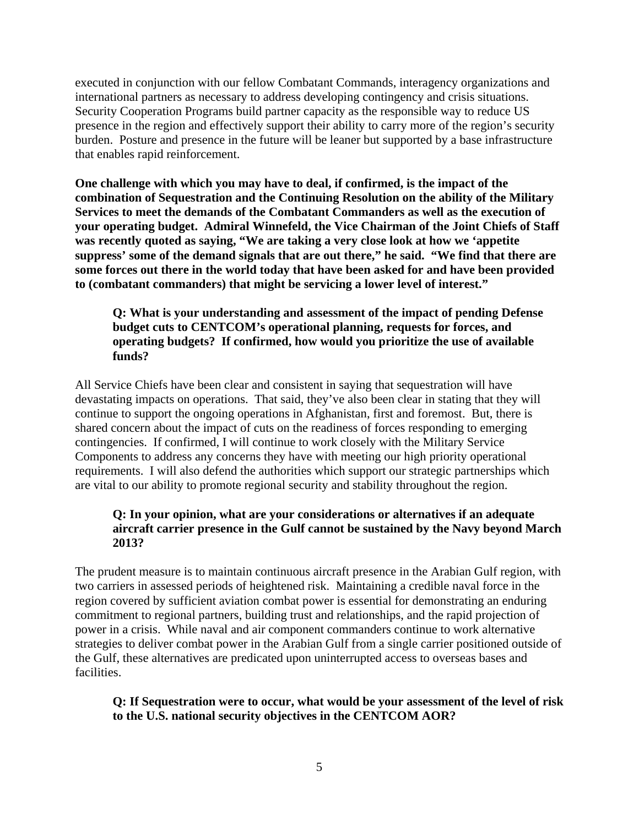executed in conjunction with our fellow Combatant Commands, interagency organizations and international partners as necessary to address developing contingency and crisis situations. Security Cooperation Programs build partner capacity as the responsible way to reduce US presence in the region and effectively support their ability to carry more of the region's security burden. Posture and presence in the future will be leaner but supported by a base infrastructure that enables rapid reinforcement.

**One challenge with which you may have to deal, if confirmed, is the impact of the combination of Sequestration and the Continuing Resolution on the ability of the Military Services to meet the demands of the Combatant Commanders as well as the execution of your operating budget. Admiral Winnefeld, the Vice Chairman of the Joint Chiefs of Staff was recently quoted as saying, "We are taking a very close look at how we 'appetite suppress' some of the demand signals that are out there," he said. "We find that there are some forces out there in the world today that have been asked for and have been provided to (combatant commanders) that might be servicing a lower level of interest."** 

**Q: What is your understanding and assessment of the impact of pending Defense budget cuts to CENTCOM's operational planning, requests for forces, and operating budgets? If confirmed, how would you prioritize the use of available funds?** 

All Service Chiefs have been clear and consistent in saying that sequestration will have devastating impacts on operations. That said, they've also been clear in stating that they will continue to support the ongoing operations in Afghanistan, first and foremost. But, there is shared concern about the impact of cuts on the readiness of forces responding to emerging contingencies. If confirmed, I will continue to work closely with the Military Service Components to address any concerns they have with meeting our high priority operational requirements. I will also defend the authorities which support our strategic partnerships which are vital to our ability to promote regional security and stability throughout the region.

#### **Q: In your opinion, what are your considerations or alternatives if an adequate aircraft carrier presence in the Gulf cannot be sustained by the Navy beyond March 2013?**

The prudent measure is to maintain continuous aircraft presence in the Arabian Gulf region, with two carriers in assessed periods of heightened risk. Maintaining a credible naval force in the region covered by sufficient aviation combat power is essential for demonstrating an enduring commitment to regional partners, building trust and relationships, and the rapid projection of power in a crisis. While naval and air component commanders continue to work alternative strategies to deliver combat power in the Arabian Gulf from a single carrier positioned outside of the Gulf, these alternatives are predicated upon uninterrupted access to overseas bases and facilities.

### **Q: If Sequestration were to occur, what would be your assessment of the level of risk to the U.S. national security objectives in the CENTCOM AOR?**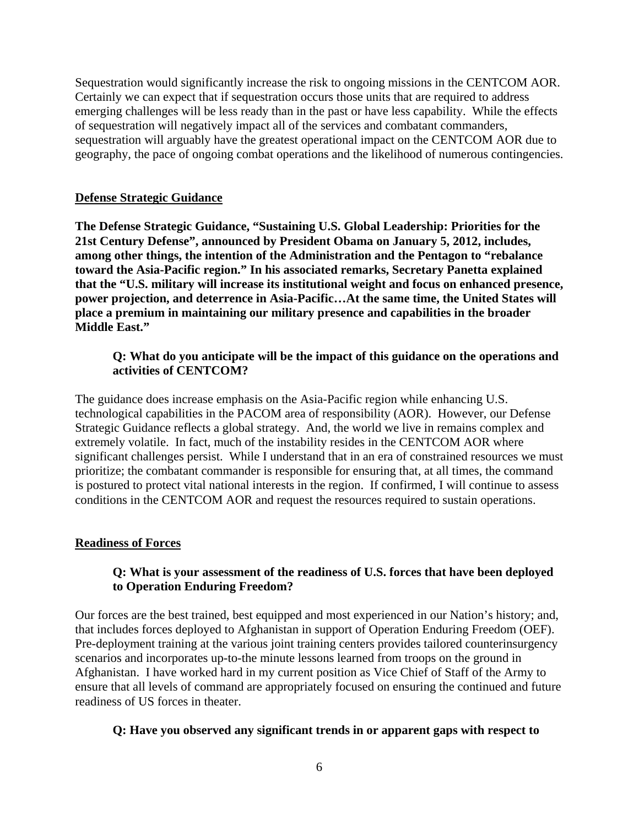Sequestration would significantly increase the risk to ongoing missions in the CENTCOM AOR. Certainly we can expect that if sequestration occurs those units that are required to address emerging challenges will be less ready than in the past or have less capability. While the effects of sequestration will negatively impact all of the services and combatant commanders, sequestration will arguably have the greatest operational impact on the CENTCOM AOR due to geography, the pace of ongoing combat operations and the likelihood of numerous contingencies.

#### **Defense Strategic Guidance**

**The Defense Strategic Guidance, "Sustaining U.S. Global Leadership: Priorities for the 21st Century Defense", announced by President Obama on January 5, 2012, includes, among other things, the intention of the Administration and the Pentagon to "rebalance toward the Asia-Pacific region." In his associated remarks, Secretary Panetta explained that the "U.S. military will increase its institutional weight and focus on enhanced presence, power projection, and deterrence in Asia-Pacific…At the same time, the United States will place a premium in maintaining our military presence and capabilities in the broader Middle East."** 

### **Q: What do you anticipate will be the impact of this guidance on the operations and activities of CENTCOM?**

The guidance does increase emphasis on the Asia-Pacific region while enhancing U.S. technological capabilities in the PACOM area of responsibility (AOR). However, our Defense Strategic Guidance reflects a global strategy. And, the world we live in remains complex and extremely volatile. In fact, much of the instability resides in the CENTCOM AOR where significant challenges persist. While I understand that in an era of constrained resources we must prioritize; the combatant commander is responsible for ensuring that, at all times, the command is postured to protect vital national interests in the region. If confirmed, I will continue to assess conditions in the CENTCOM AOR and request the resources required to sustain operations.

#### **Readiness of Forces**

### **Q: What is your assessment of the readiness of U.S. forces that have been deployed to Operation Enduring Freedom?**

Our forces are the best trained, best equipped and most experienced in our Nation's history; and, that includes forces deployed to Afghanistan in support of Operation Enduring Freedom (OEF). Pre-deployment training at the various joint training centers provides tailored counterinsurgency scenarios and incorporates up-to-the minute lessons learned from troops on the ground in Afghanistan. I have worked hard in my current position as Vice Chief of Staff of the Army to ensure that all levels of command are appropriately focused on ensuring the continued and future readiness of US forces in theater.

#### **Q: Have you observed any significant trends in or apparent gaps with respect to**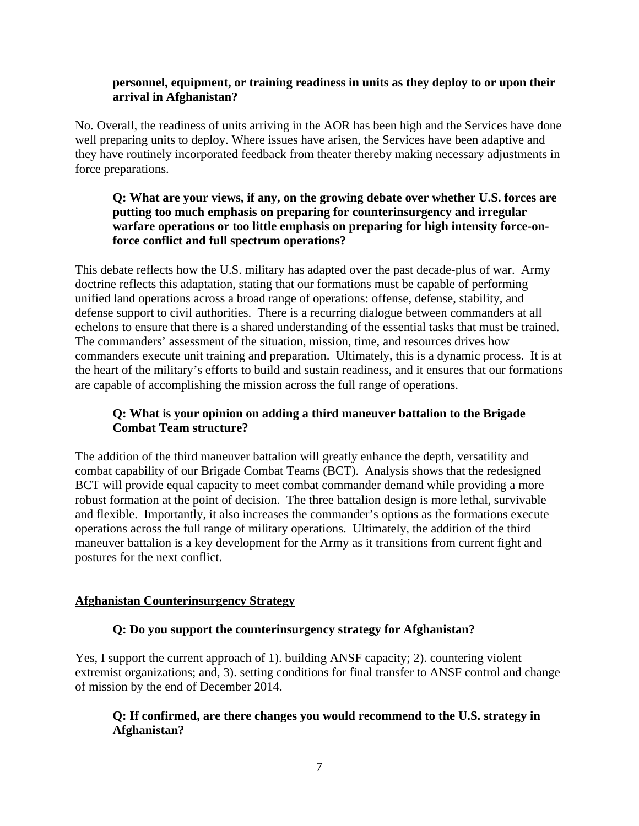#### **personnel, equipment, or training readiness in units as they deploy to or upon their arrival in Afghanistan?**

No. Overall, the readiness of units arriving in the AOR has been high and the Services have done well preparing units to deploy. Where issues have arisen, the Services have been adaptive and they have routinely incorporated feedback from theater thereby making necessary adjustments in force preparations.

## **Q: What are your views, if any, on the growing debate over whether U.S. forces are putting too much emphasis on preparing for counterinsurgency and irregular warfare operations or too little emphasis on preparing for high intensity force-onforce conflict and full spectrum operations?**

This debate reflects how the U.S. military has adapted over the past decade-plus of war. Army doctrine reflects this adaptation, stating that our formations must be capable of performing unified land operations across a broad range of operations: offense, defense, stability, and defense support to civil authorities. There is a recurring dialogue between commanders at all echelons to ensure that there is a shared understanding of the essential tasks that must be trained. The commanders' assessment of the situation, mission, time, and resources drives how commanders execute unit training and preparation. Ultimately, this is a dynamic process. It is at the heart of the military's efforts to build and sustain readiness, and it ensures that our formations are capable of accomplishing the mission across the full range of operations.

## **Q: What is your opinion on adding a third maneuver battalion to the Brigade Combat Team structure?**

The addition of the third maneuver battalion will greatly enhance the depth, versatility and combat capability of our Brigade Combat Teams (BCT). Analysis shows that the redesigned BCT will provide equal capacity to meet combat commander demand while providing a more robust formation at the point of decision. The three battalion design is more lethal, survivable and flexible. Importantly, it also increases the commander's options as the formations execute operations across the full range of military operations. Ultimately, the addition of the third maneuver battalion is a key development for the Army as it transitions from current fight and postures for the next conflict.

## **Afghanistan Counterinsurgency Strategy**

## **Q: Do you support the counterinsurgency strategy for Afghanistan?**

Yes, I support the current approach of 1). building ANSF capacity; 2). countering violent extremist organizations; and, 3). setting conditions for final transfer to ANSF control and change of mission by the end of December 2014.

# **Q: If confirmed, are there changes you would recommend to the U.S. strategy in Afghanistan?**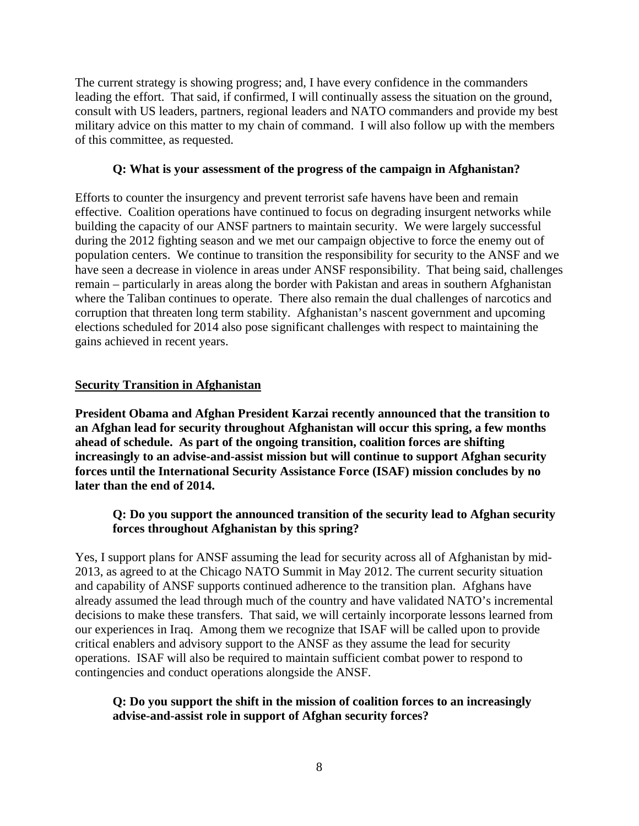The current strategy is showing progress; and, I have every confidence in the commanders leading the effort. That said, if confirmed, I will continually assess the situation on the ground, consult with US leaders, partners, regional leaders and NATO commanders and provide my best military advice on this matter to my chain of command. I will also follow up with the members of this committee, as requested.

#### **Q: What is your assessment of the progress of the campaign in Afghanistan?**

Efforts to counter the insurgency and prevent terrorist safe havens have been and remain effective. Coalition operations have continued to focus on degrading insurgent networks while building the capacity of our ANSF partners to maintain security. We were largely successful during the 2012 fighting season and we met our campaign objective to force the enemy out of population centers. We continue to transition the responsibility for security to the ANSF and we have seen a decrease in violence in areas under ANSF responsibility. That being said, challenges remain – particularly in areas along the border with Pakistan and areas in southern Afghanistan where the Taliban continues to operate. There also remain the dual challenges of narcotics and corruption that threaten long term stability. Afghanistan's nascent government and upcoming elections scheduled for 2014 also pose significant challenges with respect to maintaining the gains achieved in recent years.

#### **Security Transition in Afghanistan**

**President Obama and Afghan President Karzai recently announced that the transition to an Afghan lead for security throughout Afghanistan will occur this spring, a few months ahead of schedule. As part of the ongoing transition, coalition forces are shifting increasingly to an advise-and-assist mission but will continue to support Afghan security forces until the International Security Assistance Force (ISAF) mission concludes by no later than the end of 2014.** 

### **Q: Do you support the announced transition of the security lead to Afghan security forces throughout Afghanistan by this spring?**

Yes, I support plans for ANSF assuming the lead for security across all of Afghanistan by mid-2013, as agreed to at the Chicago NATO Summit in May 2012. The current security situation and capability of ANSF supports continued adherence to the transition plan. Afghans have already assumed the lead through much of the country and have validated NATO's incremental decisions to make these transfers. That said, we will certainly incorporate lessons learned from our experiences in Iraq. Among them we recognize that ISAF will be called upon to provide critical enablers and advisory support to the ANSF as they assume the lead for security operations. ISAF will also be required to maintain sufficient combat power to respond to contingencies and conduct operations alongside the ANSF.

#### **Q: Do you support the shift in the mission of coalition forces to an increasingly advise-and-assist role in support of Afghan security forces?**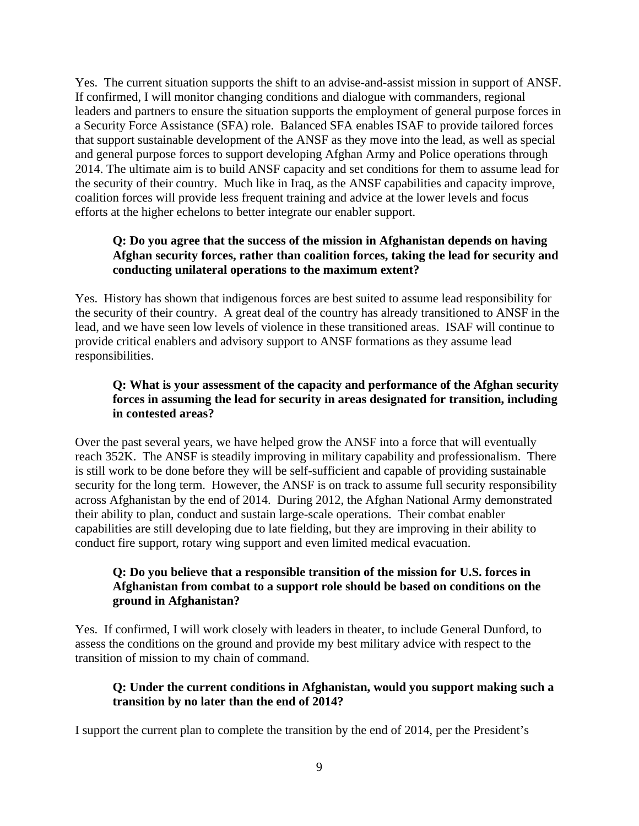Yes. The current situation supports the shift to an advise-and-assist mission in support of ANSF. If confirmed, I will monitor changing conditions and dialogue with commanders, regional leaders and partners to ensure the situation supports the employment of general purpose forces in a Security Force Assistance (SFA) role. Balanced SFA enables ISAF to provide tailored forces that support sustainable development of the ANSF as they move into the lead, as well as special and general purpose forces to support developing Afghan Army and Police operations through 2014. The ultimate aim is to build ANSF capacity and set conditions for them to assume lead for the security of their country. Much like in Iraq, as the ANSF capabilities and capacity improve, coalition forces will provide less frequent training and advice at the lower levels and focus efforts at the higher echelons to better integrate our enabler support.

# **Q: Do you agree that the success of the mission in Afghanistan depends on having Afghan security forces, rather than coalition forces, taking the lead for security and conducting unilateral operations to the maximum extent?**

Yes. History has shown that indigenous forces are best suited to assume lead responsibility for the security of their country. A great deal of the country has already transitioned to ANSF in the lead, and we have seen low levels of violence in these transitioned areas. ISAF will continue to provide critical enablers and advisory support to ANSF formations as they assume lead responsibilities.

# **Q: What is your assessment of the capacity and performance of the Afghan security forces in assuming the lead for security in areas designated for transition, including in contested areas?**

Over the past several years, we have helped grow the ANSF into a force that will eventually reach 352K. The ANSF is steadily improving in military capability and professionalism. There is still work to be done before they will be self-sufficient and capable of providing sustainable security for the long term. However, the ANSF is on track to assume full security responsibility across Afghanistan by the end of 2014. During 2012, the Afghan National Army demonstrated their ability to plan, conduct and sustain large-scale operations. Their combat enabler capabilities are still developing due to late fielding, but they are improving in their ability to conduct fire support, rotary wing support and even limited medical evacuation.

# **Q: Do you believe that a responsible transition of the mission for U.S. forces in Afghanistan from combat to a support role should be based on conditions on the ground in Afghanistan?**

Yes. If confirmed, I will work closely with leaders in theater, to include General Dunford, to assess the conditions on the ground and provide my best military advice with respect to the transition of mission to my chain of command.

## **Q: Under the current conditions in Afghanistan, would you support making such a transition by no later than the end of 2014?**

I support the current plan to complete the transition by the end of 2014, per the President's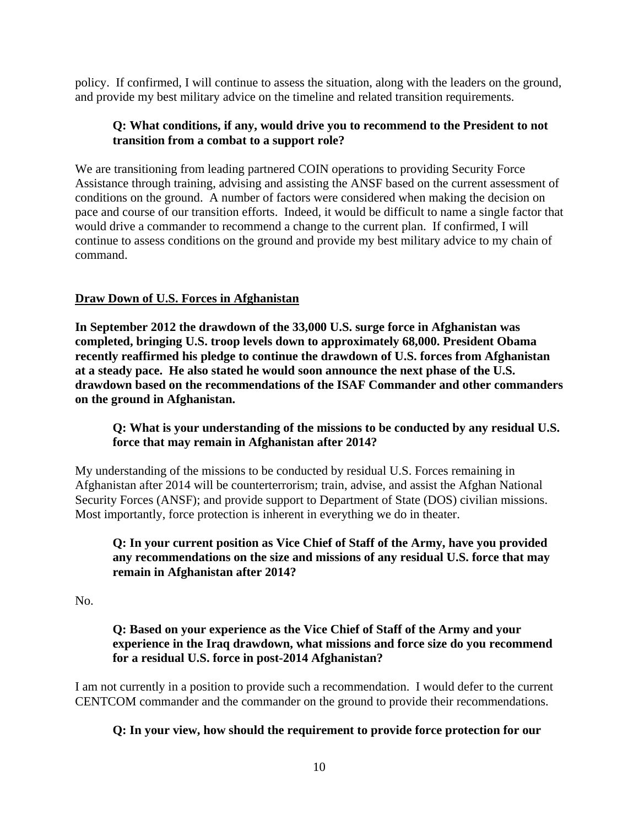policy. If confirmed, I will continue to assess the situation, along with the leaders on the ground, and provide my best military advice on the timeline and related transition requirements.

### **Q: What conditions, if any, would drive you to recommend to the President to not transition from a combat to a support role?**

We are transitioning from leading partnered COIN operations to providing Security Force Assistance through training, advising and assisting the ANSF based on the current assessment of conditions on the ground. A number of factors were considered when making the decision on pace and course of our transition efforts. Indeed, it would be difficult to name a single factor that would drive a commander to recommend a change to the current plan. If confirmed, I will continue to assess conditions on the ground and provide my best military advice to my chain of command.

## **Draw Down of U.S. Forces in Afghanistan**

**In September 2012 the drawdown of the 33,000 U.S. surge force in Afghanistan was completed, bringing U.S. troop levels down to approximately 68,000. President Obama recently reaffirmed his pledge to continue the drawdown of U.S. forces from Afghanistan at a steady pace. He also stated he would soon announce the next phase of the U.S. drawdown based on the recommendations of the ISAF Commander and other commanders on the ground in Afghanistan.** 

## **Q: What is your understanding of the missions to be conducted by any residual U.S. force that may remain in Afghanistan after 2014?**

My understanding of the missions to be conducted by residual U.S. Forces remaining in Afghanistan after 2014 will be counterterrorism; train, advise, and assist the Afghan National Security Forces (ANSF); and provide support to Department of State (DOS) civilian missions. Most importantly, force protection is inherent in everything we do in theater.

### **Q: In your current position as Vice Chief of Staff of the Army, have you provided any recommendations on the size and missions of any residual U.S. force that may remain in Afghanistan after 2014?**

No.

### **Q: Based on your experience as the Vice Chief of Staff of the Army and your experience in the Iraq drawdown, what missions and force size do you recommend for a residual U.S. force in post-2014 Afghanistan?**

I am not currently in a position to provide such a recommendation. I would defer to the current CENTCOM commander and the commander on the ground to provide their recommendations.

## **Q: In your view, how should the requirement to provide force protection for our**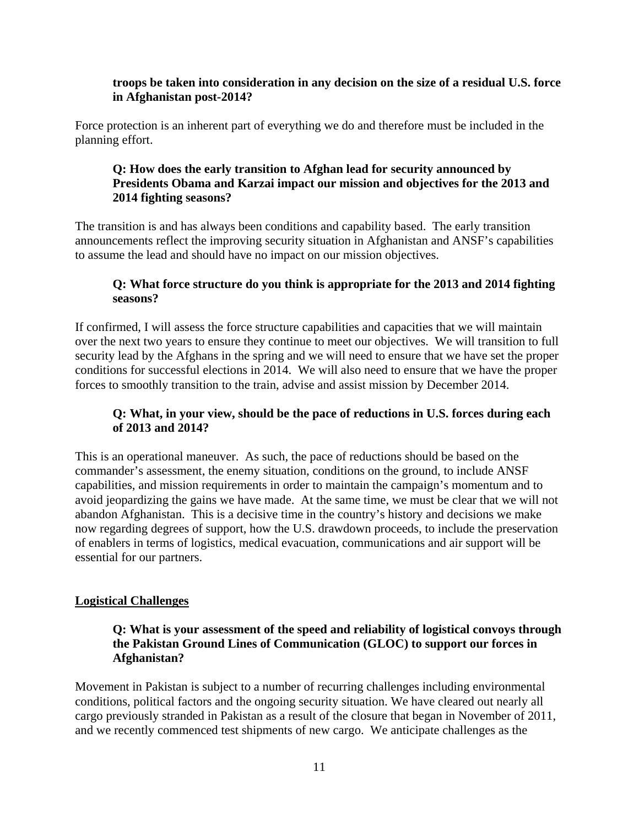#### **troops be taken into consideration in any decision on the size of a residual U.S. force in Afghanistan post-2014?**

Force protection is an inherent part of everything we do and therefore must be included in the planning effort.

## **Q: How does the early transition to Afghan lead for security announced by Presidents Obama and Karzai impact our mission and objectives for the 2013 and 2014 fighting seasons?**

The transition is and has always been conditions and capability based. The early transition announcements reflect the improving security situation in Afghanistan and ANSF's capabilities to assume the lead and should have no impact on our mission objectives.

## **Q: What force structure do you think is appropriate for the 2013 and 2014 fighting seasons?**

If confirmed, I will assess the force structure capabilities and capacities that we will maintain over the next two years to ensure they continue to meet our objectives. We will transition to full security lead by the Afghans in the spring and we will need to ensure that we have set the proper conditions for successful elections in 2014. We will also need to ensure that we have the proper forces to smoothly transition to the train, advise and assist mission by December 2014.

## **Q: What, in your view, should be the pace of reductions in U.S. forces during each of 2013 and 2014?**

This is an operational maneuver. As such, the pace of reductions should be based on the commander's assessment, the enemy situation, conditions on the ground, to include ANSF capabilities, and mission requirements in order to maintain the campaign's momentum and to avoid jeopardizing the gains we have made. At the same time, we must be clear that we will not abandon Afghanistan. This is a decisive time in the country's history and decisions we make now regarding degrees of support, how the U.S. drawdown proceeds, to include the preservation of enablers in terms of logistics, medical evacuation, communications and air support will be essential for our partners.

## **Logistical Challenges**

## **Q: What is your assessment of the speed and reliability of logistical convoys through the Pakistan Ground Lines of Communication (GLOC) to support our forces in Afghanistan?**

Movement in Pakistan is subject to a number of recurring challenges including environmental conditions, political factors and the ongoing security situation. We have cleared out nearly all cargo previously stranded in Pakistan as a result of the closure that began in November of 2011, and we recently commenced test shipments of new cargo. We anticipate challenges as the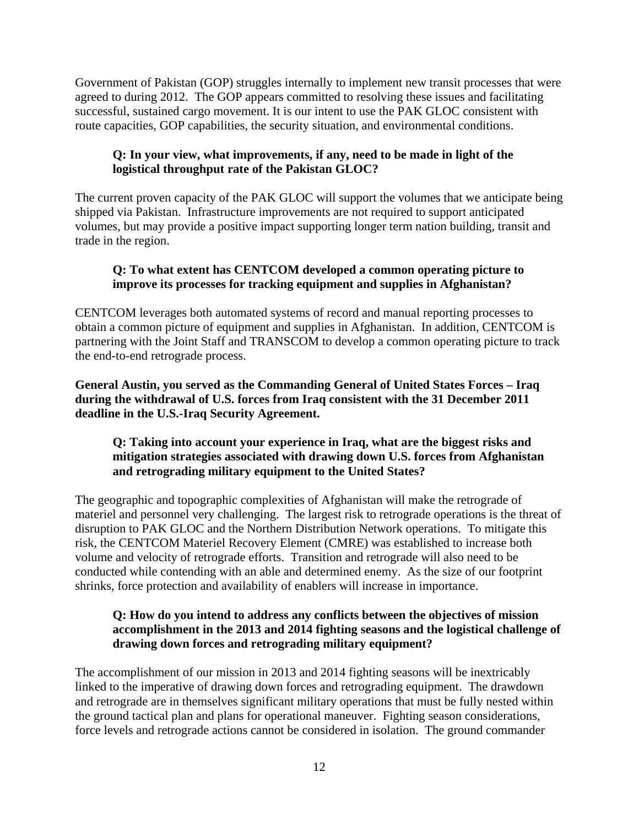Government of Pakistan (GOP) struggles internally to implement new transit processes that were agreed to during 2012. The GOP appears committed to resolving these issues and facilitating successful, sustained cargo movement. It is our intent to use the PAK GLOC consistent with route capacities, GOP capabilities, the security situation, and environmental conditions.

## **Q: In your view, what improvements, if any, need to be made in light of the logistical throughput rate of the Pakistan GLOC?**

The current proven capacity of the PAK GLOC will support the volumes that we anticipate being shipped via Pakistan. Infrastructure improvements are not required to support anticipated volumes, but may provide a positive impact supporting longer term nation building, transit and trade in the region.

## **Q: To what extent has CENTCOM developed a common operating picture to improve its processes for tracking equipment and supplies in Afghanistan?**

CENTCOM leverages both automated systems of record and manual reporting processes to obtain a common picture of equipment and supplies in Afghanistan. In addition, CENTCOM is partnering with the Joint Staff and TRANSCOM to develop a common operating picture to track the end-to-end retrograde process.

**General Austin, you served as the Commanding General of United States Forces – Iraq during the withdrawal of U.S. forces from Iraq consistent with the 31 December 2011 deadline in the U.S.-Iraq Security Agreement.** 

## **Q: Taking into account your experience in Iraq, what are the biggest risks and mitigation strategies associated with drawing down U.S. forces from Afghanistan and retrograding military equipment to the United States?**

The geographic and topographic complexities of Afghanistan will make the retrograde of materiel and personnel very challenging. The largest risk to retrograde operations is the threat of disruption to PAK GLOC and the Northern Distribution Network operations. To mitigate this risk, the CENTCOM Materiel Recovery Element (CMRE) was established to increase both volume and velocity of retrograde efforts. Transition and retrograde will also need to be conducted while contending with an able and determined enemy. As the size of our footprint shrinks, force protection and availability of enablers will increase in importance.

### **Q: How do you intend to address any conflicts between the objectives of mission accomplishment in the 2013 and 2014 fighting seasons and the logistical challenge of drawing down forces and retrograding military equipment?**

The accomplishment of our mission in 2013 and 2014 fighting seasons will be inextricably linked to the imperative of drawing down forces and retrograding equipment. The drawdown and retrograde are in themselves significant military operations that must be fully nested within the ground tactical plan and plans for operational maneuver. Fighting season considerations, force levels and retrograde actions cannot be considered in isolation. The ground commander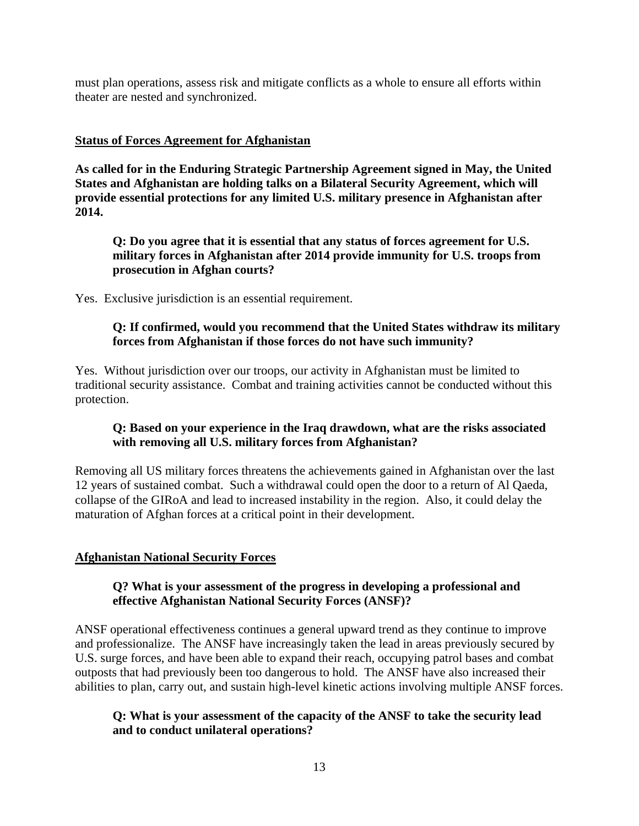must plan operations, assess risk and mitigate conflicts as a whole to ensure all efforts within theater are nested and synchronized.

### **Status of Forces Agreement for Afghanistan**

**As called for in the Enduring Strategic Partnership Agreement signed in May, the United States and Afghanistan are holding talks on a Bilateral Security Agreement, which will provide essential protections for any limited U.S. military presence in Afghanistan after 2014.** 

**Q: Do you agree that it is essential that any status of forces agreement for U.S. military forces in Afghanistan after 2014 provide immunity for U.S. troops from prosecution in Afghan courts?** 

Yes. Exclusive jurisdiction is an essential requirement.

### **Q: If confirmed, would you recommend that the United States withdraw its military forces from Afghanistan if those forces do not have such immunity?**

Yes. Without jurisdiction over our troops, our activity in Afghanistan must be limited to traditional security assistance. Combat and training activities cannot be conducted without this protection.

## **Q: Based on your experience in the Iraq drawdown, what are the risks associated with removing all U.S. military forces from Afghanistan?**

Removing all US military forces threatens the achievements gained in Afghanistan over the last 12 years of sustained combat. Such a withdrawal could open the door to a return of Al Qaeda, collapse of the GIRoA and lead to increased instability in the region. Also, it could delay the maturation of Afghan forces at a critical point in their development.

## **Afghanistan National Security Forces**

### **Q? What is your assessment of the progress in developing a professional and effective Afghanistan National Security Forces (ANSF)?**

ANSF operational effectiveness continues a general upward trend as they continue to improve and professionalize. The ANSF have increasingly taken the lead in areas previously secured by U.S. surge forces, and have been able to expand their reach, occupying patrol bases and combat outposts that had previously been too dangerous to hold. The ANSF have also increased their abilities to plan, carry out, and sustain high-level kinetic actions involving multiple ANSF forces.

## **Q: What is your assessment of the capacity of the ANSF to take the security lead and to conduct unilateral operations?**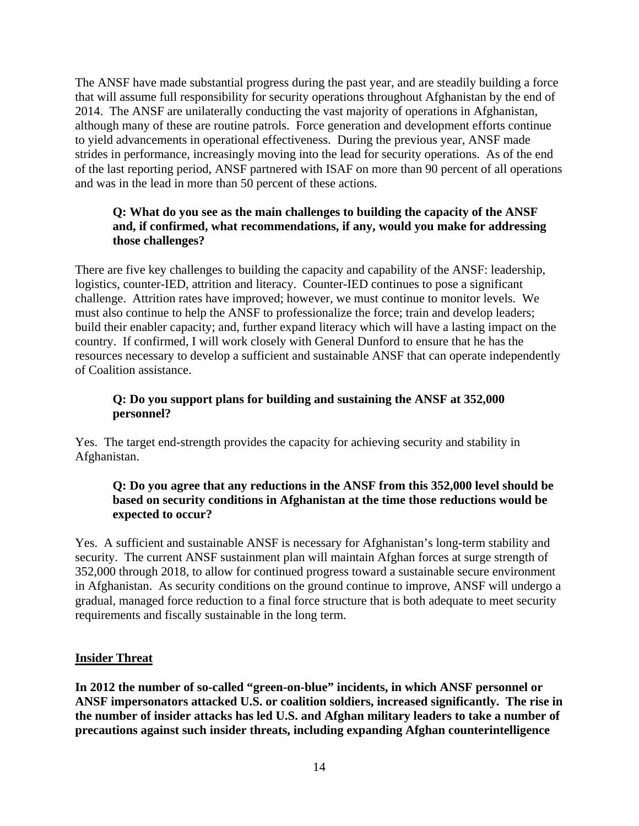The ANSF have made substantial progress during the past year, and are steadily building a force that will assume full responsibility for security operations throughout Afghanistan by the end of 2014. The ANSF are unilaterally conducting the vast majority of operations in Afghanistan, although many of these are routine patrols. Force generation and development efforts continue to yield advancements in operational effectiveness. During the previous year, ANSF made strides in performance, increasingly moving into the lead for security operations. As of the end of the last reporting period, ANSF partnered with ISAF on more than 90 percent of all operations and was in the lead in more than 50 percent of these actions.

## **Q: What do you see as the main challenges to building the capacity of the ANSF and, if confirmed, what recommendations, if any, would you make for addressing those challenges?**

There are five key challenges to building the capacity and capability of the ANSF: leadership, logistics, counter-IED, attrition and literacy. Counter-IED continues to pose a significant challenge. Attrition rates have improved; however, we must continue to monitor levels. We must also continue to help the ANSF to professionalize the force; train and develop leaders; build their enabler capacity; and, further expand literacy which will have a lasting impact on the country. If confirmed, I will work closely with General Dunford to ensure that he has the resources necessary to develop a sufficient and sustainable ANSF that can operate independently of Coalition assistance.

## **Q: Do you support plans for building and sustaining the ANSF at 352,000 personnel?**

Yes. The target end-strength provides the capacity for achieving security and stability in Afghanistan.

# **Q: Do you agree that any reductions in the ANSF from this 352,000 level should be based on security conditions in Afghanistan at the time those reductions would be expected to occur?**

Yes. A sufficient and sustainable ANSF is necessary for Afghanistan's long-term stability and security. The current ANSF sustainment plan will maintain Afghan forces at surge strength of 352,000 through 2018, to allow for continued progress toward a sustainable secure environment in Afghanistan. As security conditions on the ground continue to improve, ANSF will undergo a gradual, managed force reduction to a final force structure that is both adequate to meet security requirements and fiscally sustainable in the long term.

## **Insider Threat**

**In 2012 the number of so-called "green-on-blue" incidents, in which ANSF personnel or ANSF impersonators attacked U.S. or coalition soldiers, increased significantly. The rise in the number of insider attacks has led U.S. and Afghan military leaders to take a number of precautions against such insider threats, including expanding Afghan counterintelligence**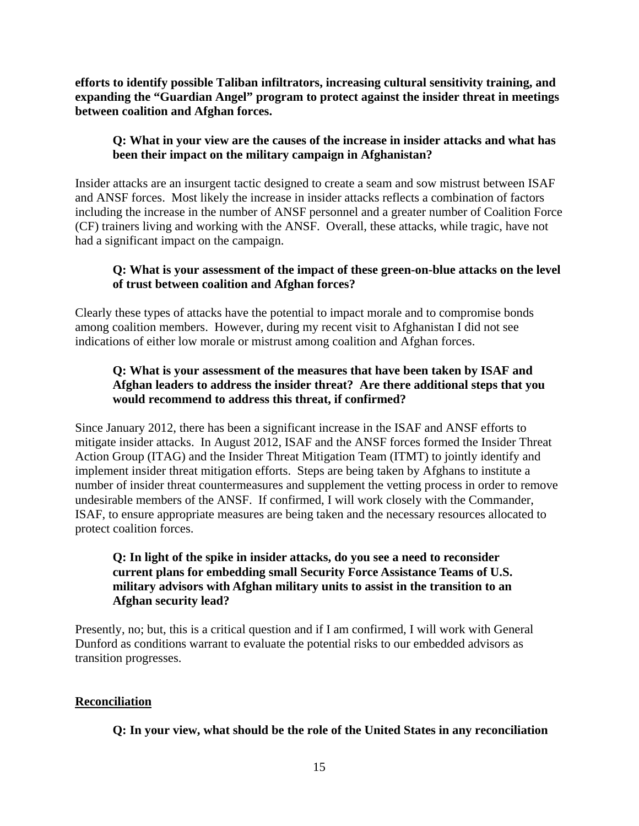**efforts to identify possible Taliban infiltrators, increasing cultural sensitivity training, and expanding the "Guardian Angel" program to protect against the insider threat in meetings between coalition and Afghan forces.** 

# **Q: What in your view are the causes of the increase in insider attacks and what has been their impact on the military campaign in Afghanistan?**

Insider attacks are an insurgent tactic designed to create a seam and sow mistrust between ISAF and ANSF forces. Most likely the increase in insider attacks reflects a combination of factors including the increase in the number of ANSF personnel and a greater number of Coalition Force (CF) trainers living and working with the ANSF. Overall, these attacks, while tragic, have not had a significant impact on the campaign.

## **Q: What is your assessment of the impact of these green-on-blue attacks on the level of trust between coalition and Afghan forces?**

Clearly these types of attacks have the potential to impact morale and to compromise bonds among coalition members. However, during my recent visit to Afghanistan I did not see indications of either low morale or mistrust among coalition and Afghan forces.

# **Q: What is your assessment of the measures that have been taken by ISAF and Afghan leaders to address the insider threat? Are there additional steps that you would recommend to address this threat, if confirmed?**

Since January 2012, there has been a significant increase in the ISAF and ANSF efforts to mitigate insider attacks. In August 2012, ISAF and the ANSF forces formed the Insider Threat Action Group (ITAG) and the Insider Threat Mitigation Team (ITMT) to jointly identify and implement insider threat mitigation efforts. Steps are being taken by Afghans to institute a number of insider threat countermeasures and supplement the vetting process in order to remove undesirable members of the ANSF. If confirmed, I will work closely with the Commander, ISAF, to ensure appropriate measures are being taken and the necessary resources allocated to protect coalition forces.

## **Q: In light of the spike in insider attacks, do you see a need to reconsider current plans for embedding small Security Force Assistance Teams of U.S. military advisors with Afghan military units to assist in the transition to an Afghan security lead?**

Presently, no; but, this is a critical question and if I am confirmed, I will work with General Dunford as conditions warrant to evaluate the potential risks to our embedded advisors as transition progresses.

## **Reconciliation**

**Q: In your view, what should be the role of the United States in any reconciliation**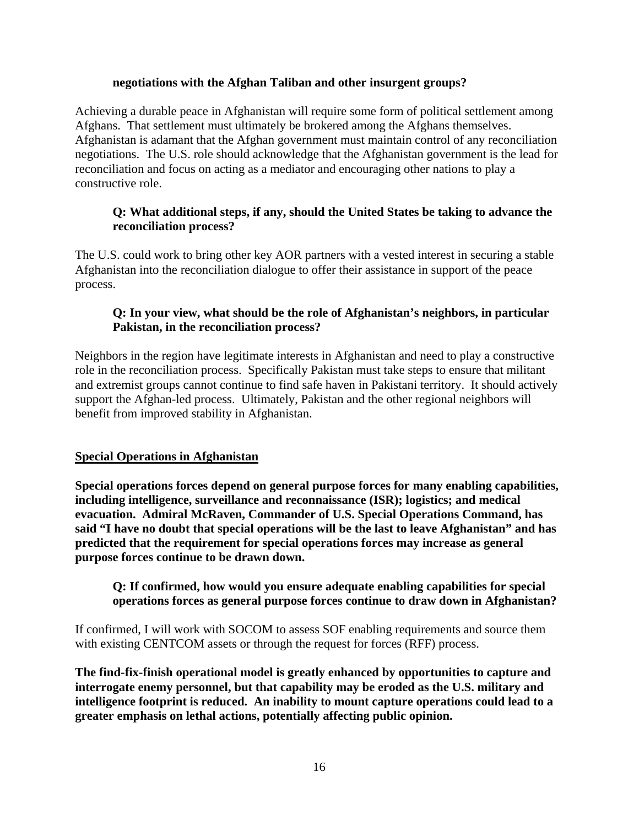#### **negotiations with the Afghan Taliban and other insurgent groups?**

Achieving a durable peace in Afghanistan will require some form of political settlement among Afghans. That settlement must ultimately be brokered among the Afghans themselves. Afghanistan is adamant that the Afghan government must maintain control of any reconciliation negotiations. The U.S. role should acknowledge that the Afghanistan government is the lead for reconciliation and focus on acting as a mediator and encouraging other nations to play a constructive role.

## **Q: What additional steps, if any, should the United States be taking to advance the reconciliation process?**

The U.S. could work to bring other key AOR partners with a vested interest in securing a stable Afghanistan into the reconciliation dialogue to offer their assistance in support of the peace process.

### **Q: In your view, what should be the role of Afghanistan's neighbors, in particular Pakistan, in the reconciliation process?**

Neighbors in the region have legitimate interests in Afghanistan and need to play a constructive role in the reconciliation process. Specifically Pakistan must take steps to ensure that militant and extremist groups cannot continue to find safe haven in Pakistani territory. It should actively support the Afghan-led process. Ultimately, Pakistan and the other regional neighbors will benefit from improved stability in Afghanistan.

## **Special Operations in Afghanistan**

**Special operations forces depend on general purpose forces for many enabling capabilities, including intelligence, surveillance and reconnaissance (ISR); logistics; and medical evacuation. Admiral McRaven, Commander of U.S. Special Operations Command, has said "I have no doubt that special operations will be the last to leave Afghanistan" and has predicted that the requirement for special operations forces may increase as general purpose forces continue to be drawn down.** 

### **Q: If confirmed, how would you ensure adequate enabling capabilities for special operations forces as general purpose forces continue to draw down in Afghanistan?**

If confirmed, I will work with SOCOM to assess SOF enabling requirements and source them with existing CENTCOM assets or through the request for forces (RFF) process.

**The find-fix-finish operational model is greatly enhanced by opportunities to capture and interrogate enemy personnel, but that capability may be eroded as the U.S. military and intelligence footprint is reduced. An inability to mount capture operations could lead to a greater emphasis on lethal actions, potentially affecting public opinion.**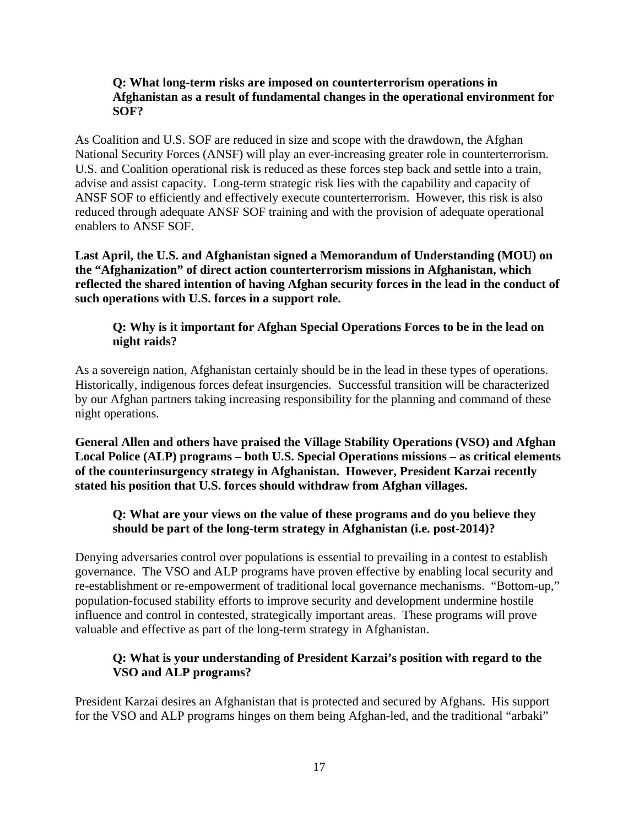#### **Q: What long-term risks are imposed on counterterrorism operations in Afghanistan as a result of fundamental changes in the operational environment for SOF?**

As Coalition and U.S. SOF are reduced in size and scope with the drawdown, the Afghan National Security Forces (ANSF) will play an ever-increasing greater role in counterterrorism. U.S. and Coalition operational risk is reduced as these forces step back and settle into a train, advise and assist capacity. Long-term strategic risk lies with the capability and capacity of ANSF SOF to efficiently and effectively execute counterterrorism. However, this risk is also reduced through adequate ANSF SOF training and with the provision of adequate operational enablers to ANSF SOF.

**Last April, the U.S. and Afghanistan signed a Memorandum of Understanding (MOU) on the "Afghanization" of direct action counterterrorism missions in Afghanistan, which reflected the shared intention of having Afghan security forces in the lead in the conduct of such operations with U.S. forces in a support role.** 

## **Q: Why is it important for Afghan Special Operations Forces to be in the lead on night raids?**

As a sovereign nation, Afghanistan certainly should be in the lead in these types of operations. Historically, indigenous forces defeat insurgencies. Successful transition will be characterized by our Afghan partners taking increasing responsibility for the planning and command of these night operations.

**General Allen and others have praised the Village Stability Operations (VSO) and Afghan Local Police (ALP) programs – both U.S. Special Operations missions – as critical elements of the counterinsurgency strategy in Afghanistan. However, President Karzai recently stated his position that U.S. forces should withdraw from Afghan villages.** 

## **Q: What are your views on the value of these programs and do you believe they should be part of the long-term strategy in Afghanistan (i.e. post-2014)?**

Denying adversaries control over populations is essential to prevailing in a contest to establish governance. The VSO and ALP programs have proven effective by enabling local security and re-establishment or re-empowerment of traditional local governance mechanisms. "Bottom-up," population-focused stability efforts to improve security and development undermine hostile influence and control in contested, strategically important areas. These programs will prove valuable and effective as part of the long-term strategy in Afghanistan.

# **Q: What is your understanding of President Karzai's position with regard to the VSO and ALP programs?**

President Karzai desires an Afghanistan that is protected and secured by Afghans. His support for the VSO and ALP programs hinges on them being Afghan-led, and the traditional "arbaki"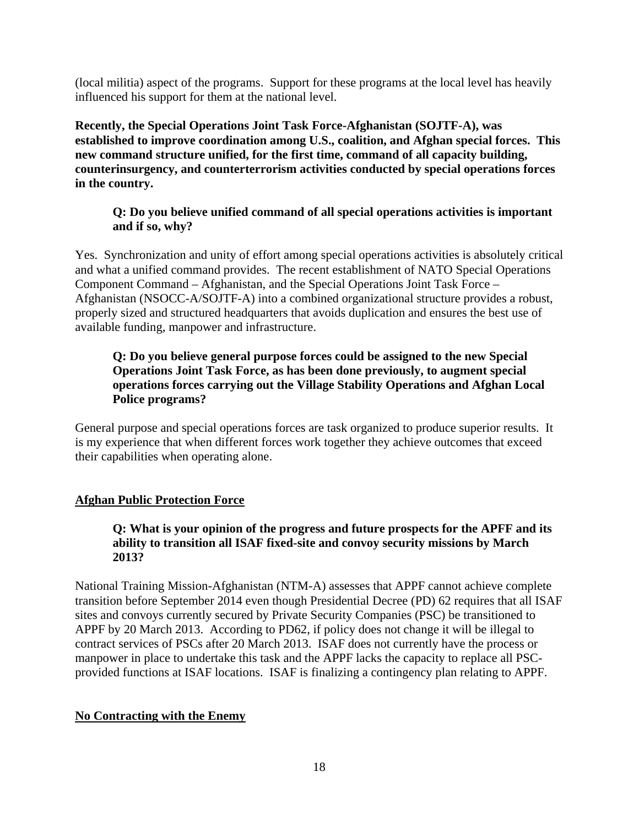(local militia) aspect of the programs. Support for these programs at the local level has heavily influenced his support for them at the national level.

**Recently, the Special Operations Joint Task Force-Afghanistan (SOJTF-A), was established to improve coordination among U.S., coalition, and Afghan special forces. This new command structure unified, for the first time, command of all capacity building, counterinsurgency, and counterterrorism activities conducted by special operations forces in the country.** 

## **Q: Do you believe unified command of all special operations activities is important and if so, why?**

Yes. Synchronization and unity of effort among special operations activities is absolutely critical and what a unified command provides. The recent establishment of NATO Special Operations Component Command – Afghanistan, and the Special Operations Joint Task Force – Afghanistan (NSOCC-A/SOJTF-A) into a combined organizational structure provides a robust, properly sized and structured headquarters that avoids duplication and ensures the best use of available funding, manpower and infrastructure.

## **Q: Do you believe general purpose forces could be assigned to the new Special Operations Joint Task Force, as has been done previously, to augment special operations forces carrying out the Village Stability Operations and Afghan Local Police programs?**

General purpose and special operations forces are task organized to produce superior results. It is my experience that when different forces work together they achieve outcomes that exceed their capabilities when operating alone.

# **Afghan Public Protection Force**

## **Q: What is your opinion of the progress and future prospects for the APFF and its ability to transition all ISAF fixed-site and convoy security missions by March 2013?**

National Training Mission-Afghanistan (NTM-A) assesses that APPF cannot achieve complete transition before September 2014 even though Presidential Decree (PD) 62 requires that all ISAF sites and convoys currently secured by Private Security Companies (PSC) be transitioned to APPF by 20 March 2013. According to PD62, if policy does not change it will be illegal to contract services of PSCs after 20 March 2013. ISAF does not currently have the process or manpower in place to undertake this task and the APPF lacks the capacity to replace all PSCprovided functions at ISAF locations. ISAF is finalizing a contingency plan relating to APPF.

## **No Contracting with the Enemy**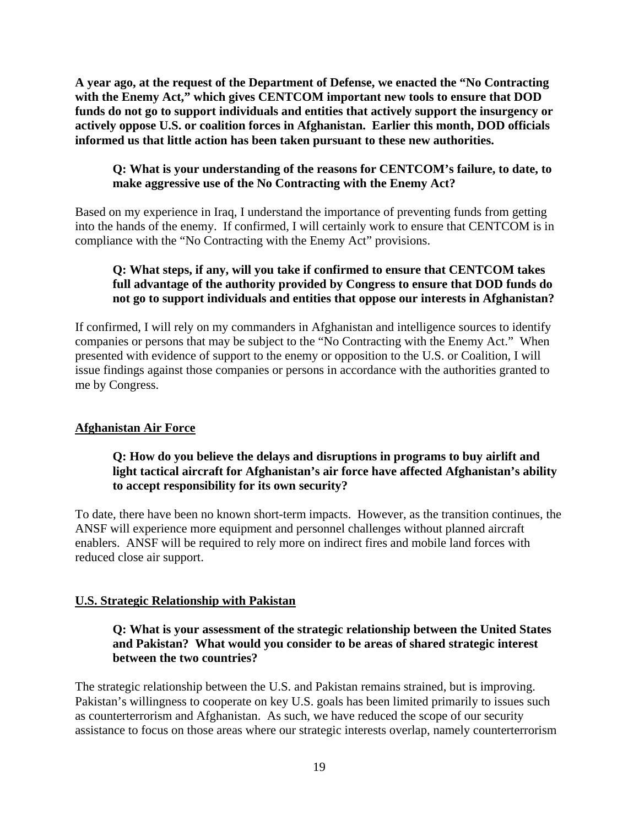**A year ago, at the request of the Department of Defense, we enacted the "No Contracting with the Enemy Act," which gives CENTCOM important new tools to ensure that DOD funds do not go to support individuals and entities that actively support the insurgency or actively oppose U.S. or coalition forces in Afghanistan. Earlier this month, DOD officials informed us that little action has been taken pursuant to these new authorities.** 

## **Q: What is your understanding of the reasons for CENTCOM's failure, to date, to make aggressive use of the No Contracting with the Enemy Act?**

Based on my experience in Iraq, I understand the importance of preventing funds from getting into the hands of the enemy. If confirmed, I will certainly work to ensure that CENTCOM is in compliance with the "No Contracting with the Enemy Act" provisions.

# **Q: What steps, if any, will you take if confirmed to ensure that CENTCOM takes full advantage of the authority provided by Congress to ensure that DOD funds do not go to support individuals and entities that oppose our interests in Afghanistan?**

If confirmed, I will rely on my commanders in Afghanistan and intelligence sources to identify companies or persons that may be subject to the "No Contracting with the Enemy Act." When presented with evidence of support to the enemy or opposition to the U.S. or Coalition, I will issue findings against those companies or persons in accordance with the authorities granted to me by Congress.

## **Afghanistan Air Force**

## **Q: How do you believe the delays and disruptions in programs to buy airlift and light tactical aircraft for Afghanistan's air force have affected Afghanistan's ability to accept responsibility for its own security?**

To date, there have been no known short-term impacts. However, as the transition continues, the ANSF will experience more equipment and personnel challenges without planned aircraft enablers. ANSF will be required to rely more on indirect fires and mobile land forces with reduced close air support.

## **U.S. Strategic Relationship with Pakistan**

## **Q: What is your assessment of the strategic relationship between the United States and Pakistan? What would you consider to be areas of shared strategic interest between the two countries?**

The strategic relationship between the U.S. and Pakistan remains strained, but is improving. Pakistan's willingness to cooperate on key U.S. goals has been limited primarily to issues such as counterterrorism and Afghanistan. As such, we have reduced the scope of our security assistance to focus on those areas where our strategic interests overlap, namely counterterrorism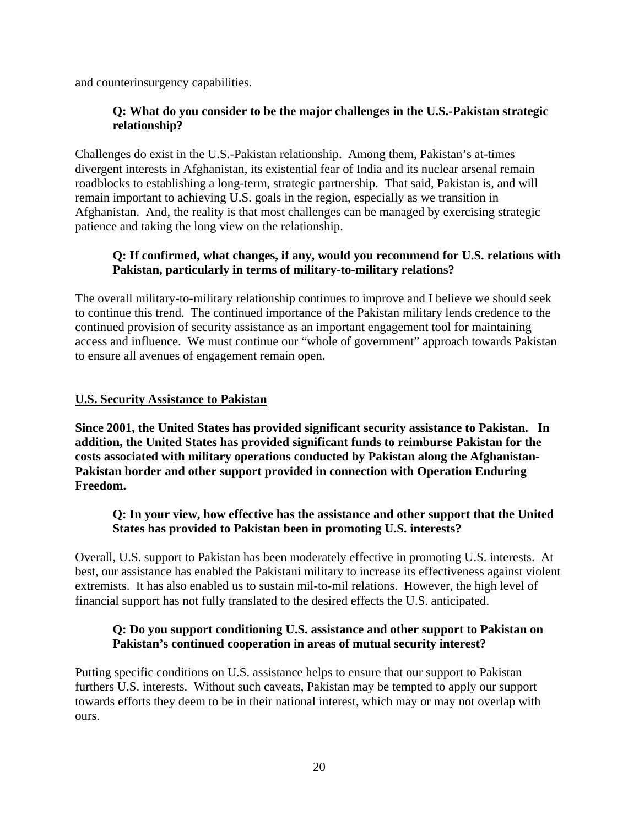and counterinsurgency capabilities.

### **Q: What do you consider to be the major challenges in the U.S.-Pakistan strategic relationship?**

Challenges do exist in the U.S.-Pakistan relationship. Among them, Pakistan's at-times divergent interests in Afghanistan, its existential fear of India and its nuclear arsenal remain roadblocks to establishing a long-term, strategic partnership. That said, Pakistan is, and will remain important to achieving U.S. goals in the region, especially as we transition in Afghanistan. And, the reality is that most challenges can be managed by exercising strategic patience and taking the long view on the relationship.

### **Q: If confirmed, what changes, if any, would you recommend for U.S. relations with Pakistan, particularly in terms of military-to-military relations?**

The overall military-to-military relationship continues to improve and I believe we should seek to continue this trend. The continued importance of the Pakistan military lends credence to the continued provision of security assistance as an important engagement tool for maintaining access and influence. We must continue our "whole of government" approach towards Pakistan to ensure all avenues of engagement remain open.

## **U.S. Security Assistance to Pakistan**

**Since 2001, the United States has provided significant security assistance to Pakistan. In addition, the United States has provided significant funds to reimburse Pakistan for the costs associated with military operations conducted by Pakistan along the Afghanistan-Pakistan border and other support provided in connection with Operation Enduring Freedom.** 

### **Q: In your view, how effective has the assistance and other support that the United States has provided to Pakistan been in promoting U.S. interests?**

Overall, U.S. support to Pakistan has been moderately effective in promoting U.S. interests. At best, our assistance has enabled the Pakistani military to increase its effectiveness against violent extremists. It has also enabled us to sustain mil-to-mil relations. However, the high level of financial support has not fully translated to the desired effects the U.S. anticipated.

### **Q: Do you support conditioning U.S. assistance and other support to Pakistan on Pakistan's continued cooperation in areas of mutual security interest?**

Putting specific conditions on U.S. assistance helps to ensure that our support to Pakistan furthers U.S. interests. Without such caveats, Pakistan may be tempted to apply our support towards efforts they deem to be in their national interest, which may or may not overlap with ours.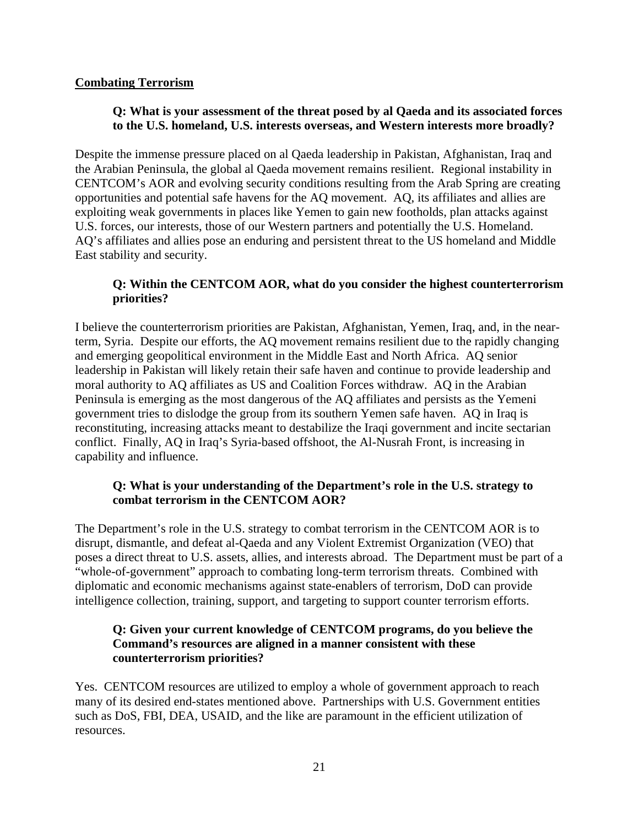## **Combating Terrorism**

## **Q: What is your assessment of the threat posed by al Qaeda and its associated forces to the U.S. homeland, U.S. interests overseas, and Western interests more broadly?**

Despite the immense pressure placed on al Qaeda leadership in Pakistan, Afghanistan, Iraq and the Arabian Peninsula, the global al Qaeda movement remains resilient. Regional instability in CENTCOM's AOR and evolving security conditions resulting from the Arab Spring are creating opportunities and potential safe havens for the AQ movement. AQ, its affiliates and allies are exploiting weak governments in places like Yemen to gain new footholds, plan attacks against U.S. forces, our interests, those of our Western partners and potentially the U.S. Homeland. AQ's affiliates and allies pose an enduring and persistent threat to the US homeland and Middle East stability and security.

# **Q: Within the CENTCOM AOR, what do you consider the highest counterterrorism priorities?**

I believe the counterterrorism priorities are Pakistan, Afghanistan, Yemen, Iraq, and, in the nearterm, Syria. Despite our efforts, the AQ movement remains resilient due to the rapidly changing and emerging geopolitical environment in the Middle East and North Africa. AQ senior leadership in Pakistan will likely retain their safe haven and continue to provide leadership and moral authority to AQ affiliates as US and Coalition Forces withdraw. AQ in the Arabian Peninsula is emerging as the most dangerous of the AQ affiliates and persists as the Yemeni government tries to dislodge the group from its southern Yemen safe haven. AQ in Iraq is reconstituting, increasing attacks meant to destabilize the Iraqi government and incite sectarian conflict. Finally, AQ in Iraq's Syria-based offshoot, the Al-Nusrah Front, is increasing in capability and influence.

## **Q: What is your understanding of the Department's role in the U.S. strategy to combat terrorism in the CENTCOM AOR?**

The Department's role in the U.S. strategy to combat terrorism in the CENTCOM AOR is to disrupt, dismantle, and defeat al-Qaeda and any Violent Extremist Organization (VEO) that poses a direct threat to U.S. assets, allies, and interests abroad. The Department must be part of a "whole-of-government" approach to combating long-term terrorism threats. Combined with diplomatic and economic mechanisms against state-enablers of terrorism, DoD can provide intelligence collection, training, support, and targeting to support counter terrorism efforts.

## **Q: Given your current knowledge of CENTCOM programs, do you believe the Command's resources are aligned in a manner consistent with these counterterrorism priorities?**

Yes. CENTCOM resources are utilized to employ a whole of government approach to reach many of its desired end-states mentioned above. Partnerships with U.S. Government entities such as DoS, FBI, DEA, USAID, and the like are paramount in the efficient utilization of resources.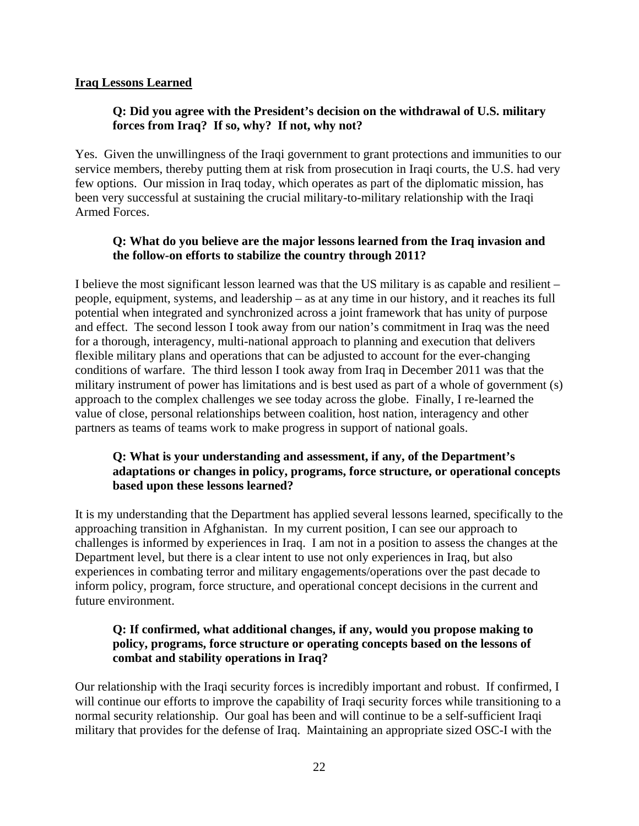### **Iraq Lessons Learned**

### **Q: Did you agree with the President's decision on the withdrawal of U.S. military forces from Iraq? If so, why? If not, why not?**

Yes. Given the unwillingness of the Iraqi government to grant protections and immunities to our service members, thereby putting them at risk from prosecution in Iraqi courts, the U.S. had very few options. Our mission in Iraq today, which operates as part of the diplomatic mission, has been very successful at sustaining the crucial military-to-military relationship with the Iraqi Armed Forces.

### **Q: What do you believe are the major lessons learned from the Iraq invasion and the follow-on efforts to stabilize the country through 2011?**

I believe the most significant lesson learned was that the US military is as capable and resilient – people, equipment, systems, and leadership – as at any time in our history, and it reaches its full potential when integrated and synchronized across a joint framework that has unity of purpose and effect. The second lesson I took away from our nation's commitment in Iraq was the need for a thorough, interagency, multi-national approach to planning and execution that delivers flexible military plans and operations that can be adjusted to account for the ever-changing conditions of warfare. The third lesson I took away from Iraq in December 2011 was that the military instrument of power has limitations and is best used as part of a whole of government (s) approach to the complex challenges we see today across the globe. Finally, I re-learned the value of close, personal relationships between coalition, host nation, interagency and other partners as teams of teams work to make progress in support of national goals.

### **Q: What is your understanding and assessment, if any, of the Department's adaptations or changes in policy, programs, force structure, or operational concepts based upon these lessons learned?**

It is my understanding that the Department has applied several lessons learned, specifically to the approaching transition in Afghanistan. In my current position, I can see our approach to challenges is informed by experiences in Iraq. I am not in a position to assess the changes at the Department level, but there is a clear intent to use not only experiences in Iraq, but also experiences in combating terror and military engagements/operations over the past decade to inform policy, program, force structure, and operational concept decisions in the current and future environment.

### **Q: If confirmed, what additional changes, if any, would you propose making to policy, programs, force structure or operating concepts based on the lessons of combat and stability operations in Iraq?**

Our relationship with the Iraqi security forces is incredibly important and robust. If confirmed, I will continue our efforts to improve the capability of Iraqi security forces while transitioning to a normal security relationship. Our goal has been and will continue to be a self-sufficient Iraqi military that provides for the defense of Iraq. Maintaining an appropriate sized OSC-I with the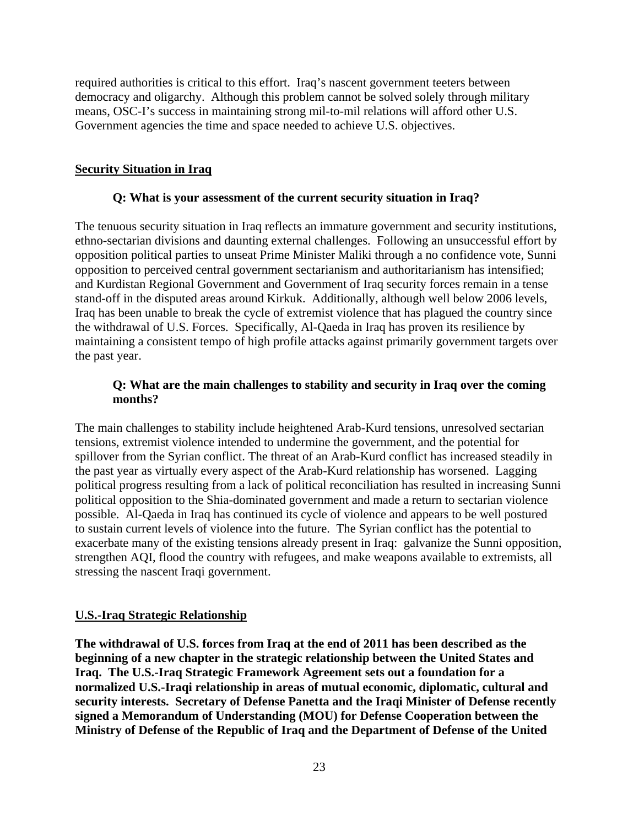required authorities is critical to this effort. Iraq's nascent government teeters between democracy and oligarchy. Although this problem cannot be solved solely through military means, OSC-I's success in maintaining strong mil-to-mil relations will afford other U.S. Government agencies the time and space needed to achieve U.S. objectives.

## **Security Situation in Iraq**

### **Q: What is your assessment of the current security situation in Iraq?**

The tenuous security situation in Iraq reflects an immature government and security institutions, ethno-sectarian divisions and daunting external challenges. Following an unsuccessful effort by opposition political parties to unseat Prime Minister Maliki through a no confidence vote, Sunni opposition to perceived central government sectarianism and authoritarianism has intensified; and Kurdistan Regional Government and Government of Iraq security forces remain in a tense stand-off in the disputed areas around Kirkuk. Additionally, although well below 2006 levels, Iraq has been unable to break the cycle of extremist violence that has plagued the country since the withdrawal of U.S. Forces. Specifically, Al-Qaeda in Iraq has proven its resilience by maintaining a consistent tempo of high profile attacks against primarily government targets over the past year.

### **Q: What are the main challenges to stability and security in Iraq over the coming months?**

The main challenges to stability include heightened Arab-Kurd tensions, unresolved sectarian tensions, extremist violence intended to undermine the government, and the potential for spillover from the Syrian conflict. The threat of an Arab-Kurd conflict has increased steadily in the past year as virtually every aspect of the Arab-Kurd relationship has worsened. Lagging political progress resulting from a lack of political reconciliation has resulted in increasing Sunni political opposition to the Shia-dominated government and made a return to sectarian violence possible. Al-Qaeda in Iraq has continued its cycle of violence and appears to be well postured to sustain current levels of violence into the future. The Syrian conflict has the potential to exacerbate many of the existing tensions already present in Iraq: galvanize the Sunni opposition, strengthen AQI, flood the country with refugees, and make weapons available to extremists, all stressing the nascent Iraqi government.

## **U.S.-Iraq Strategic Relationship**

**The withdrawal of U.S. forces from Iraq at the end of 2011 has been described as the beginning of a new chapter in the strategic relationship between the United States and Iraq. The U.S.-Iraq Strategic Framework Agreement sets out a foundation for a normalized U.S.-Iraqi relationship in areas of mutual economic, diplomatic, cultural and security interests. Secretary of Defense Panetta and the Iraqi Minister of Defense recently signed a Memorandum of Understanding (MOU) for Defense Cooperation between the Ministry of Defense of the Republic of Iraq and the Department of Defense of the United**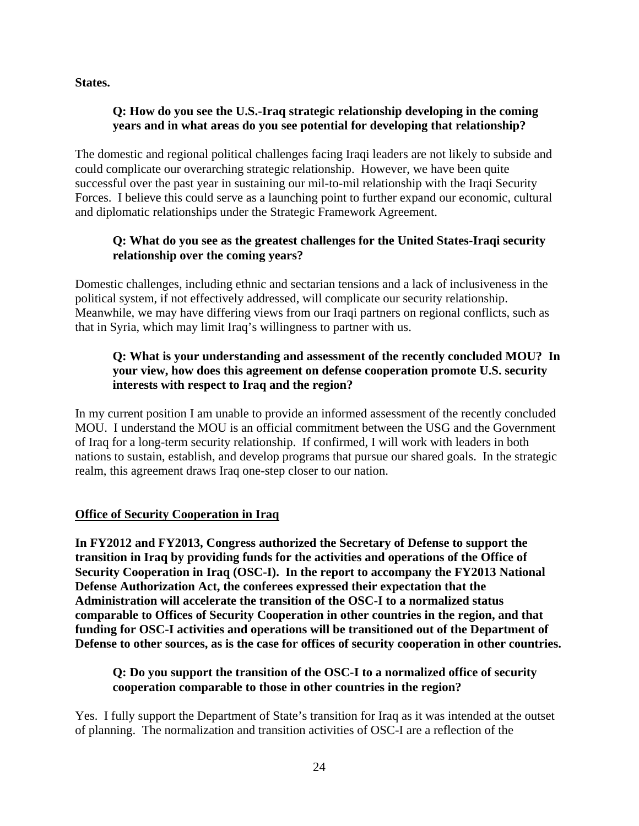**States.** 

## **Q: How do you see the U.S.-Iraq strategic relationship developing in the coming years and in what areas do you see potential for developing that relationship?**

The domestic and regional political challenges facing Iraqi leaders are not likely to subside and could complicate our overarching strategic relationship. However, we have been quite successful over the past year in sustaining our mil-to-mil relationship with the Iraqi Security Forces. I believe this could serve as a launching point to further expand our economic, cultural and diplomatic relationships under the Strategic Framework Agreement.

# **Q: What do you see as the greatest challenges for the United States-Iraqi security relationship over the coming years?**

Domestic challenges, including ethnic and sectarian tensions and a lack of inclusiveness in the political system, if not effectively addressed, will complicate our security relationship. Meanwhile, we may have differing views from our Iraqi partners on regional conflicts, such as that in Syria, which may limit Iraq's willingness to partner with us.

# **Q: What is your understanding and assessment of the recently concluded MOU? In your view, how does this agreement on defense cooperation promote U.S. security interests with respect to Iraq and the region?**

In my current position I am unable to provide an informed assessment of the recently concluded MOU. I understand the MOU is an official commitment between the USG and the Government of Iraq for a long-term security relationship. If confirmed, I will work with leaders in both nations to sustain, establish, and develop programs that pursue our shared goals. In the strategic realm, this agreement draws Iraq one-step closer to our nation.

## **Office of Security Cooperation in Iraq**

**In FY2012 and FY2013, Congress authorized the Secretary of Defense to support the transition in Iraq by providing funds for the activities and operations of the Office of Security Cooperation in Iraq (OSC-I). In the report to accompany the FY2013 National Defense Authorization Act, the conferees expressed their expectation that the Administration will accelerate the transition of the OSC-I to a normalized status comparable to Offices of Security Cooperation in other countries in the region, and that funding for OSC-I activities and operations will be transitioned out of the Department of Defense to other sources, as is the case for offices of security cooperation in other countries.** 

# **Q: Do you support the transition of the OSC-I to a normalized office of security cooperation comparable to those in other countries in the region?**

Yes. I fully support the Department of State's transition for Iraq as it was intended at the outset of planning. The normalization and transition activities of OSC-I are a reflection of the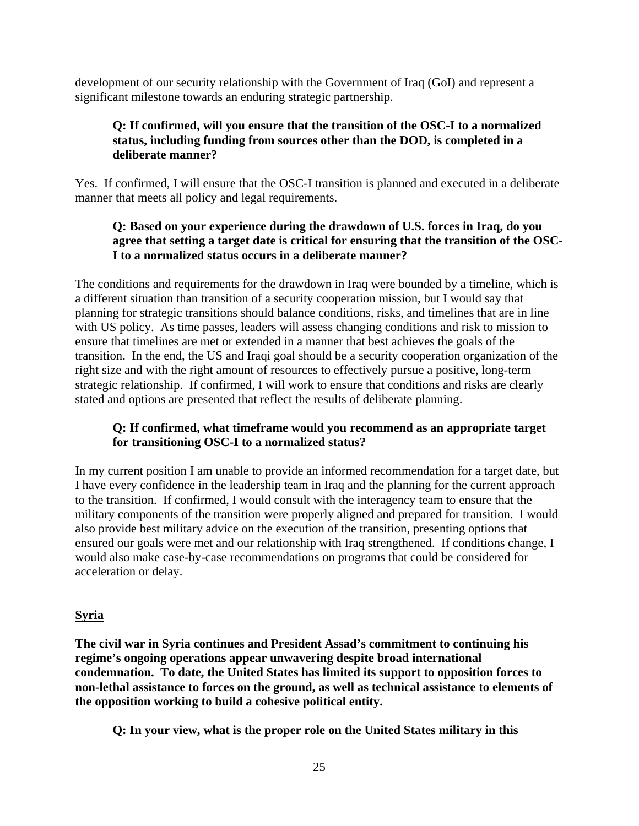development of our security relationship with the Government of Iraq (GoI) and represent a significant milestone towards an enduring strategic partnership.

## **Q: If confirmed, will you ensure that the transition of the OSC-I to a normalized status, including funding from sources other than the DOD, is completed in a deliberate manner?**

Yes. If confirmed, I will ensure that the OSC-I transition is planned and executed in a deliberate manner that meets all policy and legal requirements.

## **Q: Based on your experience during the drawdown of U.S. forces in Iraq, do you agree that setting a target date is critical for ensuring that the transition of the OSC-I to a normalized status occurs in a deliberate manner?**

The conditions and requirements for the drawdown in Iraq were bounded by a timeline, which is a different situation than transition of a security cooperation mission, but I would say that planning for strategic transitions should balance conditions, risks, and timelines that are in line with US policy. As time passes, leaders will assess changing conditions and risk to mission to ensure that timelines are met or extended in a manner that best achieves the goals of the transition. In the end, the US and Iraqi goal should be a security cooperation organization of the right size and with the right amount of resources to effectively pursue a positive, long-term strategic relationship. If confirmed, I will work to ensure that conditions and risks are clearly stated and options are presented that reflect the results of deliberate planning.

## **Q: If confirmed, what timeframe would you recommend as an appropriate target for transitioning OSC-I to a normalized status?**

In my current position I am unable to provide an informed recommendation for a target date, but I have every confidence in the leadership team in Iraq and the planning for the current approach to the transition. If confirmed, I would consult with the interagency team to ensure that the military components of the transition were properly aligned and prepared for transition. I would also provide best military advice on the execution of the transition, presenting options that ensured our goals were met and our relationship with Iraq strengthened. If conditions change, I would also make case-by-case recommendations on programs that could be considered for acceleration or delay.

## **Syria**

**The civil war in Syria continues and President Assad's commitment to continuing his regime's ongoing operations appear unwavering despite broad international condemnation. To date, the United States has limited its support to opposition forces to non-lethal assistance to forces on the ground, as well as technical assistance to elements of the opposition working to build a cohesive political entity.** 

**Q: In your view, what is the proper role on the United States military in this**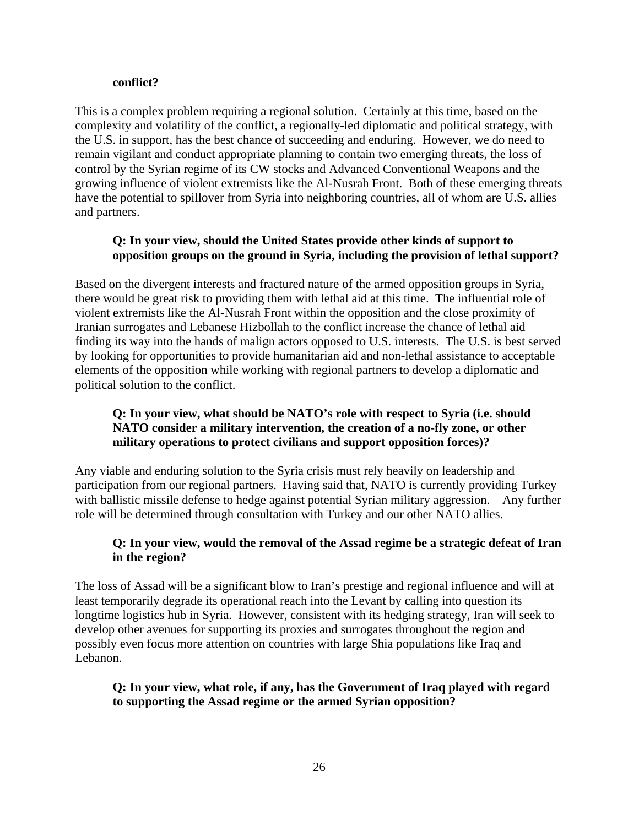#### **conflict?**

This is a complex problem requiring a regional solution. Certainly at this time, based on the complexity and volatility of the conflict, a regionally-led diplomatic and political strategy, with the U.S. in support, has the best chance of succeeding and enduring. However, we do need to remain vigilant and conduct appropriate planning to contain two emerging threats, the loss of control by the Syrian regime of its CW stocks and Advanced Conventional Weapons and the growing influence of violent extremists like the Al-Nusrah Front. Both of these emerging threats have the potential to spillover from Syria into neighboring countries, all of whom are U.S. allies and partners.

## **Q: In your view, should the United States provide other kinds of support to opposition groups on the ground in Syria, including the provision of lethal support?**

Based on the divergent interests and fractured nature of the armed opposition groups in Syria, there would be great risk to providing them with lethal aid at this time. The influential role of violent extremists like the Al-Nusrah Front within the opposition and the close proximity of Iranian surrogates and Lebanese Hizbollah to the conflict increase the chance of lethal aid finding its way into the hands of malign actors opposed to U.S. interests. The U.S. is best served by looking for opportunities to provide humanitarian aid and non-lethal assistance to acceptable elements of the opposition while working with regional partners to develop a diplomatic and political solution to the conflict.

## **Q: In your view, what should be NATO's role with respect to Syria (i.e. should NATO consider a military intervention, the creation of a no-fly zone, or other military operations to protect civilians and support opposition forces)?**

Any viable and enduring solution to the Syria crisis must rely heavily on leadership and participation from our regional partners. Having said that, NATO is currently providing Turkey with ballistic missile defense to hedge against potential Syrian military aggression. Any further role will be determined through consultation with Turkey and our other NATO allies.

## **Q: In your view, would the removal of the Assad regime be a strategic defeat of Iran in the region?**

The loss of Assad will be a significant blow to Iran's prestige and regional influence and will at least temporarily degrade its operational reach into the Levant by calling into question its longtime logistics hub in Syria. However, consistent with its hedging strategy, Iran will seek to develop other avenues for supporting its proxies and surrogates throughout the region and possibly even focus more attention on countries with large Shia populations like Iraq and Lebanon.

## **Q: In your view, what role, if any, has the Government of Iraq played with regard to supporting the Assad regime or the armed Syrian opposition?**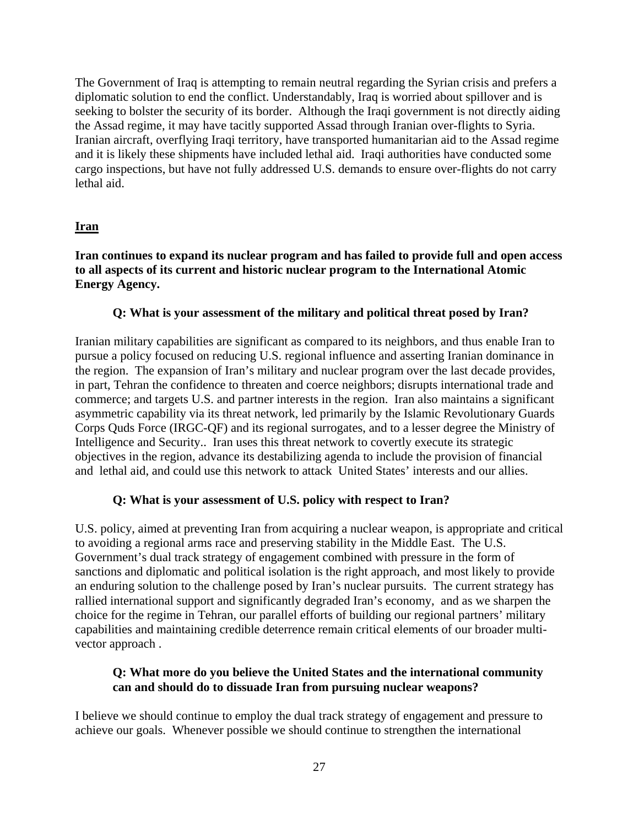The Government of Iraq is attempting to remain neutral regarding the Syrian crisis and prefers a diplomatic solution to end the conflict. Understandably, Iraq is worried about spillover and is seeking to bolster the security of its border. Although the Iraqi government is not directly aiding the Assad regime, it may have tacitly supported Assad through Iranian over-flights to Syria. Iranian aircraft, overflying Iraqi territory, have transported humanitarian aid to the Assad regime and it is likely these shipments have included lethal aid. Iraqi authorities have conducted some cargo inspections, but have not fully addressed U.S. demands to ensure over-flights do not carry lethal aid.

# **Iran**

### **Iran continues to expand its nuclear program and has failed to provide full and open access to all aspects of its current and historic nuclear program to the International Atomic Energy Agency.**

## **Q: What is your assessment of the military and political threat posed by Iran?**

Iranian military capabilities are significant as compared to its neighbors, and thus enable Iran to pursue a policy focused on reducing U.S. regional influence and asserting Iranian dominance in the region. The expansion of Iran's military and nuclear program over the last decade provides, in part, Tehran the confidence to threaten and coerce neighbors; disrupts international trade and commerce; and targets U.S. and partner interests in the region. Iran also maintains a significant asymmetric capability via its threat network, led primarily by the Islamic Revolutionary Guards Corps Quds Force (IRGC-QF) and its regional surrogates, and to a lesser degree the Ministry of Intelligence and Security.. Iran uses this threat network to covertly execute its strategic objectives in the region, advance its destabilizing agenda to include the provision of financial and lethal aid, and could use this network to attack United States' interests and our allies.

## **Q: What is your assessment of U.S. policy with respect to Iran?**

U.S. policy, aimed at preventing Iran from acquiring a nuclear weapon, is appropriate and critical to avoiding a regional arms race and preserving stability in the Middle East. The U.S. Government's dual track strategy of engagement combined with pressure in the form of sanctions and diplomatic and political isolation is the right approach, and most likely to provide an enduring solution to the challenge posed by Iran's nuclear pursuits. The current strategy has rallied international support and significantly degraded Iran's economy, and as we sharpen the choice for the regime in Tehran, our parallel efforts of building our regional partners' military capabilities and maintaining credible deterrence remain critical elements of our broader multivector approach .

## **Q: What more do you believe the United States and the international community can and should do to dissuade Iran from pursuing nuclear weapons?**

I believe we should continue to employ the dual track strategy of engagement and pressure to achieve our goals. Whenever possible we should continue to strengthen the international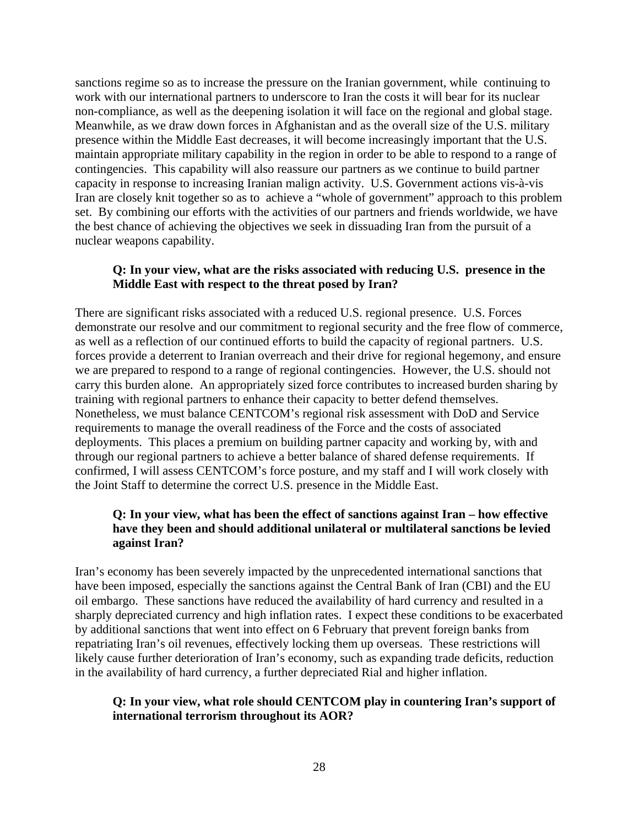sanctions regime so as to increase the pressure on the Iranian government, while continuing to work with our international partners to underscore to Iran the costs it will bear for its nuclear non-compliance, as well as the deepening isolation it will face on the regional and global stage. Meanwhile, as we draw down forces in Afghanistan and as the overall size of the U.S. military presence within the Middle East decreases, it will become increasingly important that the U.S. maintain appropriate military capability in the region in order to be able to respond to a range of contingencies. This capability will also reassure our partners as we continue to build partner capacity in response to increasing Iranian malign activity. U.S. Government actions vis-à-vis Iran are closely knit together so as to achieve a "whole of government" approach to this problem set. By combining our efforts with the activities of our partners and friends worldwide, we have the best chance of achieving the objectives we seek in dissuading Iran from the pursuit of a nuclear weapons capability.

#### **Q: In your view, what are the risks associated with reducing U.S. presence in the Middle East with respect to the threat posed by Iran?**

There are significant risks associated with a reduced U.S. regional presence. U.S. Forces demonstrate our resolve and our commitment to regional security and the free flow of commerce, as well as a reflection of our continued efforts to build the capacity of regional partners. U.S. forces provide a deterrent to Iranian overreach and their drive for regional hegemony, and ensure we are prepared to respond to a range of regional contingencies. However, the U.S. should not carry this burden alone. An appropriately sized force contributes to increased burden sharing by training with regional partners to enhance their capacity to better defend themselves. Nonetheless, we must balance CENTCOM's regional risk assessment with DoD and Service requirements to manage the overall readiness of the Force and the costs of associated deployments. This places a premium on building partner capacity and working by, with and through our regional partners to achieve a better balance of shared defense requirements. If confirmed, I will assess CENTCOM's force posture, and my staff and I will work closely with the Joint Staff to determine the correct U.S. presence in the Middle East.

#### **Q: In your view, what has been the effect of sanctions against Iran – how effective have they been and should additional unilateral or multilateral sanctions be levied against Iran?**

Iran's economy has been severely impacted by the unprecedented international sanctions that have been imposed, especially the sanctions against the Central Bank of Iran (CBI) and the EU oil embargo. These sanctions have reduced the availability of hard currency and resulted in a sharply depreciated currency and high inflation rates. I expect these conditions to be exacerbated by additional sanctions that went into effect on 6 February that prevent foreign banks from repatriating Iran's oil revenues, effectively locking them up overseas. These restrictions will likely cause further deterioration of Iran's economy, such as expanding trade deficits, reduction in the availability of hard currency, a further depreciated Rial and higher inflation.

#### **Q: In your view, what role should CENTCOM play in countering Iran's support of international terrorism throughout its AOR?**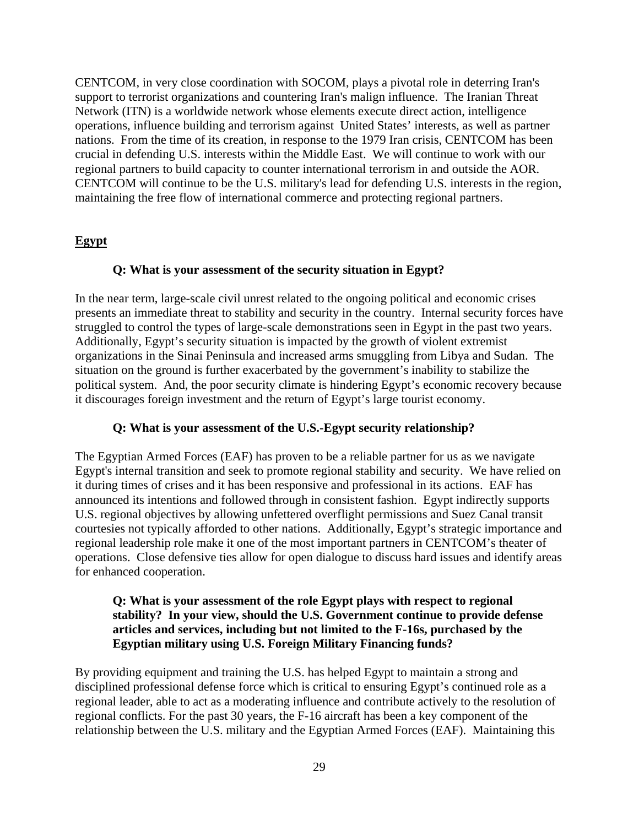CENTCOM, in very close coordination with SOCOM, plays a pivotal role in deterring Iran's support to terrorist organizations and countering Iran's malign influence. The Iranian Threat Network (ITN) is a worldwide network whose elements execute direct action, intelligence operations, influence building and terrorism against United States' interests, as well as partner nations. From the time of its creation, in response to the 1979 Iran crisis, CENTCOM has been crucial in defending U.S. interests within the Middle East. We will continue to work with our regional partners to build capacity to counter international terrorism in and outside the AOR. CENTCOM will continue to be the U.S. military's lead for defending U.S. interests in the region, maintaining the free flow of international commerce and protecting regional partners.

# **Egypt**

### **Q: What is your assessment of the security situation in Egypt?**

In the near term, large-scale civil unrest related to the ongoing political and economic crises presents an immediate threat to stability and security in the country. Internal security forces have struggled to control the types of large-scale demonstrations seen in Egypt in the past two years. Additionally, Egypt's security situation is impacted by the growth of violent extremist organizations in the Sinai Peninsula and increased arms smuggling from Libya and Sudan. The situation on the ground is further exacerbated by the government's inability to stabilize the political system. And, the poor security climate is hindering Egypt's economic recovery because it discourages foreign investment and the return of Egypt's large tourist economy.

## **Q: What is your assessment of the U.S.-Egypt security relationship?**

The Egyptian Armed Forces (EAF) has proven to be a reliable partner for us as we navigate Egypt's internal transition and seek to promote regional stability and security. We have relied on it during times of crises and it has been responsive and professional in its actions. EAF has announced its intentions and followed through in consistent fashion. Egypt indirectly supports U.S. regional objectives by allowing unfettered overflight permissions and Suez Canal transit courtesies not typically afforded to other nations. Additionally, Egypt's strategic importance and regional leadership role make it one of the most important partners in CENTCOM's theater of operations. Close defensive ties allow for open dialogue to discuss hard issues and identify areas for enhanced cooperation.

### **Q: What is your assessment of the role Egypt plays with respect to regional stability? In your view, should the U.S. Government continue to provide defense articles and services, including but not limited to the F-16s, purchased by the Egyptian military using U.S. Foreign Military Financing funds?**

By providing equipment and training the U.S. has helped Egypt to maintain a strong and disciplined professional defense force which is critical to ensuring Egypt's continued role as a regional leader, able to act as a moderating influence and contribute actively to the resolution of regional conflicts. For the past 30 years, the F-16 aircraft has been a key component of the relationship between the U.S. military and the Egyptian Armed Forces (EAF). Maintaining this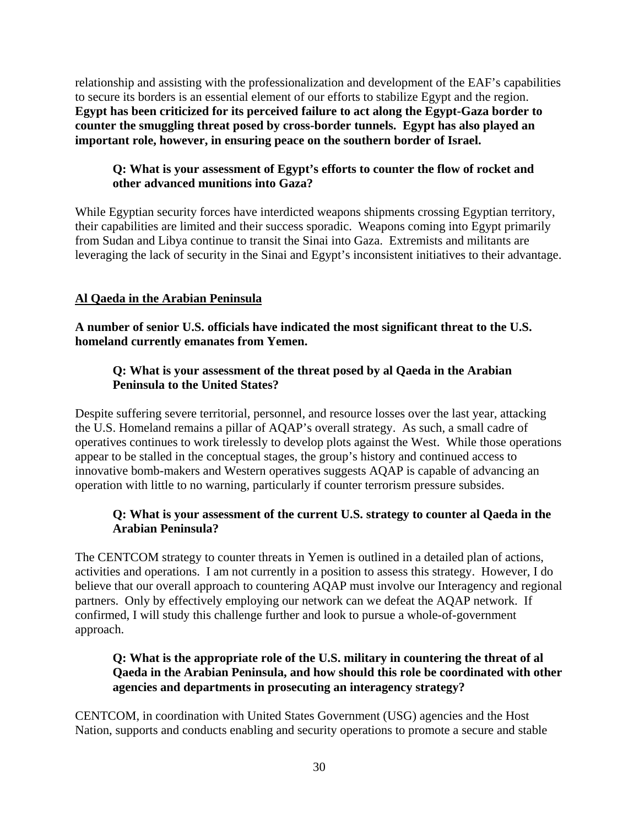relationship and assisting with the professionalization and development of the EAF's capabilities to secure its borders is an essential element of our efforts to stabilize Egypt and the region. **Egypt has been criticized for its perceived failure to act along the Egypt-Gaza border to counter the smuggling threat posed by cross-border tunnels. Egypt has also played an important role, however, in ensuring peace on the southern border of Israel.** 

# **Q: What is your assessment of Egypt's efforts to counter the flow of rocket and other advanced munitions into Gaza?**

While Egyptian security forces have interdicted weapons shipments crossing Egyptian territory, their capabilities are limited and their success sporadic. Weapons coming into Egypt primarily from Sudan and Libya continue to transit the Sinai into Gaza. Extremists and militants are leveraging the lack of security in the Sinai and Egypt's inconsistent initiatives to their advantage.

# **Al Qaeda in the Arabian Peninsula**

**A number of senior U.S. officials have indicated the most significant threat to the U.S. homeland currently emanates from Yemen.** 

## **Q: What is your assessment of the threat posed by al Qaeda in the Arabian Peninsula to the United States?**

Despite suffering severe territorial, personnel, and resource losses over the last year, attacking the U.S. Homeland remains a pillar of AQAP's overall strategy. As such, a small cadre of operatives continues to work tirelessly to develop plots against the West. While those operations appear to be stalled in the conceptual stages, the group's history and continued access to innovative bomb-makers and Western operatives suggests AQAP is capable of advancing an operation with little to no warning, particularly if counter terrorism pressure subsides.

## **Q: What is your assessment of the current U.S. strategy to counter al Qaeda in the Arabian Peninsula?**

The CENTCOM strategy to counter threats in Yemen is outlined in a detailed plan of actions, activities and operations. I am not currently in a position to assess this strategy. However, I do believe that our overall approach to countering AQAP must involve our Interagency and regional partners. Only by effectively employing our network can we defeat the AQAP network. If confirmed, I will study this challenge further and look to pursue a whole-of-government approach.

# **Q: What is the appropriate role of the U.S. military in countering the threat of al Qaeda in the Arabian Peninsula, and how should this role be coordinated with other agencies and departments in prosecuting an interagency strategy?**

CENTCOM, in coordination with United States Government (USG) agencies and the Host Nation, supports and conducts enabling and security operations to promote a secure and stable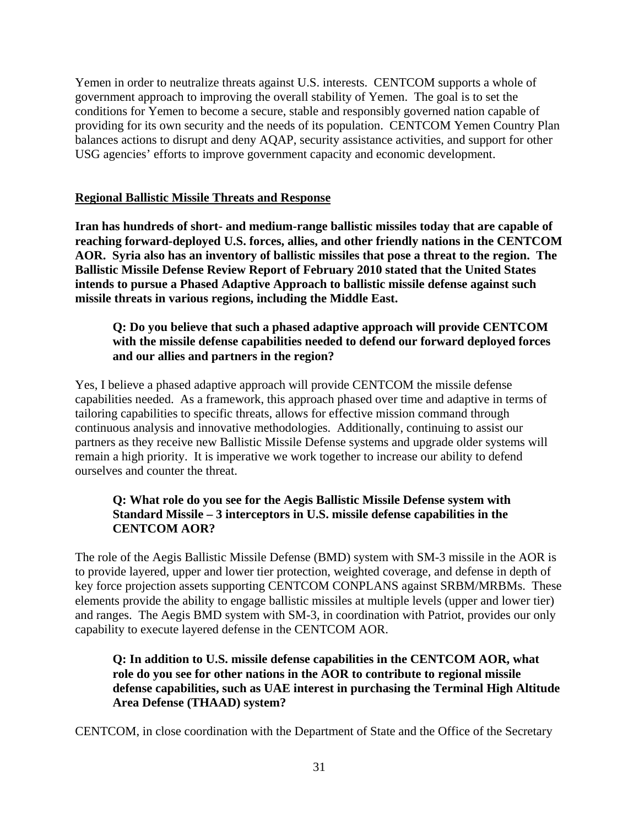Yemen in order to neutralize threats against U.S. interests. CENTCOM supports a whole of government approach to improving the overall stability of Yemen. The goal is to set the conditions for Yemen to become a secure, stable and responsibly governed nation capable of providing for its own security and the needs of its population. CENTCOM Yemen Country Plan balances actions to disrupt and deny AQAP, security assistance activities, and support for other USG agencies' efforts to improve government capacity and economic development.

### **Regional Ballistic Missile Threats and Response**

**Iran has hundreds of short- and medium-range ballistic missiles today that are capable of reaching forward-deployed U.S. forces, allies, and other friendly nations in the CENTCOM AOR. Syria also has an inventory of ballistic missiles that pose a threat to the region. The Ballistic Missile Defense Review Report of February 2010 stated that the United States intends to pursue a Phased Adaptive Approach to ballistic missile defense against such missile threats in various regions, including the Middle East.** 

### **Q: Do you believe that such a phased adaptive approach will provide CENTCOM with the missile defense capabilities needed to defend our forward deployed forces and our allies and partners in the region?**

Yes, I believe a phased adaptive approach will provide CENTCOM the missile defense capabilities needed. As a framework, this approach phased over time and adaptive in terms of tailoring capabilities to specific threats, allows for effective mission command through continuous analysis and innovative methodologies. Additionally, continuing to assist our partners as they receive new Ballistic Missile Defense systems and upgrade older systems will remain a high priority. It is imperative we work together to increase our ability to defend ourselves and counter the threat.

## **Q: What role do you see for the Aegis Ballistic Missile Defense system with Standard Missile – 3 interceptors in U.S. missile defense capabilities in the CENTCOM AOR?**

The role of the Aegis Ballistic Missile Defense (BMD) system with SM-3 missile in the AOR is to provide layered, upper and lower tier protection, weighted coverage, and defense in depth of key force projection assets supporting CENTCOM CONPLANS against SRBM/MRBMs. These elements provide the ability to engage ballistic missiles at multiple levels (upper and lower tier) and ranges. The Aegis BMD system with SM-3, in coordination with Patriot, provides our only capability to execute layered defense in the CENTCOM AOR.

## **Q: In addition to U.S. missile defense capabilities in the CENTCOM AOR, what role do you see for other nations in the AOR to contribute to regional missile defense capabilities, such as UAE interest in purchasing the Terminal High Altitude Area Defense (THAAD) system?**

CENTCOM, in close coordination with the Department of State and the Office of the Secretary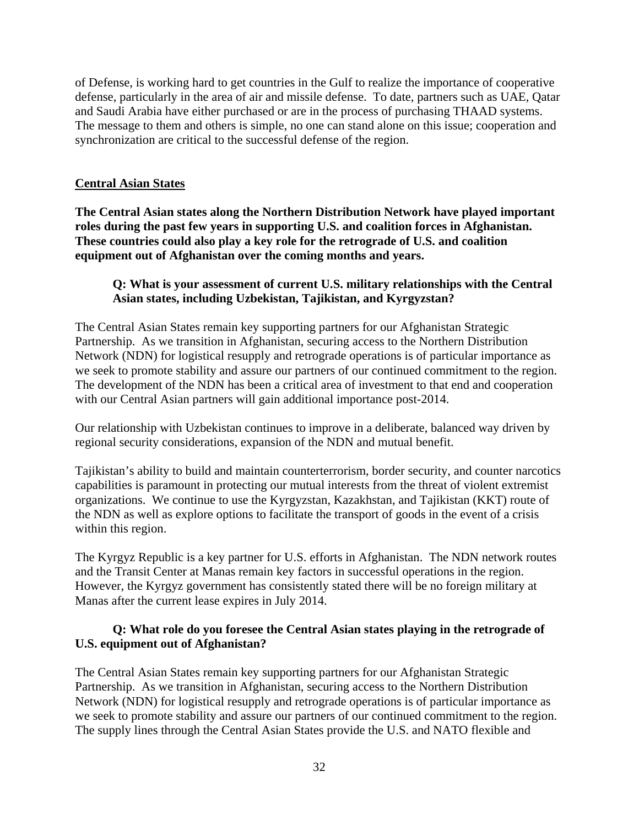of Defense, is working hard to get countries in the Gulf to realize the importance of cooperative defense, particularly in the area of air and missile defense. To date, partners such as UAE, Qatar and Saudi Arabia have either purchased or are in the process of purchasing THAAD systems. The message to them and others is simple, no one can stand alone on this issue; cooperation and synchronization are critical to the successful defense of the region.

### **Central Asian States**

**The Central Asian states along the Northern Distribution Network have played important roles during the past few years in supporting U.S. and coalition forces in Afghanistan. These countries could also play a key role for the retrograde of U.S. and coalition equipment out of Afghanistan over the coming months and years.** 

## **Q: What is your assessment of current U.S. military relationships with the Central Asian states, including Uzbekistan, Tajikistan, and Kyrgyzstan?**

The Central Asian States remain key supporting partners for our Afghanistan Strategic Partnership. As we transition in Afghanistan, securing access to the Northern Distribution Network (NDN) for logistical resupply and retrograde operations is of particular importance as we seek to promote stability and assure our partners of our continued commitment to the region. The development of the NDN has been a critical area of investment to that end and cooperation with our Central Asian partners will gain additional importance post-2014.

Our relationship with Uzbekistan continues to improve in a deliberate, balanced way driven by regional security considerations, expansion of the NDN and mutual benefit.

Tajikistan's ability to build and maintain counterterrorism, border security, and counter narcotics capabilities is paramount in protecting our mutual interests from the threat of violent extremist organizations. We continue to use the Kyrgyzstan, Kazakhstan, and Tajikistan (KKT) route of the NDN as well as explore options to facilitate the transport of goods in the event of a crisis within this region.

The Kyrgyz Republic is a key partner for U.S. efforts in Afghanistan. The NDN network routes and the Transit Center at Manas remain key factors in successful operations in the region. However, the Kyrgyz government has consistently stated there will be no foreign military at Manas after the current lease expires in July 2014.

### **Q: What role do you foresee the Central Asian states playing in the retrograde of U.S. equipment out of Afghanistan?**

The Central Asian States remain key supporting partners for our Afghanistan Strategic Partnership. As we transition in Afghanistan, securing access to the Northern Distribution Network (NDN) for logistical resupply and retrograde operations is of particular importance as we seek to promote stability and assure our partners of our continued commitment to the region. The supply lines through the Central Asian States provide the U.S. and NATO flexible and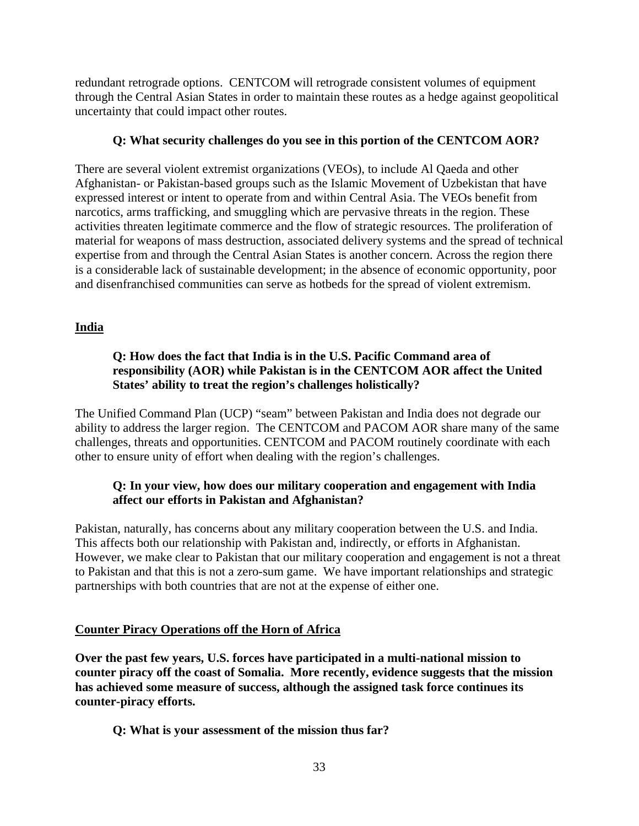redundant retrograde options. CENTCOM will retrograde consistent volumes of equipment through the Central Asian States in order to maintain these routes as a hedge against geopolitical uncertainty that could impact other routes.

### **Q: What security challenges do you see in this portion of the CENTCOM AOR?**

There are several violent extremist organizations (VEOs), to include Al Qaeda and other Afghanistan- or Pakistan-based groups such as the Islamic Movement of Uzbekistan that have expressed interest or intent to operate from and within Central Asia. The VEOs benefit from narcotics, arms trafficking, and smuggling which are pervasive threats in the region. These activities threaten legitimate commerce and the flow of strategic resources. The proliferation of material for weapons of mass destruction, associated delivery systems and the spread of technical expertise from and through the Central Asian States is another concern. Across the region there is a considerable lack of sustainable development; in the absence of economic opportunity, poor and disenfranchised communities can serve as hotbeds for the spread of violent extremism.

## **India**

# **Q: How does the fact that India is in the U.S. Pacific Command area of responsibility (AOR) while Pakistan is in the CENTCOM AOR affect the United States' ability to treat the region's challenges holistically?**

The Unified Command Plan (UCP) "seam" between Pakistan and India does not degrade our ability to address the larger region. The CENTCOM and PACOM AOR share many of the same challenges, threats and opportunities. CENTCOM and PACOM routinely coordinate with each other to ensure unity of effort when dealing with the region's challenges.

## **Q: In your view, how does our military cooperation and engagement with India affect our efforts in Pakistan and Afghanistan?**

Pakistan, naturally, has concerns about any military cooperation between the U.S. and India. This affects both our relationship with Pakistan and, indirectly, or efforts in Afghanistan. However, we make clear to Pakistan that our military cooperation and engagement is not a threat to Pakistan and that this is not a zero-sum game. We have important relationships and strategic partnerships with both countries that are not at the expense of either one.

## **Counter Piracy Operations off the Horn of Africa**

**Over the past few years, U.S. forces have participated in a multi-national mission to counter piracy off the coast of Somalia. More recently, evidence suggests that the mission has achieved some measure of success, although the assigned task force continues its counter-piracy efforts.** 

**Q: What is your assessment of the mission thus far?**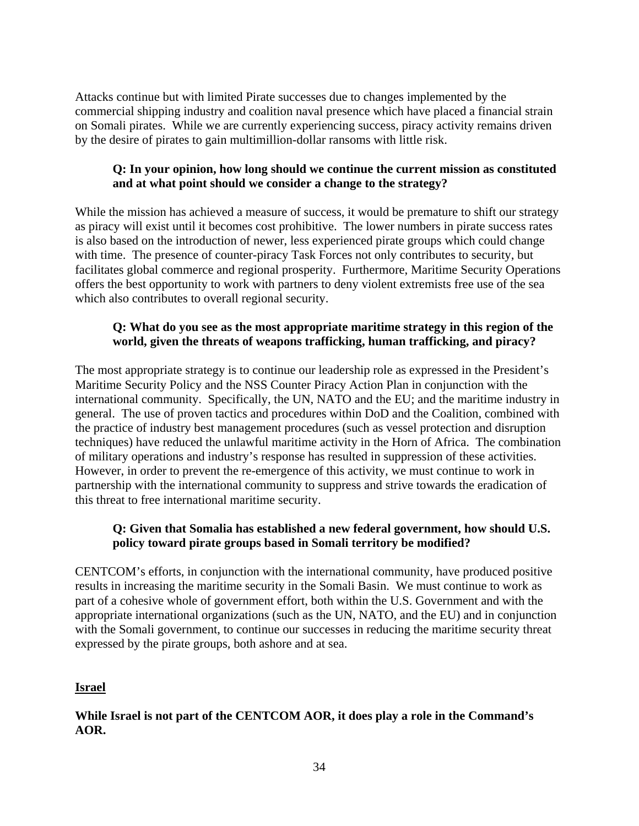Attacks continue but with limited Pirate successes due to changes implemented by the commercial shipping industry and coalition naval presence which have placed a financial strain on Somali pirates. While we are currently experiencing success, piracy activity remains driven by the desire of pirates to gain multimillion-dollar ransoms with little risk.

## **Q: In your opinion, how long should we continue the current mission as constituted and at what point should we consider a change to the strategy?**

While the mission has achieved a measure of success, it would be premature to shift our strategy as piracy will exist until it becomes cost prohibitive. The lower numbers in pirate success rates is also based on the introduction of newer, less experienced pirate groups which could change with time. The presence of counter-piracy Task Forces not only contributes to security, but facilitates global commerce and regional prosperity. Furthermore, Maritime Security Operations offers the best opportunity to work with partners to deny violent extremists free use of the sea which also contributes to overall regional security.

## **Q: What do you see as the most appropriate maritime strategy in this region of the world, given the threats of weapons trafficking, human trafficking, and piracy?**

The most appropriate strategy is to continue our leadership role as expressed in the President's Maritime Security Policy and the NSS Counter Piracy Action Plan in conjunction with the international community. Specifically, the UN, NATO and the EU; and the maritime industry in general. The use of proven tactics and procedures within DoD and the Coalition, combined with the practice of industry best management procedures (such as vessel protection and disruption techniques) have reduced the unlawful maritime activity in the Horn of Africa. The combination of military operations and industry's response has resulted in suppression of these activities. However, in order to prevent the re-emergence of this activity, we must continue to work in partnership with the international community to suppress and strive towards the eradication of this threat to free international maritime security.

# **Q: Given that Somalia has established a new federal government, how should U.S. policy toward pirate groups based in Somali territory be modified?**

CENTCOM's efforts, in conjunction with the international community, have produced positive results in increasing the maritime security in the Somali Basin. We must continue to work as part of a cohesive whole of government effort, both within the U.S. Government and with the appropriate international organizations (such as the UN, NATO, and the EU) and in conjunction with the Somali government, to continue our successes in reducing the maritime security threat expressed by the pirate groups, both ashore and at sea.

## **Israel**

# **While Israel is not part of the CENTCOM AOR, it does play a role in the Command's AOR.**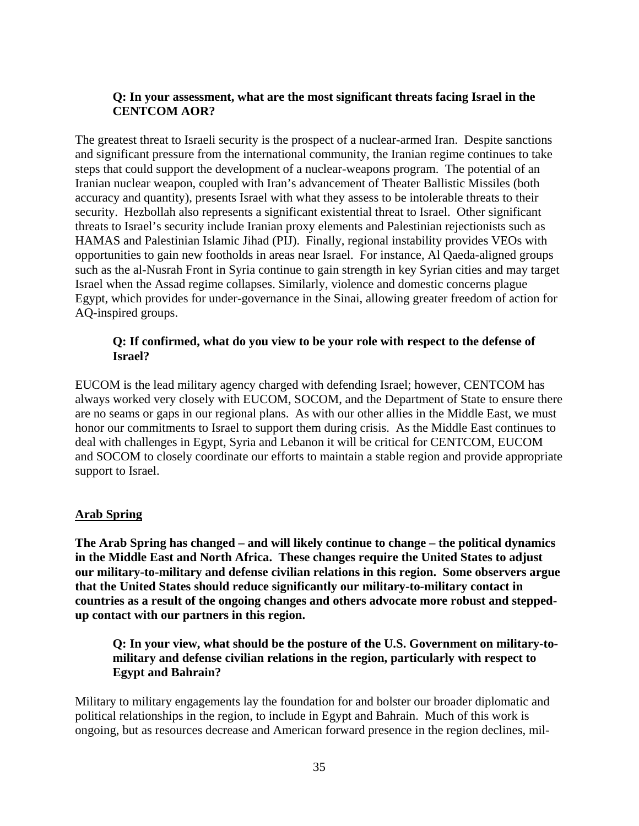## **Q: In your assessment, what are the most significant threats facing Israel in the CENTCOM AOR?**

The greatest threat to Israeli security is the prospect of a nuclear-armed Iran. Despite sanctions and significant pressure from the international community, the Iranian regime continues to take steps that could support the development of a nuclear-weapons program. The potential of an Iranian nuclear weapon, coupled with Iran's advancement of Theater Ballistic Missiles (both accuracy and quantity), presents Israel with what they assess to be intolerable threats to their security. Hezbollah also represents a significant existential threat to Israel. Other significant threats to Israel's security include Iranian proxy elements and Palestinian rejectionists such as HAMAS and Palestinian Islamic Jihad (PIJ). Finally, regional instability provides VEOs with opportunities to gain new footholds in areas near Israel. For instance, Al Qaeda-aligned groups such as the al-Nusrah Front in Syria continue to gain strength in key Syrian cities and may target Israel when the Assad regime collapses. Similarly, violence and domestic concerns plague Egypt, which provides for under-governance in the Sinai, allowing greater freedom of action for AQ-inspired groups.

### **Q: If confirmed, what do you view to be your role with respect to the defense of Israel?**

EUCOM is the lead military agency charged with defending Israel; however, CENTCOM has always worked very closely with EUCOM, SOCOM, and the Department of State to ensure there are no seams or gaps in our regional plans. As with our other allies in the Middle East, we must honor our commitments to Israel to support them during crisis. As the Middle East continues to deal with challenges in Egypt, Syria and Lebanon it will be critical for CENTCOM, EUCOM and SOCOM to closely coordinate our efforts to maintain a stable region and provide appropriate support to Israel.

## **Arab Spring**

**The Arab Spring has changed – and will likely continue to change – the political dynamics in the Middle East and North Africa. These changes require the United States to adjust our military-to-military and defense civilian relations in this region. Some observers argue that the United States should reduce significantly our military-to-military contact in countries as a result of the ongoing changes and others advocate more robust and steppedup contact with our partners in this region.** 

**Q: In your view, what should be the posture of the U.S. Government on military-tomilitary and defense civilian relations in the region, particularly with respect to Egypt and Bahrain?** 

Military to military engagements lay the foundation for and bolster our broader diplomatic and political relationships in the region, to include in Egypt and Bahrain. Much of this work is ongoing, but as resources decrease and American forward presence in the region declines, mil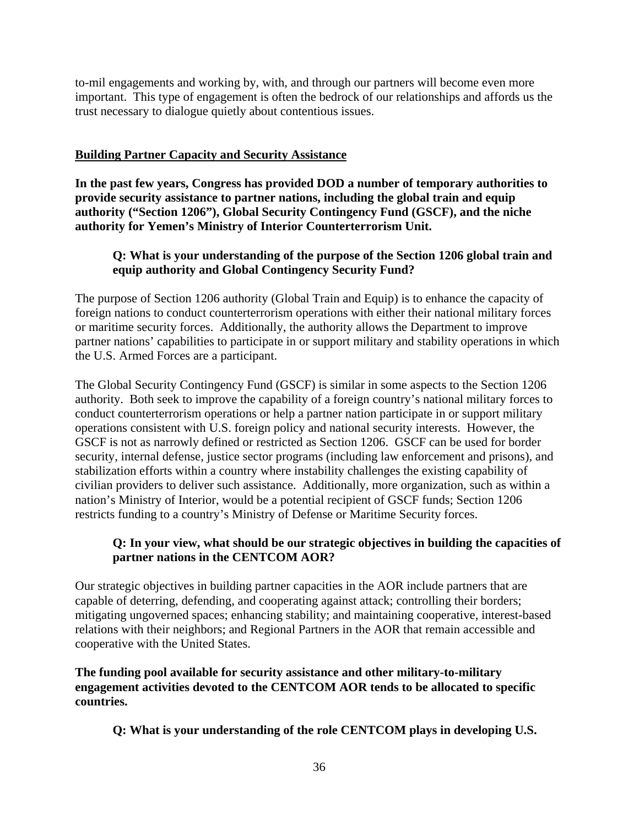to-mil engagements and working by, with, and through our partners will become even more important. This type of engagement is often the bedrock of our relationships and affords us the trust necessary to dialogue quietly about contentious issues.

### **Building Partner Capacity and Security Assistance**

**In the past few years, Congress has provided DOD a number of temporary authorities to provide security assistance to partner nations, including the global train and equip authority ("Section 1206"), Global Security Contingency Fund (GSCF), and the niche authority for Yemen's Ministry of Interior Counterterrorism Unit.** 

### **Q: What is your understanding of the purpose of the Section 1206 global train and equip authority and Global Contingency Security Fund?**

The purpose of Section 1206 authority (Global Train and Equip) is to enhance the capacity of foreign nations to conduct counterterrorism operations with either their national military forces or maritime security forces. Additionally, the authority allows the Department to improve partner nations' capabilities to participate in or support military and stability operations in which the U.S. Armed Forces are a participant.

The Global Security Contingency Fund (GSCF) is similar in some aspects to the Section 1206 authority. Both seek to improve the capability of a foreign country's national military forces to conduct counterterrorism operations or help a partner nation participate in or support military operations consistent with U.S. foreign policy and national security interests. However, the GSCF is not as narrowly defined or restricted as Section 1206. GSCF can be used for border security, internal defense, justice sector programs (including law enforcement and prisons), and stabilization efforts within a country where instability challenges the existing capability of civilian providers to deliver such assistance. Additionally, more organization, such as within a nation's Ministry of Interior, would be a potential recipient of GSCF funds; Section 1206 restricts funding to a country's Ministry of Defense or Maritime Security forces.

### **Q: In your view, what should be our strategic objectives in building the capacities of partner nations in the CENTCOM AOR?**

Our strategic objectives in building partner capacities in the AOR include partners that are capable of deterring, defending, and cooperating against attack; controlling their borders; mitigating ungoverned spaces; enhancing stability; and maintaining cooperative, interest-based relations with their neighbors; and Regional Partners in the AOR that remain accessible and cooperative with the United States.

**The funding pool available for security assistance and other military-to-military engagement activities devoted to the CENTCOM AOR tends to be allocated to specific countries.** 

**Q: What is your understanding of the role CENTCOM plays in developing U.S.**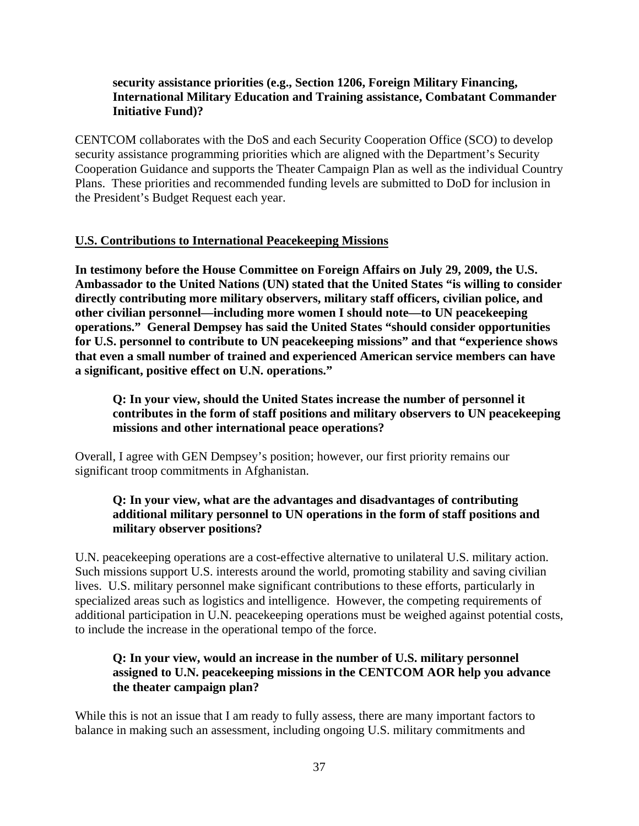### **security assistance priorities (e.g., Section 1206, Foreign Military Financing, International Military Education and Training assistance, Combatant Commander Initiative Fund)?**

CENTCOM collaborates with the DoS and each Security Cooperation Office (SCO) to develop security assistance programming priorities which are aligned with the Department's Security Cooperation Guidance and supports the Theater Campaign Plan as well as the individual Country Plans. These priorities and recommended funding levels are submitted to DoD for inclusion in the President's Budget Request each year.

## **U.S. Contributions to International Peacekeeping Missions**

**In testimony before the House Committee on Foreign Affairs on July 29, 2009, the U.S. Ambassador to the United Nations (UN) stated that the United States "is willing to consider directly contributing more military observers, military staff officers, civilian police, and other civilian personnel—including more women I should note—to UN peacekeeping operations." General Dempsey has said the United States "should consider opportunities for U.S. personnel to contribute to UN peacekeeping missions" and that "experience shows that even a small number of trained and experienced American service members can have a significant, positive effect on U.N. operations."** 

### **Q: In your view, should the United States increase the number of personnel it contributes in the form of staff positions and military observers to UN peacekeeping missions and other international peace operations?**

Overall, I agree with GEN Dempsey's position; however, our first priority remains our significant troop commitments in Afghanistan.

### **Q: In your view, what are the advantages and disadvantages of contributing additional military personnel to UN operations in the form of staff positions and military observer positions?**

U.N. peacekeeping operations are a cost-effective alternative to unilateral U.S. military action. Such missions support U.S. interests around the world, promoting stability and saving civilian lives. U.S. military personnel make significant contributions to these efforts, particularly in specialized areas such as logistics and intelligence. However, the competing requirements of additional participation in U.N. peacekeeping operations must be weighed against potential costs, to include the increase in the operational tempo of the force.

## **Q: In your view, would an increase in the number of U.S. military personnel assigned to U.N. peacekeeping missions in the CENTCOM AOR help you advance the theater campaign plan?**

While this is not an issue that I am ready to fully assess, there are many important factors to balance in making such an assessment, including ongoing U.S. military commitments and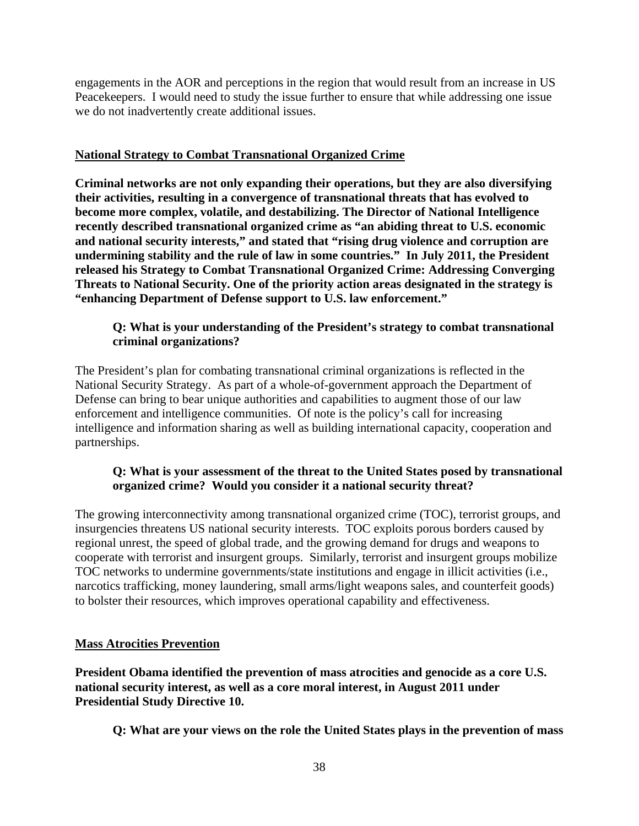engagements in the AOR and perceptions in the region that would result from an increase in US Peacekeepers. I would need to study the issue further to ensure that while addressing one issue we do not inadvertently create additional issues.

### **National Strategy to Combat Transnational Organized Crime**

**Criminal networks are not only expanding their operations, but they are also diversifying their activities, resulting in a convergence of transnational threats that has evolved to become more complex, volatile, and destabilizing. The Director of National Intelligence recently described transnational organized crime as "an abiding threat to U.S. economic and national security interests," and stated that "rising drug violence and corruption are undermining stability and the rule of law in some countries." In July 2011, the President released his Strategy to Combat Transnational Organized Crime: Addressing Converging Threats to National Security. One of the priority action areas designated in the strategy is "enhancing Department of Defense support to U.S. law enforcement."** 

## **Q: What is your understanding of the President's strategy to combat transnational criminal organizations?**

The President's plan for combating transnational criminal organizations is reflected in the National Security Strategy. As part of a whole-of-government approach the Department of Defense can bring to bear unique authorities and capabilities to augment those of our law enforcement and intelligence communities. Of note is the policy's call for increasing intelligence and information sharing as well as building international capacity, cooperation and partnerships.

### **Q: What is your assessment of the threat to the United States posed by transnational organized crime? Would you consider it a national security threat?**

The growing interconnectivity among transnational organized crime (TOC), terrorist groups, and insurgencies threatens US national security interests. TOC exploits porous borders caused by regional unrest, the speed of global trade, and the growing demand for drugs and weapons to cooperate with terrorist and insurgent groups. Similarly, terrorist and insurgent groups mobilize TOC networks to undermine governments/state institutions and engage in illicit activities (i.e., narcotics trafficking, money laundering, small arms/light weapons sales, and counterfeit goods) to bolster their resources, which improves operational capability and effectiveness.

## **Mass Atrocities Prevention**

**President Obama identified the prevention of mass atrocities and genocide as a core U.S. national security interest, as well as a core moral interest, in August 2011 under Presidential Study Directive 10.** 

**Q: What are your views on the role the United States plays in the prevention of mass**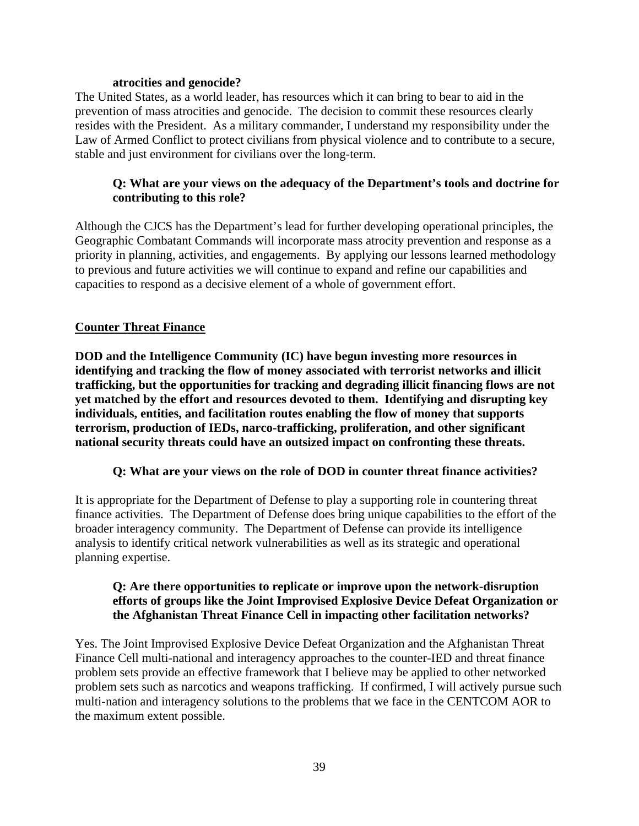#### **atrocities and genocide?**

The United States, as a world leader, has resources which it can bring to bear to aid in the prevention of mass atrocities and genocide. The decision to commit these resources clearly resides with the President. As a military commander, I understand my responsibility under the Law of Armed Conflict to protect civilians from physical violence and to contribute to a secure, stable and just environment for civilians over the long-term.

### **Q: What are your views on the adequacy of the Department's tools and doctrine for contributing to this role?**

Although the CJCS has the Department's lead for further developing operational principles, the Geographic Combatant Commands will incorporate mass atrocity prevention and response as a priority in planning, activities, and engagements. By applying our lessons learned methodology to previous and future activities we will continue to expand and refine our capabilities and capacities to respond as a decisive element of a whole of government effort.

### **Counter Threat Finance**

**DOD and the Intelligence Community (IC) have begun investing more resources in identifying and tracking the flow of money associated with terrorist networks and illicit trafficking, but the opportunities for tracking and degrading illicit financing flows are not yet matched by the effort and resources devoted to them. Identifying and disrupting key individuals, entities, and facilitation routes enabling the flow of money that supports terrorism, production of IEDs, narco-trafficking, proliferation, and other significant national security threats could have an outsized impact on confronting these threats.** 

#### **Q: What are your views on the role of DOD in counter threat finance activities?**

It is appropriate for the Department of Defense to play a supporting role in countering threat finance activities. The Department of Defense does bring unique capabilities to the effort of the broader interagency community. The Department of Defense can provide its intelligence analysis to identify critical network vulnerabilities as well as its strategic and operational planning expertise.

## **Q: Are there opportunities to replicate or improve upon the network-disruption efforts of groups like the Joint Improvised Explosive Device Defeat Organization or the Afghanistan Threat Finance Cell in impacting other facilitation networks?**

Yes. The Joint Improvised Explosive Device Defeat Organization and the Afghanistan Threat Finance Cell multi-national and interagency approaches to the counter-IED and threat finance problem sets provide an effective framework that I believe may be applied to other networked problem sets such as narcotics and weapons trafficking. If confirmed, I will actively pursue such multi-nation and interagency solutions to the problems that we face in the CENTCOM AOR to the maximum extent possible.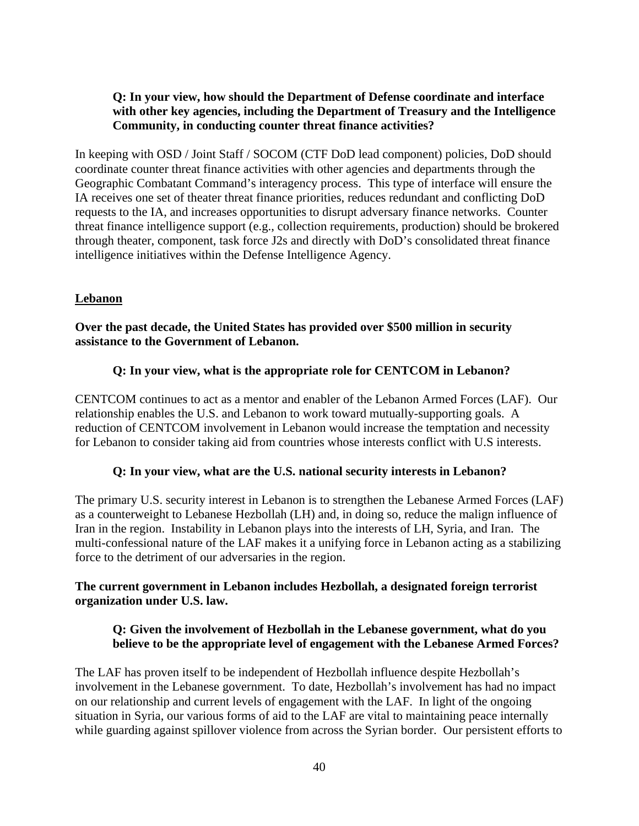## **Q: In your view, how should the Department of Defense coordinate and interface with other key agencies, including the Department of Treasury and the Intelligence Community, in conducting counter threat finance activities?**

In keeping with OSD / Joint Staff / SOCOM (CTF DoD lead component) policies, DoD should coordinate counter threat finance activities with other agencies and departments through the Geographic Combatant Command's interagency process. This type of interface will ensure the IA receives one set of theater threat finance priorities, reduces redundant and conflicting DoD requests to the IA, and increases opportunities to disrupt adversary finance networks. Counter threat finance intelligence support (e.g., collection requirements, production) should be brokered through theater, component, task force J2s and directly with DoD's consolidated threat finance intelligence initiatives within the Defense Intelligence Agency.

### **Lebanon**

### **Over the past decade, the United States has provided over \$500 million in security assistance to the Government of Lebanon.**

### **Q: In your view, what is the appropriate role for CENTCOM in Lebanon?**

CENTCOM continues to act as a mentor and enabler of the Lebanon Armed Forces (LAF). Our relationship enables the U.S. and Lebanon to work toward mutually-supporting goals. A reduction of CENTCOM involvement in Lebanon would increase the temptation and necessity for Lebanon to consider taking aid from countries whose interests conflict with U.S interests.

#### **Q: In your view, what are the U.S. national security interests in Lebanon?**

The primary U.S. security interest in Lebanon is to strengthen the Lebanese Armed Forces (LAF) as a counterweight to Lebanese Hezbollah (LH) and, in doing so, reduce the malign influence of Iran in the region. Instability in Lebanon plays into the interests of LH, Syria, and Iran. The multi-confessional nature of the LAF makes it a unifying force in Lebanon acting as a stabilizing force to the detriment of our adversaries in the region.

### **The current government in Lebanon includes Hezbollah, a designated foreign terrorist organization under U.S. law.**

## **Q: Given the involvement of Hezbollah in the Lebanese government, what do you believe to be the appropriate level of engagement with the Lebanese Armed Forces?**

The LAF has proven itself to be independent of Hezbollah influence despite Hezbollah's involvement in the Lebanese government. To date, Hezbollah's involvement has had no impact on our relationship and current levels of engagement with the LAF. In light of the ongoing situation in Syria, our various forms of aid to the LAF are vital to maintaining peace internally while guarding against spillover violence from across the Syrian border. Our persistent efforts to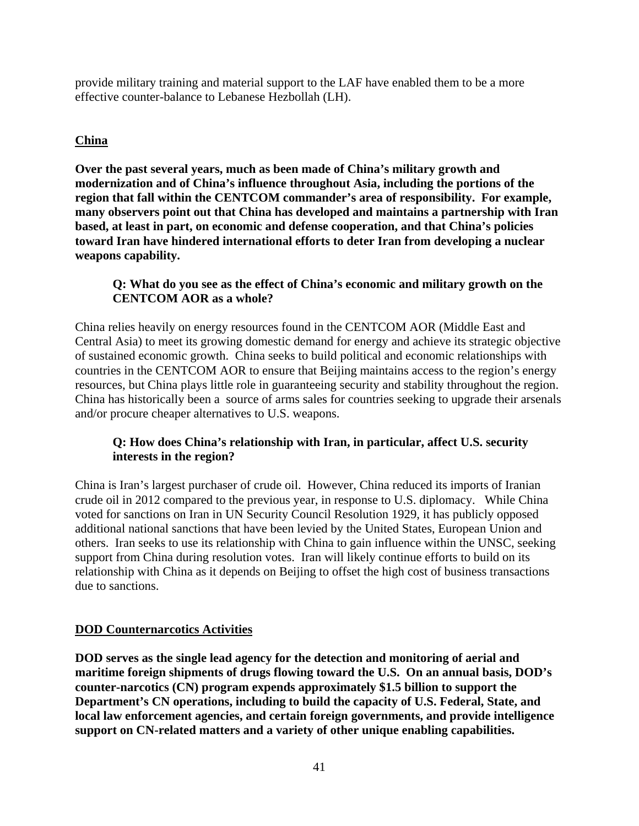provide military training and material support to the LAF have enabled them to be a more effective counter-balance to Lebanese Hezbollah (LH).

# **China**

**Over the past several years, much as been made of China's military growth and modernization and of China's influence throughout Asia, including the portions of the region that fall within the CENTCOM commander's area of responsibility. For example, many observers point out that China has developed and maintains a partnership with Iran based, at least in part, on economic and defense cooperation, and that China's policies toward Iran have hindered international efforts to deter Iran from developing a nuclear weapons capability.** 

# **Q: What do you see as the effect of China's economic and military growth on the CENTCOM AOR as a whole?**

China relies heavily on energy resources found in the CENTCOM AOR (Middle East and Central Asia) to meet its growing domestic demand for energy and achieve its strategic objective of sustained economic growth. China seeks to build political and economic relationships with countries in the CENTCOM AOR to ensure that Beijing maintains access to the region's energy resources, but China plays little role in guaranteeing security and stability throughout the region. China has historically been a source of arms sales for countries seeking to upgrade their arsenals and/or procure cheaper alternatives to U.S. weapons.

## **Q: How does China's relationship with Iran, in particular, affect U.S. security interests in the region?**

China is Iran's largest purchaser of crude oil. However, China reduced its imports of Iranian crude oil in 2012 compared to the previous year, in response to U.S. diplomacy. While China voted for sanctions on Iran in UN Security Council Resolution 1929, it has publicly opposed additional national sanctions that have been levied by the United States, European Union and others. Iran seeks to use its relationship with China to gain influence within the UNSC, seeking support from China during resolution votes. Iran will likely continue efforts to build on its relationship with China as it depends on Beijing to offset the high cost of business transactions due to sanctions.

## **DOD Counternarcotics Activities**

**DOD serves as the single lead agency for the detection and monitoring of aerial and maritime foreign shipments of drugs flowing toward the U.S. On an annual basis, DOD's counter-narcotics (CN) program expends approximately \$1.5 billion to support the Department's CN operations, including to build the capacity of U.S. Federal, State, and local law enforcement agencies, and certain foreign governments, and provide intelligence support on CN-related matters and a variety of other unique enabling capabilities.**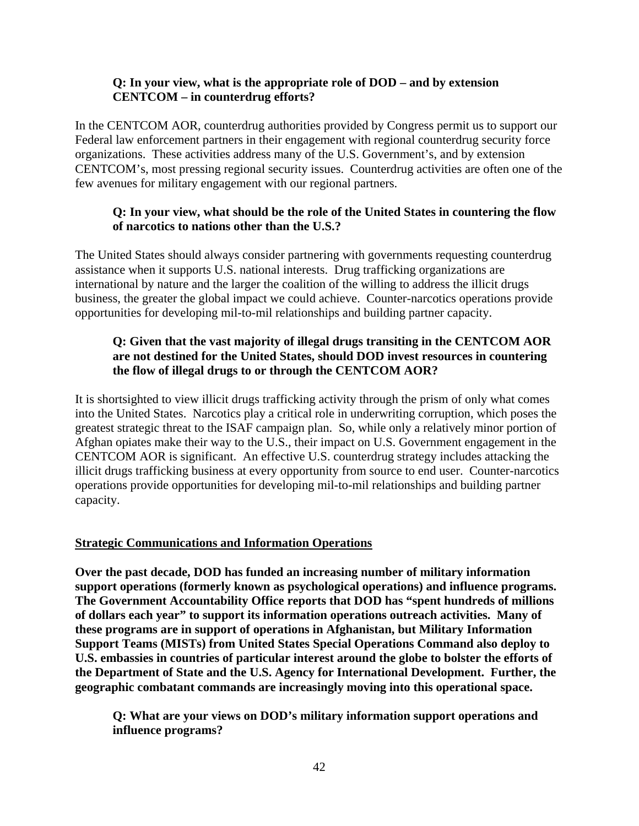### **Q: In your view, what is the appropriate role of DOD – and by extension CENTCOM – in counterdrug efforts?**

In the CENTCOM AOR, counterdrug authorities provided by Congress permit us to support our Federal law enforcement partners in their engagement with regional counterdrug security force organizations. These activities address many of the U.S. Government's, and by extension CENTCOM's, most pressing regional security issues. Counterdrug activities are often one of the few avenues for military engagement with our regional partners.

## **Q: In your view, what should be the role of the United States in countering the flow of narcotics to nations other than the U.S.?**

The United States should always consider partnering with governments requesting counterdrug assistance when it supports U.S. national interests. Drug trafficking organizations are international by nature and the larger the coalition of the willing to address the illicit drugs business, the greater the global impact we could achieve. Counter-narcotics operations provide opportunities for developing mil-to-mil relationships and building partner capacity.

## **Q: Given that the vast majority of illegal drugs transiting in the CENTCOM AOR are not destined for the United States, should DOD invest resources in countering the flow of illegal drugs to or through the CENTCOM AOR?**

It is shortsighted to view illicit drugs trafficking activity through the prism of only what comes into the United States. Narcotics play a critical role in underwriting corruption, which poses the greatest strategic threat to the ISAF campaign plan. So, while only a relatively minor portion of Afghan opiates make their way to the U.S., their impact on U.S. Government engagement in the CENTCOM AOR is significant. An effective U.S. counterdrug strategy includes attacking the illicit drugs trafficking business at every opportunity from source to end user. Counter-narcotics operations provide opportunities for developing mil-to-mil relationships and building partner capacity.

## **Strategic Communications and Information Operations**

**Over the past decade, DOD has funded an increasing number of military information support operations (formerly known as psychological operations) and influence programs. The Government Accountability Office reports that DOD has "spent hundreds of millions of dollars each year" to support its information operations outreach activities. Many of these programs are in support of operations in Afghanistan, but Military Information Support Teams (MISTs) from United States Special Operations Command also deploy to U.S. embassies in countries of particular interest around the globe to bolster the efforts of the Department of State and the U.S. Agency for International Development. Further, the geographic combatant commands are increasingly moving into this operational space.** 

**Q: What are your views on DOD's military information support operations and influence programs?**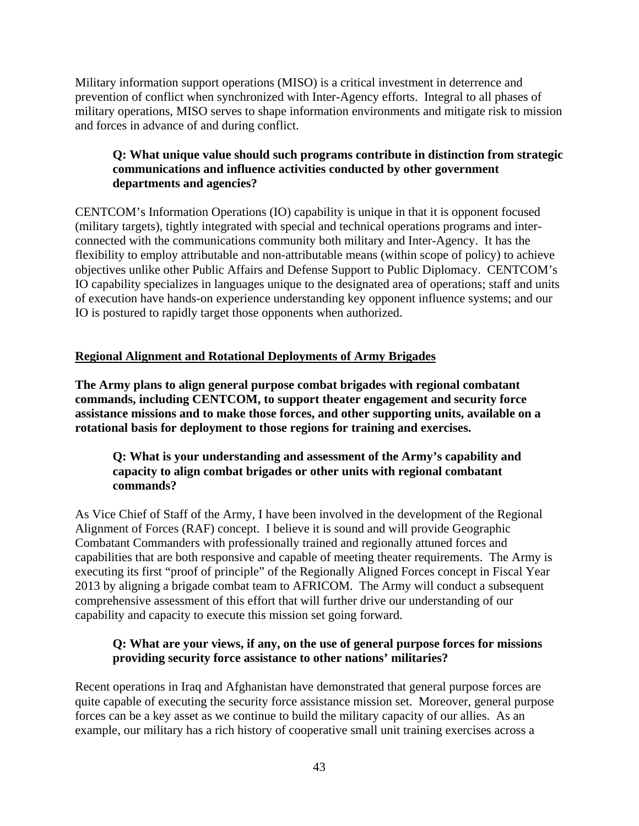Military information support operations (MISO) is a critical investment in deterrence and prevention of conflict when synchronized with Inter-Agency efforts. Integral to all phases of military operations, MISO serves to shape information environments and mitigate risk to mission and forces in advance of and during conflict.

## **Q: What unique value should such programs contribute in distinction from strategic communications and influence activities conducted by other government departments and agencies?**

CENTCOM's Information Operations (IO) capability is unique in that it is opponent focused (military targets), tightly integrated with special and technical operations programs and interconnected with the communications community both military and Inter-Agency. It has the flexibility to employ attributable and non-attributable means (within scope of policy) to achieve objectives unlike other Public Affairs and Defense Support to Public Diplomacy. CENTCOM's IO capability specializes in languages unique to the designated area of operations; staff and units of execution have hands-on experience understanding key opponent influence systems; and our IO is postured to rapidly target those opponents when authorized.

# **Regional Alignment and Rotational Deployments of Army Brigades**

**The Army plans to align general purpose combat brigades with regional combatant commands, including CENTCOM, to support theater engagement and security force assistance missions and to make those forces, and other supporting units, available on a rotational basis for deployment to those regions for training and exercises.** 

## **Q: What is your understanding and assessment of the Army's capability and capacity to align combat brigades or other units with regional combatant commands?**

As Vice Chief of Staff of the Army, I have been involved in the development of the Regional Alignment of Forces (RAF) concept. I believe it is sound and will provide Geographic Combatant Commanders with professionally trained and regionally attuned forces and capabilities that are both responsive and capable of meeting theater requirements. The Army is executing its first "proof of principle" of the Regionally Aligned Forces concept in Fiscal Year 2013 by aligning a brigade combat team to AFRICOM. The Army will conduct a subsequent comprehensive assessment of this effort that will further drive our understanding of our capability and capacity to execute this mission set going forward.

## **Q: What are your views, if any, on the use of general purpose forces for missions providing security force assistance to other nations' militaries?**

Recent operations in Iraq and Afghanistan have demonstrated that general purpose forces are quite capable of executing the security force assistance mission set. Moreover, general purpose forces can be a key asset as we continue to build the military capacity of our allies. As an example, our military has a rich history of cooperative small unit training exercises across a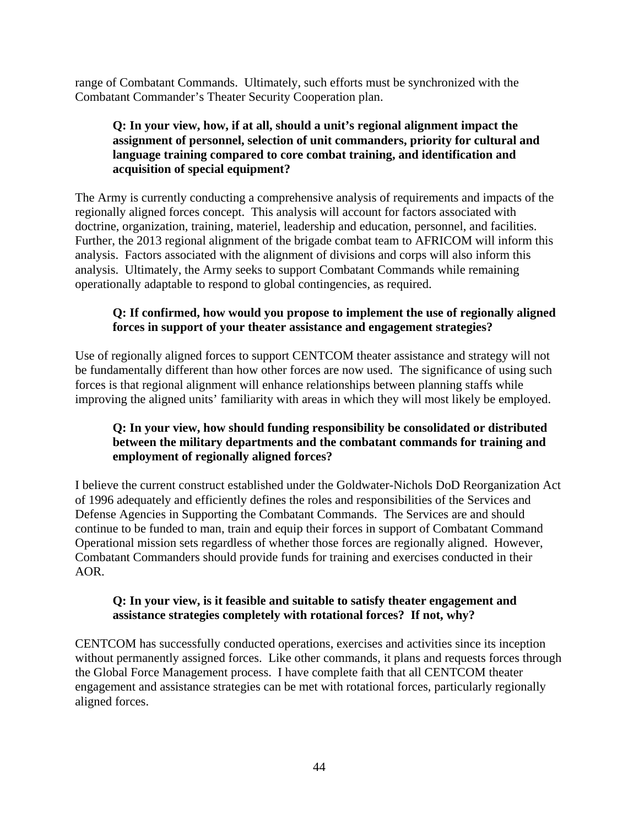range of Combatant Commands. Ultimately, such efforts must be synchronized with the Combatant Commander's Theater Security Cooperation plan.

## **Q: In your view, how, if at all, should a unit's regional alignment impact the assignment of personnel, selection of unit commanders, priority for cultural and language training compared to core combat training, and identification and acquisition of special equipment?**

The Army is currently conducting a comprehensive analysis of requirements and impacts of the regionally aligned forces concept. This analysis will account for factors associated with doctrine, organization, training, materiel, leadership and education, personnel, and facilities. Further, the 2013 regional alignment of the brigade combat team to AFRICOM will inform this analysis. Factors associated with the alignment of divisions and corps will also inform this analysis. Ultimately, the Army seeks to support Combatant Commands while remaining operationally adaptable to respond to global contingencies, as required.

## **Q: If confirmed, how would you propose to implement the use of regionally aligned forces in support of your theater assistance and engagement strategies?**

Use of regionally aligned forces to support CENTCOM theater assistance and strategy will not be fundamentally different than how other forces are now used. The significance of using such forces is that regional alignment will enhance relationships between planning staffs while improving the aligned units' familiarity with areas in which they will most likely be employed.

# **Q: In your view, how should funding responsibility be consolidated or distributed between the military departments and the combatant commands for training and employment of regionally aligned forces?**

I believe the current construct established under the Goldwater-Nichols DoD Reorganization Act of 1996 adequately and efficiently defines the roles and responsibilities of the Services and Defense Agencies in Supporting the Combatant Commands. The Services are and should continue to be funded to man, train and equip their forces in support of Combatant Command Operational mission sets regardless of whether those forces are regionally aligned. However, Combatant Commanders should provide funds for training and exercises conducted in their AOR.

## **Q: In your view, is it feasible and suitable to satisfy theater engagement and assistance strategies completely with rotational forces? If not, why?**

CENTCOM has successfully conducted operations, exercises and activities since its inception without permanently assigned forces. Like other commands, it plans and requests forces through the Global Force Management process. I have complete faith that all CENTCOM theater engagement and assistance strategies can be met with rotational forces, particularly regionally aligned forces.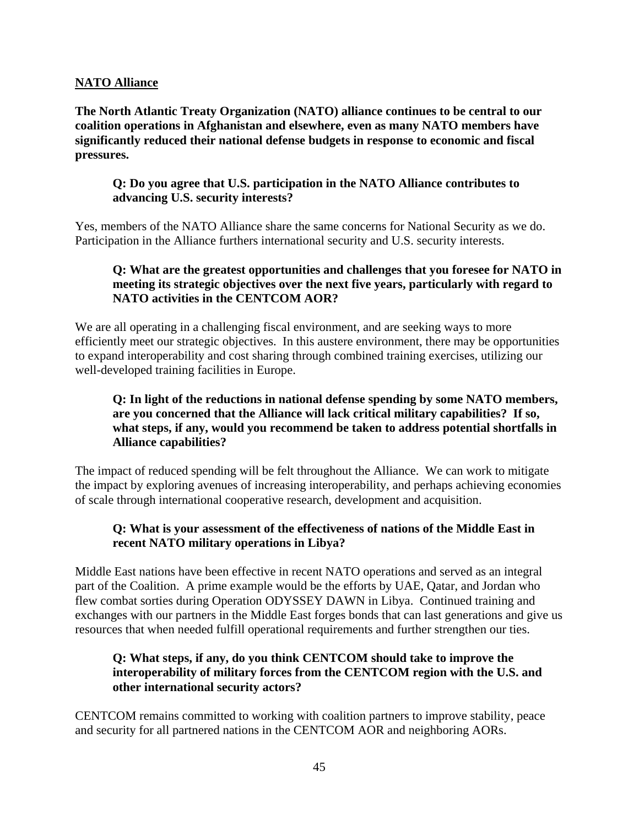### **NATO Alliance**

**The North Atlantic Treaty Organization (NATO) alliance continues to be central to our coalition operations in Afghanistan and elsewhere, even as many NATO members have significantly reduced their national defense budgets in response to economic and fiscal pressures.**

### **Q: Do you agree that U.S. participation in the NATO Alliance contributes to advancing U.S. security interests?**

Yes, members of the NATO Alliance share the same concerns for National Security as we do. Participation in the Alliance furthers international security and U.S. security interests.

## **Q: What are the greatest opportunities and challenges that you foresee for NATO in meeting its strategic objectives over the next five years, particularly with regard to NATO activities in the CENTCOM AOR?**

We are all operating in a challenging fiscal environment, and are seeking ways to more efficiently meet our strategic objectives. In this austere environment, there may be opportunities to expand interoperability and cost sharing through combined training exercises, utilizing our well-developed training facilities in Europe.

## **Q: In light of the reductions in national defense spending by some NATO members, are you concerned that the Alliance will lack critical military capabilities? If so, what steps, if any, would you recommend be taken to address potential shortfalls in Alliance capabilities?**

The impact of reduced spending will be felt throughout the Alliance. We can work to mitigate the impact by exploring avenues of increasing interoperability, and perhaps achieving economies of scale through international cooperative research, development and acquisition.

# **Q: What is your assessment of the effectiveness of nations of the Middle East in recent NATO military operations in Libya?**

Middle East nations have been effective in recent NATO operations and served as an integral part of the Coalition. A prime example would be the efforts by UAE, Qatar, and Jordan who flew combat sorties during Operation ODYSSEY DAWN in Libya. Continued training and exchanges with our partners in the Middle East forges bonds that can last generations and give us resources that when needed fulfill operational requirements and further strengthen our ties.

## **Q: What steps, if any, do you think CENTCOM should take to improve the interoperability of military forces from the CENTCOM region with the U.S. and other international security actors?**

CENTCOM remains committed to working with coalition partners to improve stability, peace and security for all partnered nations in the CENTCOM AOR and neighboring AORs.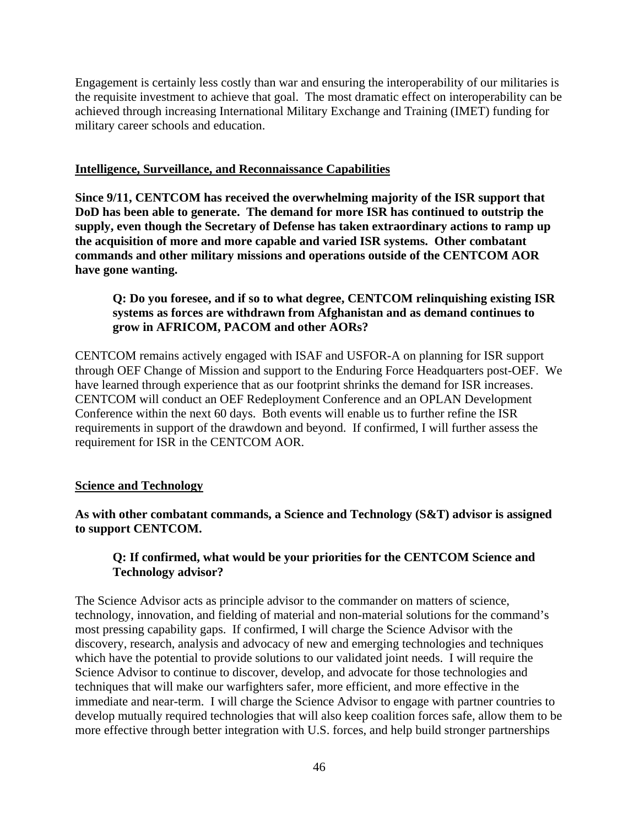Engagement is certainly less costly than war and ensuring the interoperability of our militaries is the requisite investment to achieve that goal. The most dramatic effect on interoperability can be achieved through increasing International Military Exchange and Training (IMET) funding for military career schools and education.

#### **Intelligence, Surveillance, and Reconnaissance Capabilities**

**Since 9/11, CENTCOM has received the overwhelming majority of the ISR support that DoD has been able to generate. The demand for more ISR has continued to outstrip the supply, even though the Secretary of Defense has taken extraordinary actions to ramp up the acquisition of more and more capable and varied ISR systems. Other combatant commands and other military missions and operations outside of the CENTCOM AOR have gone wanting.** 

## **Q: Do you foresee, and if so to what degree, CENTCOM relinquishing existing ISR systems as forces are withdrawn from Afghanistan and as demand continues to grow in AFRICOM, PACOM and other AORs?**

CENTCOM remains actively engaged with ISAF and USFOR-A on planning for ISR support through OEF Change of Mission and support to the Enduring Force Headquarters post-OEF. We have learned through experience that as our footprint shrinks the demand for ISR increases. CENTCOM will conduct an OEF Redeployment Conference and an OPLAN Development Conference within the next 60 days. Both events will enable us to further refine the ISR requirements in support of the drawdown and beyond. If confirmed, I will further assess the requirement for ISR in the CENTCOM AOR.

## **Science and Technology**

### **As with other combatant commands, a Science and Technology (S&T) advisor is assigned to support CENTCOM.**

## **Q: If confirmed, what would be your priorities for the CENTCOM Science and Technology advisor?**

The Science Advisor acts as principle advisor to the commander on matters of science, technology, innovation, and fielding of material and non-material solutions for the command's most pressing capability gaps. If confirmed, I will charge the Science Advisor with the discovery, research, analysis and advocacy of new and emerging technologies and techniques which have the potential to provide solutions to our validated joint needs. I will require the Science Advisor to continue to discover, develop, and advocate for those technologies and techniques that will make our warfighters safer, more efficient, and more effective in the immediate and near-term. I will charge the Science Advisor to engage with partner countries to develop mutually required technologies that will also keep coalition forces safe, allow them to be more effective through better integration with U.S. forces, and help build stronger partnerships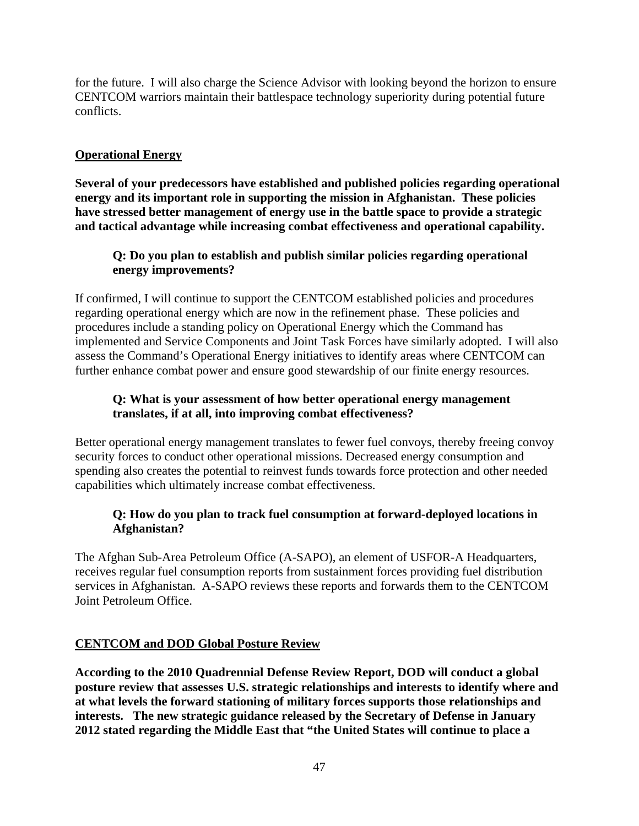for the future. I will also charge the Science Advisor with looking beyond the horizon to ensure CENTCOM warriors maintain their battlespace technology superiority during potential future conflicts.

## **Operational Energy**

**Several of your predecessors have established and published policies regarding operational energy and its important role in supporting the mission in Afghanistan. These policies have stressed better management of energy use in the battle space to provide a strategic and tactical advantage while increasing combat effectiveness and operational capability.** 

## **Q: Do you plan to establish and publish similar policies regarding operational energy improvements?**

If confirmed, I will continue to support the CENTCOM established policies and procedures regarding operational energy which are now in the refinement phase. These policies and procedures include a standing policy on Operational Energy which the Command has implemented and Service Components and Joint Task Forces have similarly adopted. I will also assess the Command's Operational Energy initiatives to identify areas where CENTCOM can further enhance combat power and ensure good stewardship of our finite energy resources.

### **Q: What is your assessment of how better operational energy management translates, if at all, into improving combat effectiveness?**

Better operational energy management translates to fewer fuel convoys, thereby freeing convoy security forces to conduct other operational missions. Decreased energy consumption and spending also creates the potential to reinvest funds towards force protection and other needed capabilities which ultimately increase combat effectiveness.

## **Q: How do you plan to track fuel consumption at forward-deployed locations in Afghanistan?**

The Afghan Sub-Area Petroleum Office (A-SAPO), an element of USFOR-A Headquarters, receives regular fuel consumption reports from sustainment forces providing fuel distribution services in Afghanistan. A-SAPO reviews these reports and forwards them to the CENTCOM Joint Petroleum Office.

## **CENTCOM and DOD Global Posture Review**

**According to the 2010 Quadrennial Defense Review Report, DOD will conduct a global posture review that assesses U.S. strategic relationships and interests to identify where and at what levels the forward stationing of military forces supports those relationships and interests. The new strategic guidance released by the Secretary of Defense in January 2012 stated regarding the Middle East that "the United States will continue to place a**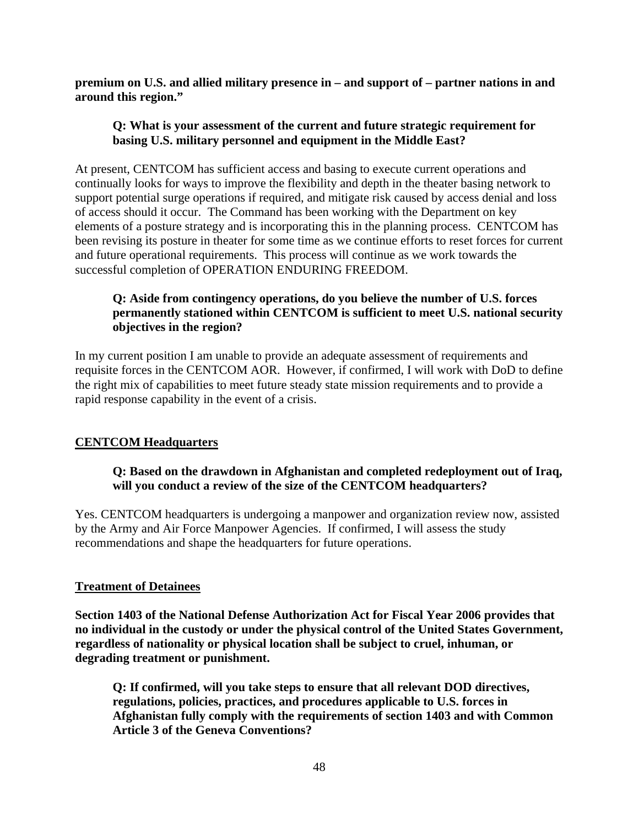**premium on U.S. and allied military presence in – and support of – partner nations in and around this region."** 

### **Q: What is your assessment of the current and future strategic requirement for basing U.S. military personnel and equipment in the Middle East?**

At present, CENTCOM has sufficient access and basing to execute current operations and continually looks for ways to improve the flexibility and depth in the theater basing network to support potential surge operations if required, and mitigate risk caused by access denial and loss of access should it occur. The Command has been working with the Department on key elements of a posture strategy and is incorporating this in the planning process. CENTCOM has been revising its posture in theater for some time as we continue efforts to reset forces for current and future operational requirements. This process will continue as we work towards the successful completion of OPERATION ENDURING FREEDOM.

# **Q: Aside from contingency operations, do you believe the number of U.S. forces permanently stationed within CENTCOM is sufficient to meet U.S. national security objectives in the region?**

In my current position I am unable to provide an adequate assessment of requirements and requisite forces in the CENTCOM AOR. However, if confirmed, I will work with DoD to define the right mix of capabilities to meet future steady state mission requirements and to provide a rapid response capability in the event of a crisis.

## **CENTCOM Headquarters**

## **Q: Based on the drawdown in Afghanistan and completed redeployment out of Iraq, will you conduct a review of the size of the CENTCOM headquarters?**

Yes. CENTCOM headquarters is undergoing a manpower and organization review now, assisted by the Army and Air Force Manpower Agencies. If confirmed, I will assess the study recommendations and shape the headquarters for future operations.

## **Treatment of Detainees**

**Section 1403 of the National Defense Authorization Act for Fiscal Year 2006 provides that no individual in the custody or under the physical control of the United States Government, regardless of nationality or physical location shall be subject to cruel, inhuman, or degrading treatment or punishment.** 

**Q: If confirmed, will you take steps to ensure that all relevant DOD directives, regulations, policies, practices, and procedures applicable to U.S. forces in Afghanistan fully comply with the requirements of section 1403 and with Common Article 3 of the Geneva Conventions?**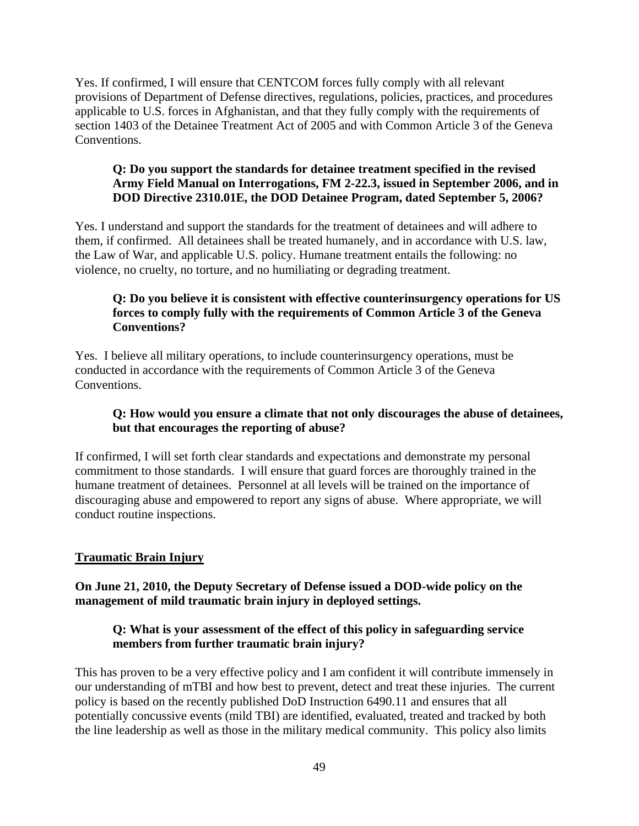Yes. If confirmed, I will ensure that CENTCOM forces fully comply with all relevant provisions of Department of Defense directives, regulations, policies, practices, and procedures applicable to U.S. forces in Afghanistan, and that they fully comply with the requirements of section 1403 of the Detainee Treatment Act of 2005 and with Common Article 3 of the Geneva Conventions.

# **Q: Do you support the standards for detainee treatment specified in the revised Army Field Manual on Interrogations, FM 2-22.3, issued in September 2006, and in DOD Directive 2310.01E, the DOD Detainee Program, dated September 5, 2006?**

Yes. I understand and support the standards for the treatment of detainees and will adhere to them, if confirmed. All detainees shall be treated humanely, and in accordance with U.S. law, the Law of War, and applicable U.S. policy. Humane treatment entails the following: no violence, no cruelty, no torture, and no humiliating or degrading treatment.

# **Q: Do you believe it is consistent with effective counterinsurgency operations for US forces to comply fully with the requirements of Common Article 3 of the Geneva Conventions?**

Yes. I believe all military operations, to include counterinsurgency operations, must be conducted in accordance with the requirements of Common Article 3 of the Geneva Conventions.

# **Q: How would you ensure a climate that not only discourages the abuse of detainees, but that encourages the reporting of abuse?**

If confirmed, I will set forth clear standards and expectations and demonstrate my personal commitment to those standards. I will ensure that guard forces are thoroughly trained in the humane treatment of detainees. Personnel at all levels will be trained on the importance of discouraging abuse and empowered to report any signs of abuse. Where appropriate, we will conduct routine inspections.

# **Traumatic Brain Injury**

## **On June 21, 2010, the Deputy Secretary of Defense issued a DOD-wide policy on the management of mild traumatic brain injury in deployed settings.**

## **Q: What is your assessment of the effect of this policy in safeguarding service members from further traumatic brain injury?**

This has proven to be a very effective policy and I am confident it will contribute immensely in our understanding of mTBI and how best to prevent, detect and treat these injuries. The current policy is based on the recently published DoD Instruction 6490.11 and ensures that all potentially concussive events (mild TBI) are identified, evaluated, treated and tracked by both the line leadership as well as those in the military medical community. This policy also limits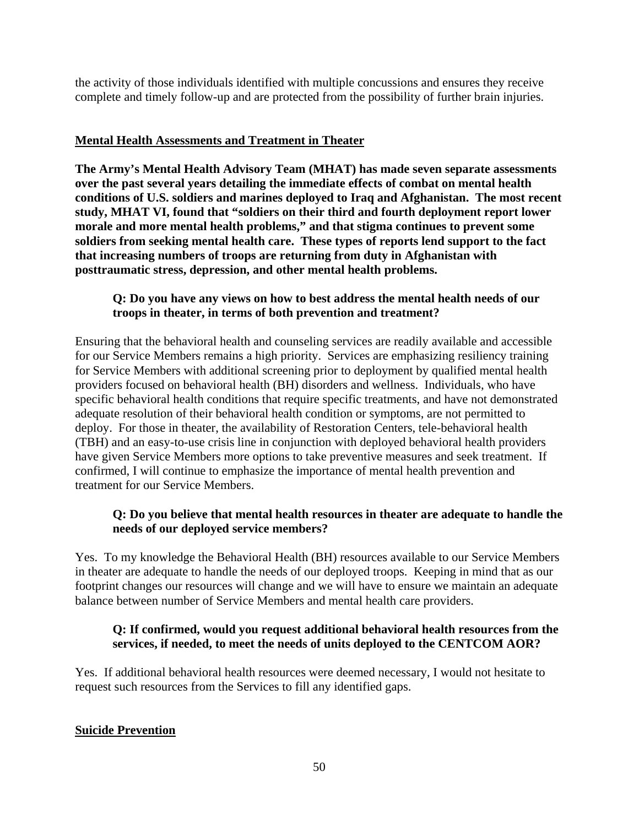the activity of those individuals identified with multiple concussions and ensures they receive complete and timely follow-up and are protected from the possibility of further brain injuries.

### **Mental Health Assessments and Treatment in Theater**

**The Army's Mental Health Advisory Team (MHAT) has made seven separate assessments over the past several years detailing the immediate effects of combat on mental health conditions of U.S. soldiers and marines deployed to Iraq and Afghanistan. The most recent study, MHAT VI, found that "soldiers on their third and fourth deployment report lower morale and more mental health problems," and that stigma continues to prevent some soldiers from seeking mental health care. These types of reports lend support to the fact that increasing numbers of troops are returning from duty in Afghanistan with posttraumatic stress, depression, and other mental health problems.** 

### **Q: Do you have any views on how to best address the mental health needs of our troops in theater, in terms of both prevention and treatment?**

Ensuring that the behavioral health and counseling services are readily available and accessible for our Service Members remains a high priority. Services are emphasizing resiliency training for Service Members with additional screening prior to deployment by qualified mental health providers focused on behavioral health (BH) disorders and wellness. Individuals, who have specific behavioral health conditions that require specific treatments, and have not demonstrated adequate resolution of their behavioral health condition or symptoms, are not permitted to deploy. For those in theater, the availability of Restoration Centers, tele-behavioral health (TBH) and an easy-to-use crisis line in conjunction with deployed behavioral health providers have given Service Members more options to take preventive measures and seek treatment. If confirmed, I will continue to emphasize the importance of mental health prevention and treatment for our Service Members.

## **Q: Do you believe that mental health resources in theater are adequate to handle the needs of our deployed service members?**

Yes. To my knowledge the Behavioral Health (BH) resources available to our Service Members in theater are adequate to handle the needs of our deployed troops. Keeping in mind that as our footprint changes our resources will change and we will have to ensure we maintain an adequate balance between number of Service Members and mental health care providers.

### **Q: If confirmed, would you request additional behavioral health resources from the services, if needed, to meet the needs of units deployed to the CENTCOM AOR?**

Yes. If additional behavioral health resources were deemed necessary, I would not hesitate to request such resources from the Services to fill any identified gaps.

## **Suicide Prevention**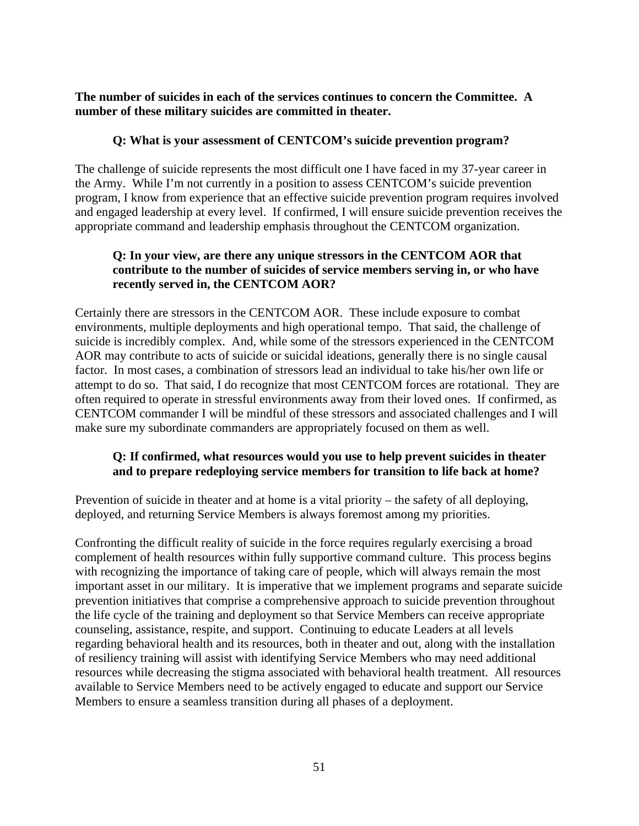**The number of suicides in each of the services continues to concern the Committee. A number of these military suicides are committed in theater.** 

### **Q: What is your assessment of CENTCOM's suicide prevention program?**

The challenge of suicide represents the most difficult one I have faced in my 37-year career in the Army. While I'm not currently in a position to assess CENTCOM's suicide prevention program, I know from experience that an effective suicide prevention program requires involved and engaged leadership at every level. If confirmed, I will ensure suicide prevention receives the appropriate command and leadership emphasis throughout the CENTCOM organization.

### **Q: In your view, are there any unique stressors in the CENTCOM AOR that contribute to the number of suicides of service members serving in, or who have recently served in, the CENTCOM AOR?**

Certainly there are stressors in the CENTCOM AOR. These include exposure to combat environments, multiple deployments and high operational tempo. That said, the challenge of suicide is incredibly complex. And, while some of the stressors experienced in the CENTCOM AOR may contribute to acts of suicide or suicidal ideations, generally there is no single causal factor. In most cases, a combination of stressors lead an individual to take his/her own life or attempt to do so. That said, I do recognize that most CENTCOM forces are rotational. They are often required to operate in stressful environments away from their loved ones. If confirmed, as CENTCOM commander I will be mindful of these stressors and associated challenges and I will make sure my subordinate commanders are appropriately focused on them as well.

# **Q: If confirmed, what resources would you use to help prevent suicides in theater and to prepare redeploying service members for transition to life back at home?**

Prevention of suicide in theater and at home is a vital priority – the safety of all deploying, deployed, and returning Service Members is always foremost among my priorities.

Confronting the difficult reality of suicide in the force requires regularly exercising a broad complement of health resources within fully supportive command culture. This process begins with recognizing the importance of taking care of people, which will always remain the most important asset in our military. It is imperative that we implement programs and separate suicide prevention initiatives that comprise a comprehensive approach to suicide prevention throughout the life cycle of the training and deployment so that Service Members can receive appropriate counseling, assistance, respite, and support. Continuing to educate Leaders at all levels regarding behavioral health and its resources, both in theater and out, along with the installation of resiliency training will assist with identifying Service Members who may need additional resources while decreasing the stigma associated with behavioral health treatment. All resources available to Service Members need to be actively engaged to educate and support our Service Members to ensure a seamless transition during all phases of a deployment.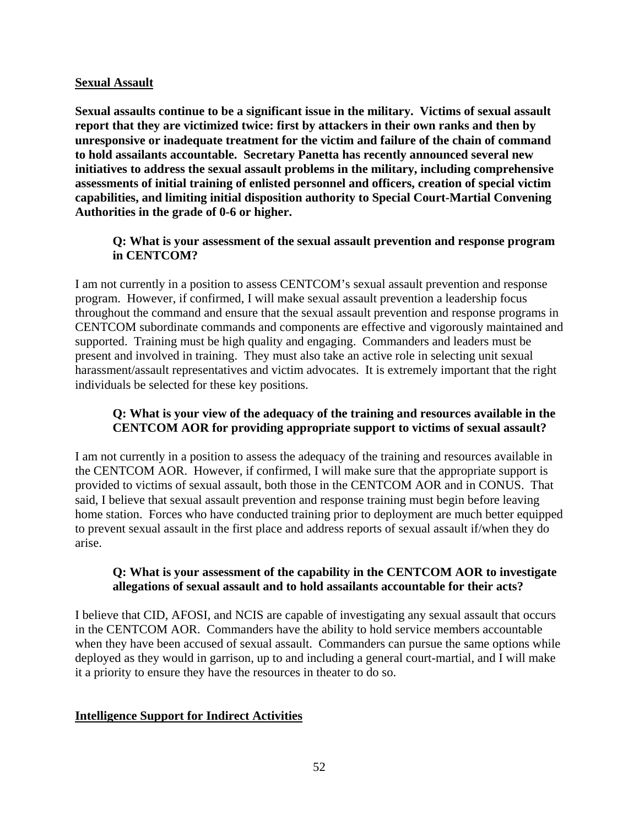#### **Sexual Assault**

**Sexual assaults continue to be a significant issue in the military. Victims of sexual assault report that they are victimized twice: first by attackers in their own ranks and then by unresponsive or inadequate treatment for the victim and failure of the chain of command to hold assailants accountable. Secretary Panetta has recently announced several new initiatives to address the sexual assault problems in the military, including comprehensive assessments of initial training of enlisted personnel and officers, creation of special victim capabilities, and limiting initial disposition authority to Special Court-Martial Convening Authorities in the grade of 0-6 or higher.** 

## **Q: What is your assessment of the sexual assault prevention and response program in CENTCOM?**

I am not currently in a position to assess CENTCOM's sexual assault prevention and response program. However, if confirmed, I will make sexual assault prevention a leadership focus throughout the command and ensure that the sexual assault prevention and response programs in CENTCOM subordinate commands and components are effective and vigorously maintained and supported. Training must be high quality and engaging. Commanders and leaders must be present and involved in training. They must also take an active role in selecting unit sexual harassment/assault representatives and victim advocates. It is extremely important that the right individuals be selected for these key positions.

## **Q: What is your view of the adequacy of the training and resources available in the CENTCOM AOR for providing appropriate support to victims of sexual assault?**

I am not currently in a position to assess the adequacy of the training and resources available in the CENTCOM AOR. However, if confirmed, I will make sure that the appropriate support is provided to victims of sexual assault, both those in the CENTCOM AOR and in CONUS. That said, I believe that sexual assault prevention and response training must begin before leaving home station. Forces who have conducted training prior to deployment are much better equipped to prevent sexual assault in the first place and address reports of sexual assault if/when they do arise.

## **Q: What is your assessment of the capability in the CENTCOM AOR to investigate allegations of sexual assault and to hold assailants accountable for their acts?**

I believe that CID, AFOSI, and NCIS are capable of investigating any sexual assault that occurs in the CENTCOM AOR. Commanders have the ability to hold service members accountable when they have been accused of sexual assault. Commanders can pursue the same options while deployed as they would in garrison, up to and including a general court-martial, and I will make it a priority to ensure they have the resources in theater to do so.

## **Intelligence Support for Indirect Activities**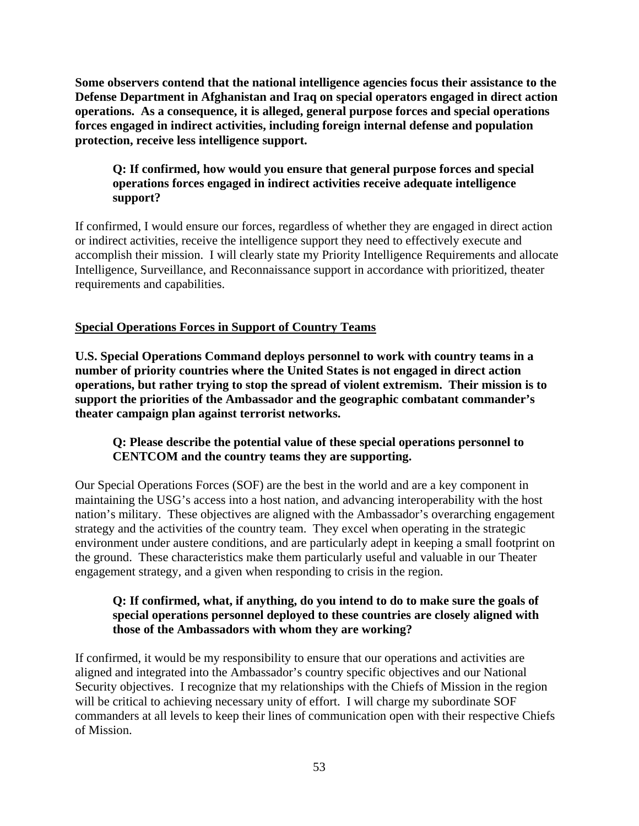**Some observers contend that the national intelligence agencies focus their assistance to the Defense Department in Afghanistan and Iraq on special operators engaged in direct action operations. As a consequence, it is alleged, general purpose forces and special operations forces engaged in indirect activities, including foreign internal defense and population protection, receive less intelligence support.** 

## **Q: If confirmed, how would you ensure that general purpose forces and special operations forces engaged in indirect activities receive adequate intelligence support?**

If confirmed, I would ensure our forces, regardless of whether they are engaged in direct action or indirect activities, receive the intelligence support they need to effectively execute and accomplish their mission. I will clearly state my Priority Intelligence Requirements and allocate Intelligence, Surveillance, and Reconnaissance support in accordance with prioritized, theater requirements and capabilities.

# **Special Operations Forces in Support of Country Teams**

**U.S. Special Operations Command deploys personnel to work with country teams in a number of priority countries where the United States is not engaged in direct action operations, but rather trying to stop the spread of violent extremism. Their mission is to support the priorities of the Ambassador and the geographic combatant commander's theater campaign plan against terrorist networks.** 

## **Q: Please describe the potential value of these special operations personnel to CENTCOM and the country teams they are supporting.**

Our Special Operations Forces (SOF) are the best in the world and are a key component in maintaining the USG's access into a host nation, and advancing interoperability with the host nation's military. These objectives are aligned with the Ambassador's overarching engagement strategy and the activities of the country team. They excel when operating in the strategic environment under austere conditions, and are particularly adept in keeping a small footprint on the ground. These characteristics make them particularly useful and valuable in our Theater engagement strategy, and a given when responding to crisis in the region.

## **Q: If confirmed, what, if anything, do you intend to do to make sure the goals of special operations personnel deployed to these countries are closely aligned with those of the Ambassadors with whom they are working?**

If confirmed, it would be my responsibility to ensure that our operations and activities are aligned and integrated into the Ambassador's country specific objectives and our National Security objectives. I recognize that my relationships with the Chiefs of Mission in the region will be critical to achieving necessary unity of effort. I will charge my subordinate SOF commanders at all levels to keep their lines of communication open with their respective Chiefs of Mission.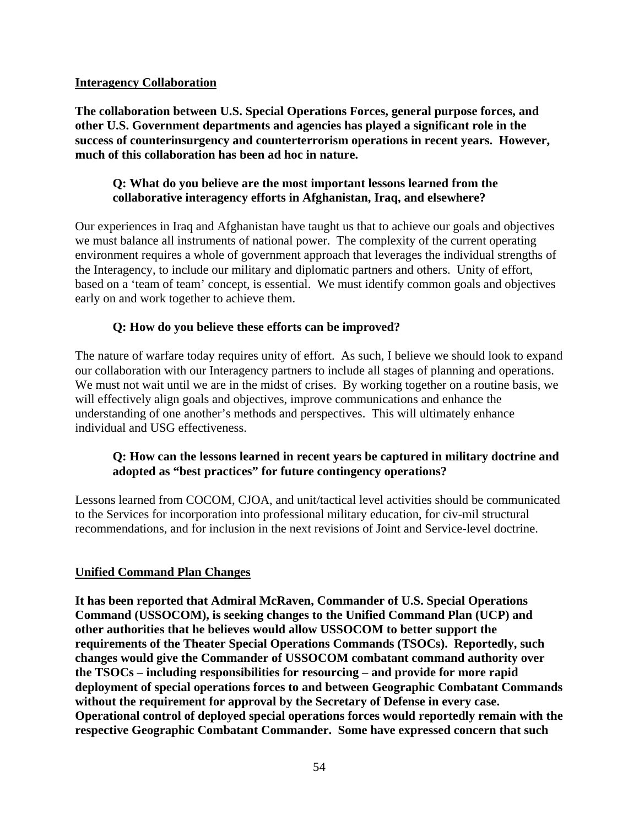#### **Interagency Collaboration**

**The collaboration between U.S. Special Operations Forces, general purpose forces, and other U.S. Government departments and agencies has played a significant role in the success of counterinsurgency and counterterrorism operations in recent years. However, much of this collaboration has been ad hoc in nature.** 

### **Q: What do you believe are the most important lessons learned from the collaborative interagency efforts in Afghanistan, Iraq, and elsewhere?**

Our experiences in Iraq and Afghanistan have taught us that to achieve our goals and objectives we must balance all instruments of national power. The complexity of the current operating environment requires a whole of government approach that leverages the individual strengths of the Interagency, to include our military and diplomatic partners and others. Unity of effort, based on a 'team of team' concept, is essential. We must identify common goals and objectives early on and work together to achieve them.

## **Q: How do you believe these efforts can be improved?**

The nature of warfare today requires unity of effort. As such, I believe we should look to expand our collaboration with our Interagency partners to include all stages of planning and operations. We must not wait until we are in the midst of crises. By working together on a routine basis, we will effectively align goals and objectives, improve communications and enhance the understanding of one another's methods and perspectives. This will ultimately enhance individual and USG effectiveness.

# **Q: How can the lessons learned in recent years be captured in military doctrine and adopted as "best practices" for future contingency operations?**

Lessons learned from COCOM, CJOA, and unit/tactical level activities should be communicated to the Services for incorporation into professional military education, for civ-mil structural recommendations, and for inclusion in the next revisions of Joint and Service-level doctrine.

## **Unified Command Plan Changes**

**It has been reported that Admiral McRaven, Commander of U.S. Special Operations Command (USSOCOM), is seeking changes to the Unified Command Plan (UCP) and other authorities that he believes would allow USSOCOM to better support the requirements of the Theater Special Operations Commands (TSOCs). Reportedly, such changes would give the Commander of USSOCOM combatant command authority over the TSOCs – including responsibilities for resourcing – and provide for more rapid deployment of special operations forces to and between Geographic Combatant Commands without the requirement for approval by the Secretary of Defense in every case. Operational control of deployed special operations forces would reportedly remain with the respective Geographic Combatant Commander. Some have expressed concern that such**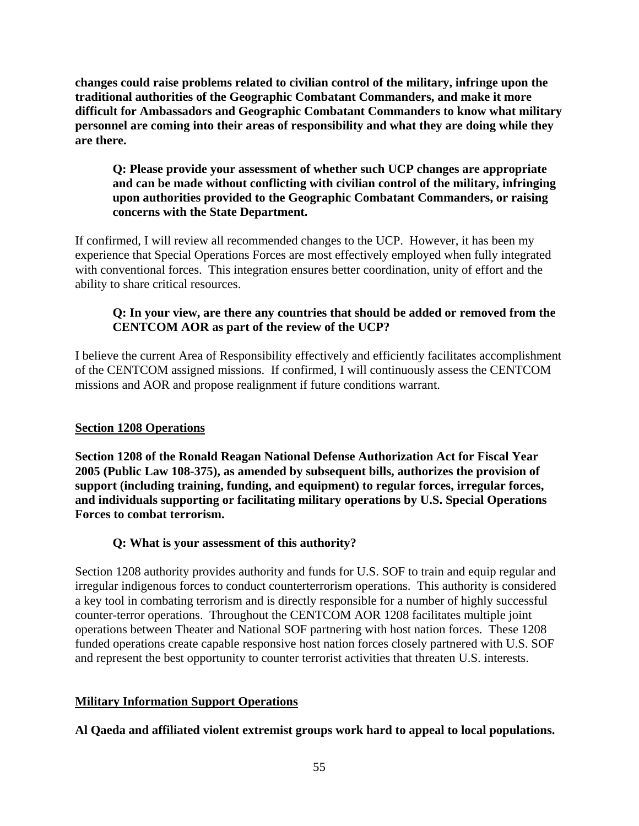**changes could raise problems related to civilian control of the military, infringe upon the traditional authorities of the Geographic Combatant Commanders, and make it more difficult for Ambassadors and Geographic Combatant Commanders to know what military personnel are coming into their areas of responsibility and what they are doing while they are there.** 

## **Q: Please provide your assessment of whether such UCP changes are appropriate and can be made without conflicting with civilian control of the military, infringing upon authorities provided to the Geographic Combatant Commanders, or raising concerns with the State Department.**

If confirmed, I will review all recommended changes to the UCP. However, it has been my experience that Special Operations Forces are most effectively employed when fully integrated with conventional forces. This integration ensures better coordination, unity of effort and the ability to share critical resources.

# **Q: In your view, are there any countries that should be added or removed from the CENTCOM AOR as part of the review of the UCP?**

I believe the current Area of Responsibility effectively and efficiently facilitates accomplishment of the CENTCOM assigned missions. If confirmed, I will continuously assess the CENTCOM missions and AOR and propose realignment if future conditions warrant.

## **Section 1208 Operations**

**Section 1208 of the Ronald Reagan National Defense Authorization Act for Fiscal Year 2005 (Public Law 108-375), as amended by subsequent bills, authorizes the provision of support (including training, funding, and equipment) to regular forces, irregular forces, and individuals supporting or facilitating military operations by U.S. Special Operations Forces to combat terrorism.** 

# **Q: What is your assessment of this authority?**

Section 1208 authority provides authority and funds for U.S. SOF to train and equip regular and irregular indigenous forces to conduct counterterrorism operations. This authority is considered a key tool in combating terrorism and is directly responsible for a number of highly successful counter-terror operations. Throughout the CENTCOM AOR 1208 facilitates multiple joint operations between Theater and National SOF partnering with host nation forces. These 1208 funded operations create capable responsive host nation forces closely partnered with U.S. SOF and represent the best opportunity to counter terrorist activities that threaten U.S. interests.

## **Military Information Support Operations**

**Al Qaeda and affiliated violent extremist groups work hard to appeal to local populations.**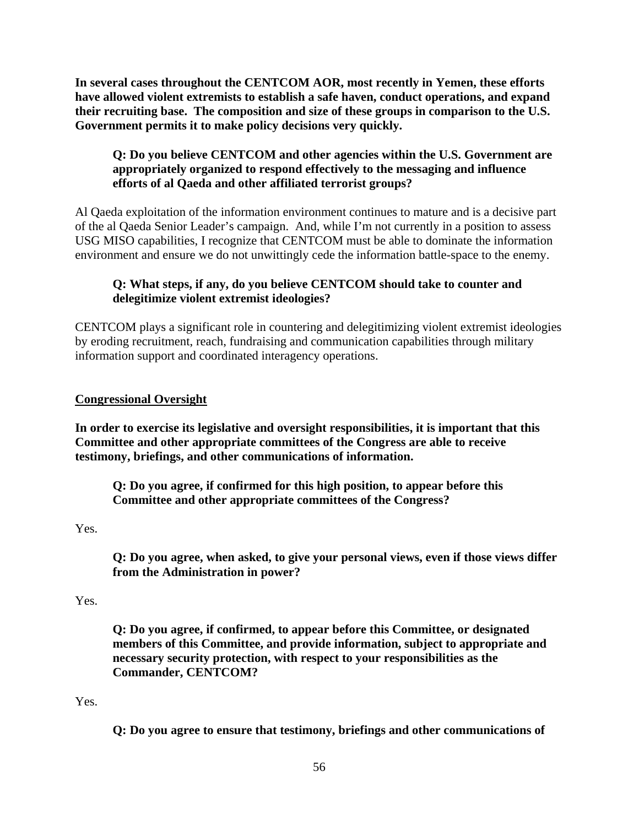**In several cases throughout the CENTCOM AOR, most recently in Yemen, these efforts have allowed violent extremists to establish a safe haven, conduct operations, and expand their recruiting base. The composition and size of these groups in comparison to the U.S. Government permits it to make policy decisions very quickly.** 

## **Q: Do you believe CENTCOM and other agencies within the U.S. Government are appropriately organized to respond effectively to the messaging and influence efforts of al Qaeda and other affiliated terrorist groups?**

Al Qaeda exploitation of the information environment continues to mature and is a decisive part of the al Qaeda Senior Leader's campaign. And, while I'm not currently in a position to assess USG MISO capabilities, I recognize that CENTCOM must be able to dominate the information environment and ensure we do not unwittingly cede the information battle-space to the enemy.

# **Q: What steps, if any, do you believe CENTCOM should take to counter and delegitimize violent extremist ideologies?**

CENTCOM plays a significant role in countering and delegitimizing violent extremist ideologies by eroding recruitment, reach, fundraising and communication capabilities through military information support and coordinated interagency operations.

## **Congressional Oversight**

**In order to exercise its legislative and oversight responsibilities, it is important that this Committee and other appropriate committees of the Congress are able to receive testimony, briefings, and other communications of information.** 

**Q: Do you agree, if confirmed for this high position, to appear before this Committee and other appropriate committees of the Congress?** 

Yes.

**Q: Do you agree, when asked, to give your personal views, even if those views differ from the Administration in power?** 

#### Yes.

**Q: Do you agree, if confirmed, to appear before this Committee, or designated members of this Committee, and provide information, subject to appropriate and necessary security protection, with respect to your responsibilities as the Commander, CENTCOM?** 

#### Yes.

**Q: Do you agree to ensure that testimony, briefings and other communications of**